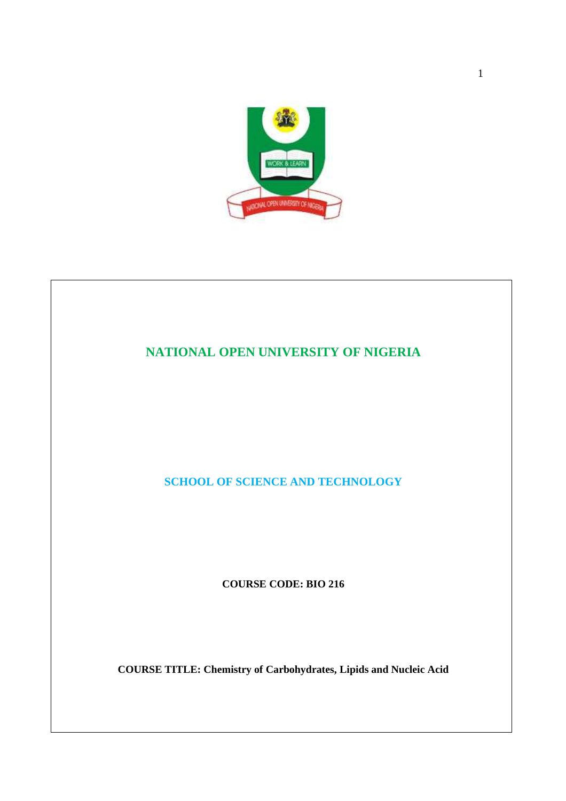

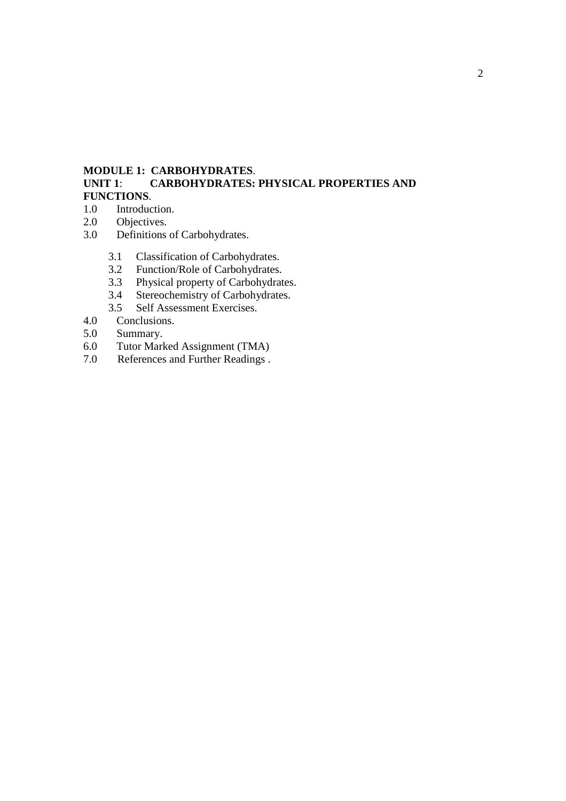# **MODULE 1: CARBOHYDRATES**.

# **CARBOHYDRATES: PHYSICAL PROPERTIES AND FUNCTIONS**.

- 1.0 Introduction.
- 2.0 Objectives.<br>3.0 Definitions
- Definitions of Carbohydrates.
	- 3.1 Classification of Carbohydrates.<br>3.2 Function/Role of Carbohydrates.
	- Function/Role of Carbohydrates.
	- 3.3 Physical property of Carbohydrates.
	- 3.4 Stereochemistry of Carbohydrates.
- 3.5 Self Assessment Exercises.<br>4.0 Conclusions.
- 4.0 Conclusions.<br>5.0 Summary.
- Summary.
- 6.0 Tutor Marked Assignment (TMA)
- 7.0 References and Further Readings .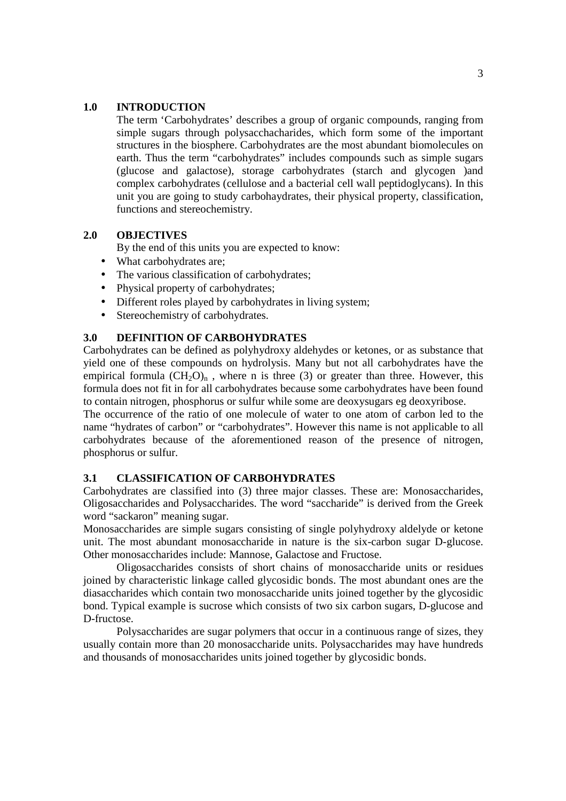## **1.0 INTRODUCTION**

The term 'Carbohydrates' describes a group of organic compounds, ranging from simple sugars through polysacchacharides, which form some of the important structures in the biosphere. Carbohydrates are the most abundant biomolecules on earth. Thus the term "carbohydrates" includes compounds such as simple sugars (glucose and galactose), storage carbohydrates (starch and glycogen )and complex carbohydrates (cellulose and a bacterial cell wall peptidoglycans). In this unit you are going to study carbohaydrates, their physical property, classification, functions and stereochemistry.

# **2.0 OBJECTIVES**

By the end of this units you are expected to know:

- What carbohydrates are:
- The various classification of carbohydrates;
- Physical property of carbohydrates:
- Different roles played by carbohydrates in living system:
- Stereochemistry of carbohydrates.

# **3.0 DEFINITION OF CARBOHYDRATES**

Carbohydrates can be defined as polyhydroxy aldehydes or ketones, or as substance that yield one of these compounds on hydrolysis. Many but not all carbohydrates have the empirical formula  $(CH_2O)_n$ , where n is three (3) or greater than three. However, this formula does not fit in for all carbohydrates because some carbohydrates have been found to contain nitrogen, phosphorus or sulfur while some are deoxysugars eg deoxyribose.

The occurrence of the ratio of one molecule of water to one atom of carbon led to the name "hydrates of carbon" or "carbohydrates". However this name is not applicable to all carbohydrates because of the aforementioned reason of the presence of nitrogen, phosphorus or sulfur.

#### **3.1 CLASSIFICATION OF CARBOHYDRATES**

Carbohydrates are classified into (3) three major classes. These are: Monosaccharides, Oligosaccharides and Polysaccharides. The word "saccharide" is derived from the Greek word "sackaron" meaning sugar.

Monosaccharides are simple sugars consisting of single polyhydroxy aldelyde or ketone unit. The most abundant monosaccharide in nature is the six-carbon sugar D-glucose. Other monosaccharides include: Mannose, Galactose and Fructose.

 Oligosaccharides consists of short chains of monosaccharide units or residues joined by characteristic linkage called glycosidic bonds. The most abundant ones are the diasaccharides which contain two monosaccharide units joined together by the glycosidic bond. Typical example is sucrose which consists of two six carbon sugars, D-glucose and D-fructose.

 Polysaccharides are sugar polymers that occur in a continuous range of sizes, they usually contain more than 20 monosaccharide units. Polysaccharides may have hundreds and thousands of monosaccharides units joined together by glycosidic bonds.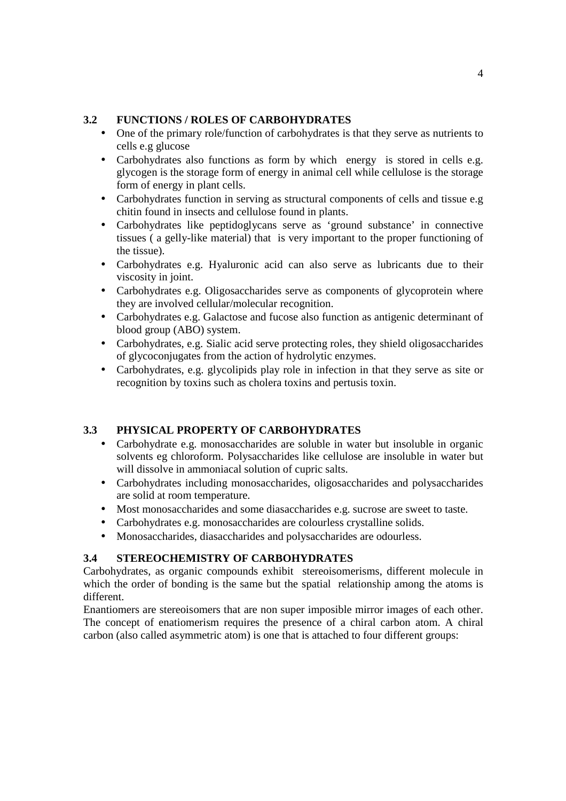# **3.2 FUNCTIONS / ROLES OF CARBOHYDRATES**

- One of the primary role/function of carbohydrates is that they serve as nutrients to cells e.g glucose
- Carbohydrates also functions as form by which energy is stored in cells e.g. glycogen is the storage form of energy in animal cell while cellulose is the storage form of energy in plant cells.
- Carbohydrates function in serving as structural components of cells and tissue e.g chitin found in insects and cellulose found in plants.
- Carbohydrates like peptidoglycans serve as 'ground substance' in connective tissues ( a gelly-like material) that is very important to the proper functioning of the tissue).
- Carbohydrates e.g. Hyaluronic acid can also serve as lubricants due to their viscosity in joint.
- Carbohydrates e.g. Oligosaccharides serve as components of glycoprotein where they are involved cellular/molecular recognition.
- Carbohydrates e.g. Galactose and fucose also function as antigenic determinant of blood group (ABO) system.
- Carbohydrates, e.g. Sialic acid serve protecting roles, they shield oligosaccharides of glycoconjugates from the action of hydrolytic enzymes.
- Carbohydrates, e.g. glycolipids play role in infection in that they serve as site or recognition by toxins such as cholera toxins and pertusis toxin.

# **3.3 PHYSICAL PROPERTY OF CARBOHYDRATES**

- Carbohydrate e.g. monosaccharides are soluble in water but insoluble in organic solvents eg chloroform. Polysaccharides like cellulose are insoluble in water but will dissolve in ammoniacal solution of cupric salts.
- Carbohydrates including monosaccharides, oligosaccharides and polysaccharides are solid at room temperature.
- Most monosaccharides and some diasaccharides e.g. sucrose are sweet to taste.
- Carbohydrates e.g. monosaccharides are colourless crystalline solids.
- Monosaccharides, diasaccharides and polysaccharides are odourless.

# **3.4 STEREOCHEMISTRY OF CARBOHYDRATES**

Carbohydrates, as organic compounds exhibit stereoisomerisms, different molecule in which the order of bonding is the same but the spatial relationship among the atoms is different.

Enantiomers are stereoisomers that are non super imposible mirror images of each other. The concept of enatiomerism requires the presence of a chiral carbon atom. A chiral carbon (also called asymmetric atom) is one that is attached to four different groups: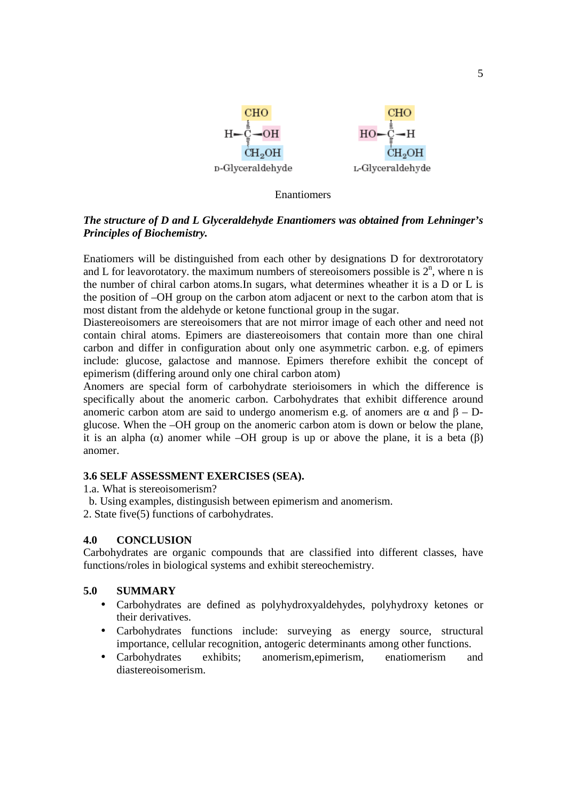

**Enantiomers** 

# *The structure of D and L Glyceraldehyde Enantiomers was obtained from Lehninger's Principles of Biochemistry.*

Enatiomers will be distinguished from each other by designations D for dextrorotatory and L for leavorotatory. the maximum numbers of stereoisomers possible is  $2<sup>n</sup>$ , where n is the number of chiral carbon atoms.In sugars, what determines wheather it is a D or L is the position of –OH group on the carbon atom adjacent or next to the carbon atom that is most distant from the aldehyde or ketone functional group in the sugar.

Diastereoisomers are stereoisomers that are not mirror image of each other and need not contain chiral atoms. Epimers are diastereoisomers that contain more than one chiral carbon and differ in configuration about only one asymmetric carbon. e.g. of epimers include: glucose, galactose and mannose. Epimers therefore exhibit the concept of epimerism (differing around only one chiral carbon atom)

Anomers are special form of carbohydrate sterioisomers in which the difference is specifically about the anomeric carbon. Carbohydrates that exhibit difference around anomeric carbon atom are said to undergo anomerism e.g. of anomers are α and  $β - D$ glucose. When the –OH group on the anomeric carbon atom is down or below the plane, it is an alpha (α) anomer while –OH group is up or above the plane, it is a beta (β) anomer.

# **3.6 SELF ASSESSMENT EXERCISES (SEA).**

1.a. What is stereoisomerism?

- b. Using examples, distingusish between epimerism and anomerism.
- 2. State five(5) functions of carbohydrates.

# **4.0 CONCLUSION**

Carbohydrates are organic compounds that are classified into different classes, have functions/roles in biological systems and exhibit stereochemistry.

#### **5.0 SUMMARY**

- Carbohydrates are defined as polyhydroxyaldehydes, polyhydroxy ketones or their derivatives.
- Carbohydrates functions include: surveying as energy source, structural importance, cellular recognition, antogeric determinants among other functions.
- Carbohydrates exhibits; anomerism,epimerism, enatiomerism and diastereoisomerism.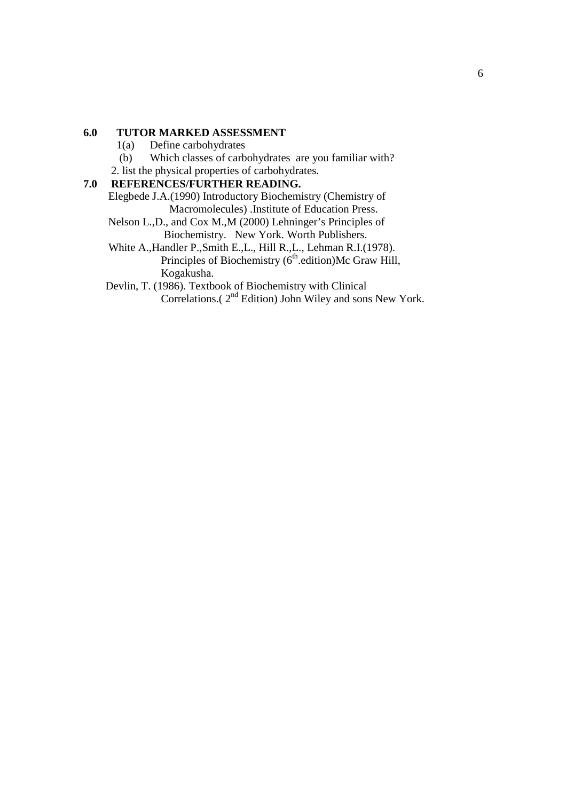# **6.0 TUTOR MARKED ASSESSMENT**

- 1(a) Define carbohydrates
- (b) Which classes of carbohydrates are you familiar with?
- 2. list the physical properties of carbohydrates.

# **7.0 REFERENCES/FURTHER READING.**

Elegbede J.A.(1990) Introductory Biochemistry (Chemistry of Macromolecules) .Institute of Education Press.

- Nelson L.,D., and Cox M.,M (2000) Lehninger's Principles of Biochemistry. New York. Worth Publishers.
- White A.,Handler P.,Smith E.,L., Hill R.,L., Lehman R.I.(1978). Principles of Biochemistry  $(6<sup>th</sup>$ .edition)Mc Graw Hill, Kogakusha.

 Devlin, T. (1986). Textbook of Biochemistry with Clinical Correlations.( $2<sup>nd</sup>$  Edition) John Wiley and sons New York.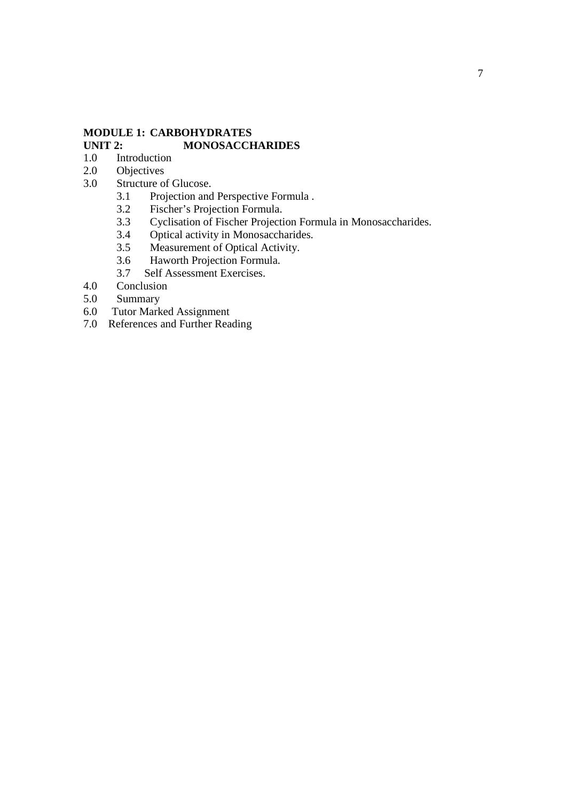# **MODULE 1: CARBOHYDRATES**  UNIT 2: **MONOSACCHARIDES**

- 1.0 Introduction<br>2.0 Objectives
- 2.0 Objectives<br>3.0 Structure of
- Structure of Glucose.
	- 3.1 Projection and Perspective Formula .<br>3.2 Fischer's Projection Formula.
	- Fischer's Projection Formula.
	- 3.3 Cyclisation of Fischer Projection Formula in Monosaccharides.<br>3.4 Optical activity in Monosaccharides.
	- 3.4 Optical activity in Monosaccharides.<br>3.5 Measurement of Optical Activity.
	- Measurement of Optical Activity.
	- 3.6 Haworth Projection Formula.
	- 3.7 Self Assessment Exercises.
- 4.0 Conclusion<br>5.0 Summary
- Summary
- 6.0 Tutor Marked Assignment
- 7.0 References and Further Reading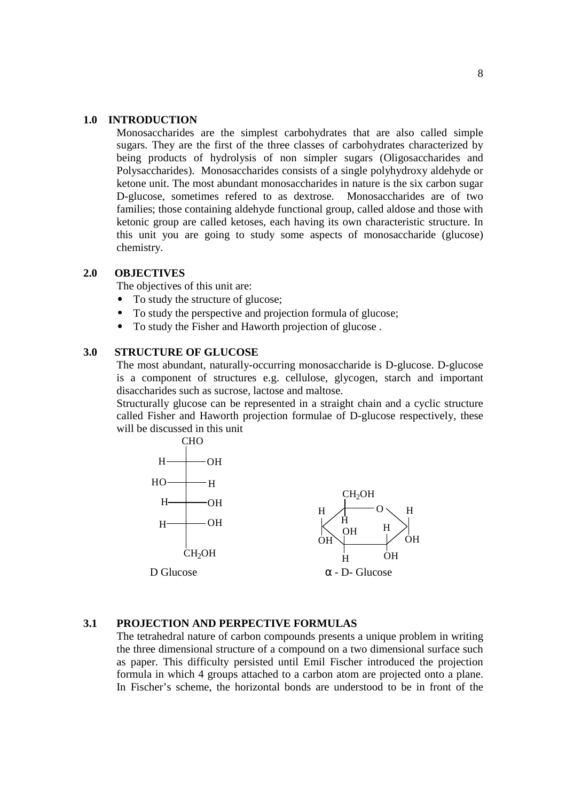#### **1.0 INTRODUCTION**

Monosaccharides are the simplest carbohydrates that are also called simple sugars. They are the first of the three classes of carbohydrates characterized by being products of hydrolysis of non simpler sugars (Oligosaccharides and Polysaccharides). Monosaccharides consists of a single polyhydroxy aldehyde or ketone unit. The most abundant monosaccharides in nature is the six carbon sugar D-glucose, sometimes refered to as dextrose. Monosaccharides are of two families; those containing aldehyde functional group, called aldose and those with ketonic group are called ketoses, each having its own characteristic structure. In this unit you are going to study some aspects of monosaccharide (glucose) chemistry.

#### **2.0 OBJECTIVES**

The objectives of this unit are:

- To study the structure of glucose;
- To study the perspective and projection formula of glucose;
- To study the Fisher and Haworth projection of glucose .

# **3.0 STRUCTURE OF GLUCOSE**

The most abundant, naturally-occurring monosaccharide is D-glucose. D-glucose is a component of structures e.g. cellulose, glycogen, starch and important disaccharides such as sucrose, lactose and maltose.

Structurally glucose can be represented in a straight chain and a cyclic structure called Fisher and Haworth projection formulae of D-glucose respectively, these will be discussed in this unit



# **3.1 PROJECTION AND PERPECTIVE FORMULAS**

The tetrahedral nature of carbon compounds presents a unique problem in writing the three dimensional structure of a compound on a two dimensional surface such as paper. This difficulty persisted until Emil Fischer introduced the projection formula in which 4 groups attached to a carbon atom are projected onto a plane. In Fischer's scheme, the horizontal bonds are understood to be in front of the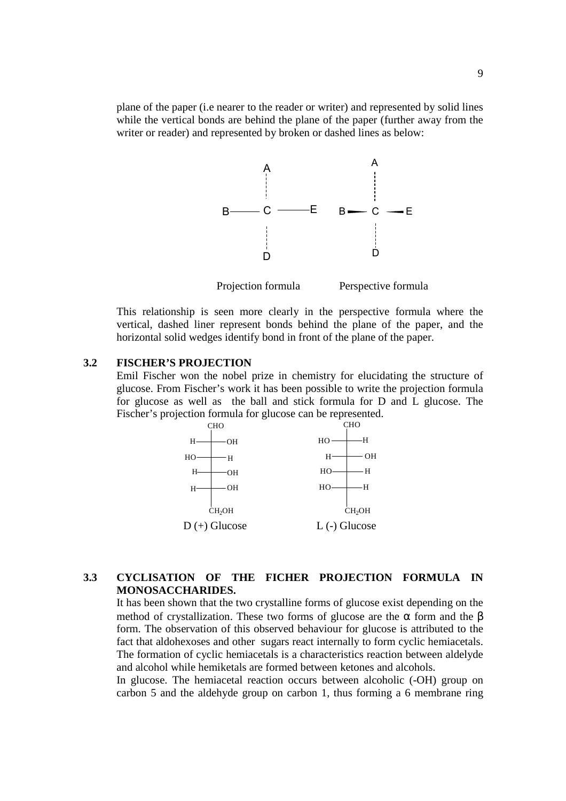plane of the paper (i.e nearer to the reader or writer) and represented by solid lines while the vertical bonds are behind the plane of the paper (further away from the writer or reader) and represented by broken or dashed lines as below:



Projection formula Perspective formula

This relationship is seen more clearly in the perspective formula where the vertical, dashed liner represent bonds behind the plane of the paper, and the horizontal solid wedges identify bond in front of the plane of the paper.

# **3.2 FISCHER'S PROJECTION**

Emil Fischer won the nobel prize in chemistry for elucidating the structure of glucose. From Fischer's work it has been possible to write the projection formula for glucose as well as the ball and stick formula for D and L glucose. The Fischer's projection formula for glucose can be represented.



# **3.3 CYCLISATION OF THE FICHER PROJECTION FORMULA IN MONOSACCHARIDES.**

It has been shown that the two crystalline forms of glucose exist depending on the method of crystallization. These two forms of glucose are the  $\alpha$  form and the  $\beta$ form. The observation of this observed behaviour for glucose is attributed to the fact that aldohexoses and other sugars react internally to form cyclic hemiacetals. The formation of cyclic hemiacetals is a characteristics reaction between aldelyde and alcohol while hemiketals are formed between ketones and alcohols.

In glucose. The hemiacetal reaction occurs between alcoholic (-OH) group on carbon 5 and the aldehyde group on carbon 1, thus forming a 6 membrane ring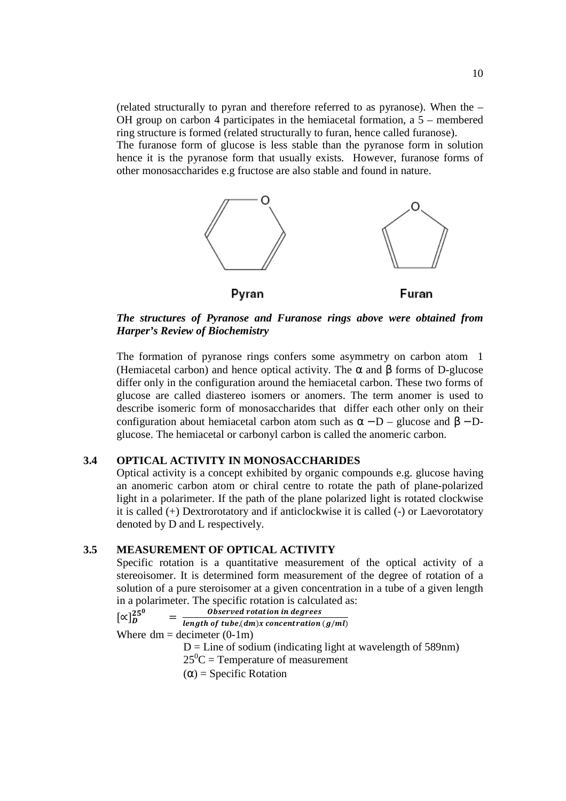(related structurally to pyran and therefore referred to as pyranose). When the – OH group on carbon 4 participates in the hemiacetal formation, a 5 – membered ring structure is formed (related structurally to furan, hence called furanose).

The furanose form of glucose is less stable than the pyranose form in solution hence it is the pyranose form that usually exists. However, furanose forms of other monosaccharides e.g fructose are also stable and found in nature.



*The structures of Pyranose and Furanose rings above were obtained from Harper's Review of Biochemistry* 

The formation of pyranose rings confers some asymmetry on carbon atom 1 (Hemiacetal carbon) and hence optical activity. The  $\alpha$  and  $\beta$  forms of D-glucose differ only in the configuration around the hemiacetal carbon. These two forms of glucose are called diastereo isomers or anomers. The term anomer is used to describe isomeric form of monosaccharides that differ each other only on their configuration about hemiacetal carbon atom such as  $\alpha - D$  – glucose and  $\beta - D$ glucose. The hemiacetal or carbonyl carbon is called the anomeric carbon.

#### **3.4 OPTICAL ACTIVITY IN MONOSACCHARIDES**

Optical activity is a concept exhibited by organic compounds e.g. glucose having an anomeric carbon atom or chiral centre to rotate the path of plane-polarized light in a polarimeter. If the path of the plane polarized light is rotated clockwise it is called (+) Dextrorotatory and if anticlockwise it is called (-) or Laevorotatory denoted by D and L respectively.

# **3.5 MEASUREMENT OF OPTICAL ACTIVITY**

Specific rotation is a quantitative measurement of the optical activity of a stereoisomer. It is determined form measurement of the degree of rotation of a solution of a pure steroisomer at a given concentration in a tube of a given length in a polarimeter. The specific rotation is calculated as:

$$
[\propto]_{D}^{250} = \frac{Observed rotation in degrees}{length of tube (dm)x concentration}
$$

length of tube,  $dm$ )x concentration  $(g/ml)$ Where  $dm =$  decimeter  $(0-1m)$ 

 $D =$  Line of sodium (indicating light at wavelength of 589nm)

 $25^{\circ}$ C = Temperature of measurement

 $(\alpha)$  = Specific Rotation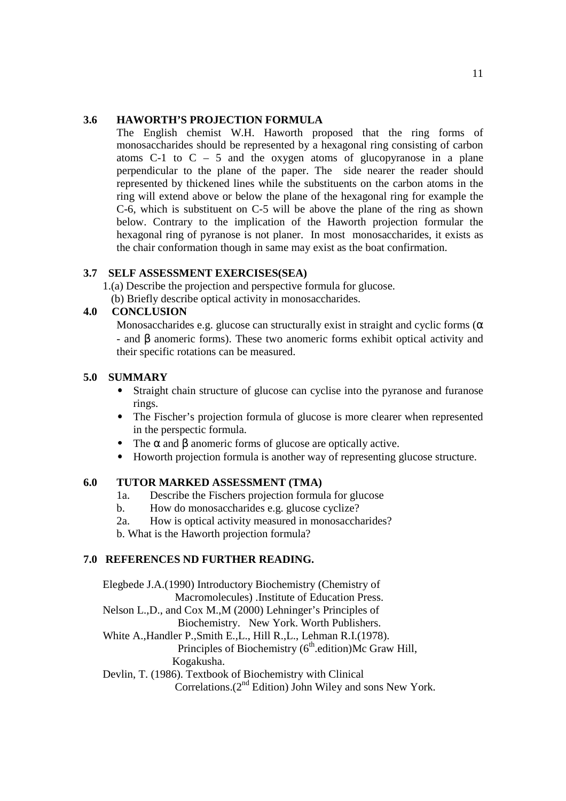# **3.6 HAWORTH'S PROJECTION FORMULA**

The English chemist W.H. Haworth proposed that the ring forms of monosaccharides should be represented by a hexagonal ring consisting of carbon atoms  $C-1$  to  $C - 5$  and the oxygen atoms of glucopyranose in a plane perpendicular to the plane of the paper. The side nearer the reader should represented by thickened lines while the substituents on the carbon atoms in the ring will extend above or below the plane of the hexagonal ring for example the C-6, which is substituent on C-5 will be above the plane of the ring as shown below. Contrary to the implication of the Haworth projection formular the hexagonal ring of pyranose is not planer. In most monosaccharides, it exists as the chair conformation though in same may exist as the boat confirmation.

# **3.7 SELF ASSESSMENT EXERCISES(SEA)**

1.(a) Describe the projection and perspective formula for glucose.

(b) Briefly describe optical activity in monosaccharides.

# **4.0 CONCLUSION**

Monosaccharides e.g. glucose can structurally exist in straight and cyclic forms ( $\alpha$ ) - and β anomeric forms). These two anomeric forms exhibit optical activity and their specific rotations can be measured.

## **5.0 SUMMARY**

- Straight chain structure of glucose can cyclise into the pyranose and furanose rings.
- The Fischer's projection formula of glucose is more clearer when represented in the perspectic formula.
- The  $\alpha$  and  $\beta$  anomeric forms of glucose are optically active.
- Howorth projection formula is another way of representing glucose structure.

# **6.0 TUTOR MARKED ASSESSMENT (TMA)**

- 1a. Describe the Fischers projection formula for glucose
- b. How do monosaccharides e.g. glucose cyclize?
- 2a. How is optical activity measured in monosaccharides?

b. What is the Haworth projection formula?

# **7.0 REFERENCES ND FURTHER READING.**

Elegbede J.A.(1990) Introductory Biochemistry (Chemistry of Macromolecules) .Institute of Education Press. Nelson L.,D., and Cox M.,M (2000) Lehninger's Principles of Biochemistry. New York. Worth Publishers. White A.,Handler P.,Smith E.,L., Hill R.,L., Lehman R.I.(1978). Principles of Biochemistry  $(6<sup>th</sup>$ .edition)Mc Graw Hill, Kogakusha. Devlin, T. (1986). Textbook of Biochemistry with Clinical Correlations. $(2^{nd}$  Edition) John Wiley and sons New York.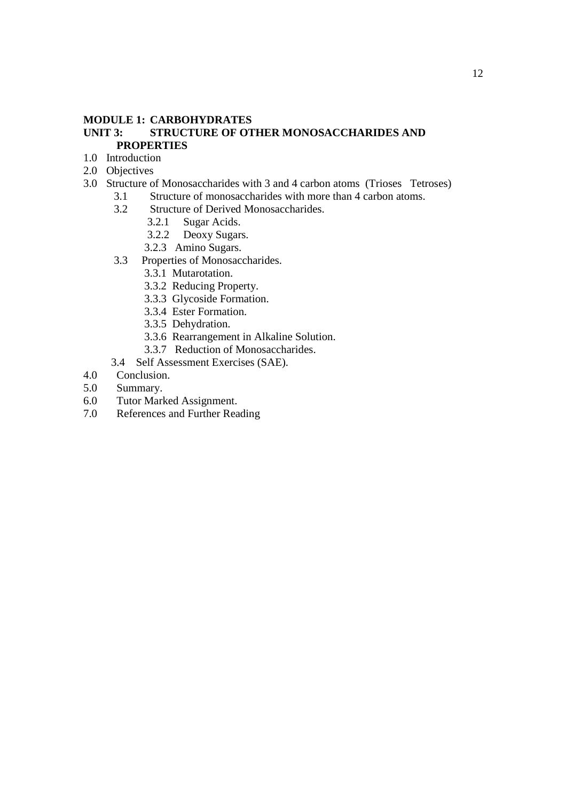## **MODULE 1: CARBOHYDRATES**

## **UNIT 3: STRUCTURE OF OTHER MONOSACCHARIDES AND PROPERTIES**

- 1.0 Introduction
- 2.0 Objectives
- 3.0 Structure of Monosaccharides with 3 and 4 carbon atoms (Trioses Tetroses)
	- 3.1 Structure of monosaccharides with more than 4 carbon atoms.<br>3.2 Structure of Derived Monosaccharides.
		- Structure of Derived Monosaccharides.
			- 3.2.1 Sugar Acids.<br>3.2.2 Deoxy Sugar
			- Deoxy Sugars.
			- 3.2.3 Amino Sugars.
	- 3.3 Properties of Monosaccharides.
		- 3.3.1 Mutarotation.
		- 3.3.2 Reducing Property.
		- 3.3.3 Glycoside Formation.
		- 3.3.4 Ester Formation.
		- 3.3.5 Dehydration.
		- 3.3.6 Rearrangement in Alkaline Solution.
		- 3.3.7 Reduction of Monosaccharides.
	- 3.4 Self Assessment Exercises (SAE).
- 4.0 Conclusion.
- 5.0 Summary.
- 6.0 Tutor Marked Assignment.
- 7.0 References and Further Reading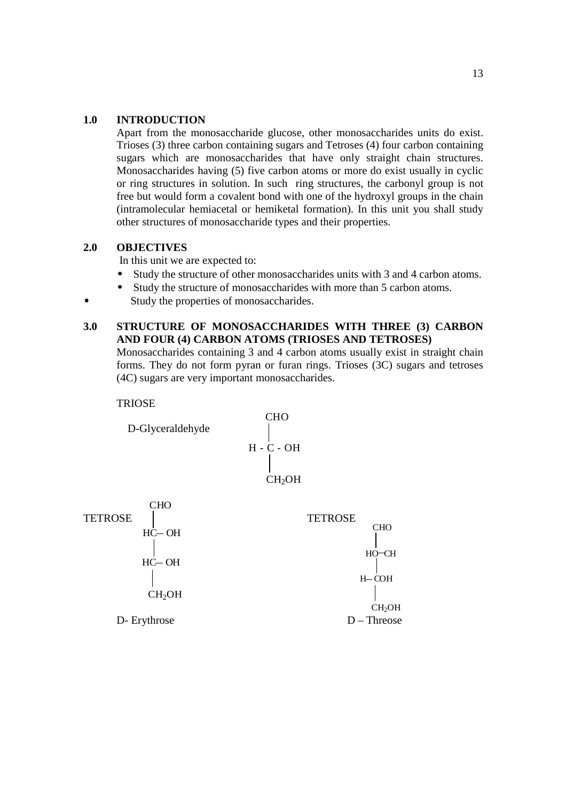# **1.0 INTRODUCTION**

Apart from the monosaccharide glucose, other monosaccharides units do exist. Trioses (3) three carbon containing sugars and Tetroses (4) four carbon containing sugars which are monosaccharides that have only straight chain structures. Monosaccharides having (5) five carbon atoms or more do exist usually in cyclic or ring structures in solution. In such ring structures, the carbonyl group is not free but would form a covalent bond with one of the hydroxyl groups in the chain (intramolecular hemiacetal or hemiketal formation). In this unit you shall study other structures of monosaccharide types and their properties.

# **2.0 OBJECTIVES**

In this unit we are expected to:

- Study the structure of other monosaccharides units with 3 and 4 carbon atoms.
- Study the structure of monosaccharides with more than 5 carbon atoms.
- Study the properties of monosaccharides.

# **3.0 STRUCTURE OF MONOSACCHARIDES WITH THREE (3) CARBON AND FOUR (4) CARBON ATOMS (TRIOSES AND TETROSES)**

Monosaccharides containing 3 and 4 carbon atoms usually exist in straight chain forms. They do not form pyran or furan rings. Trioses (3C) sugars and tetroses (4C) sugars are very important monosaccharides.

**TRIOSE** 

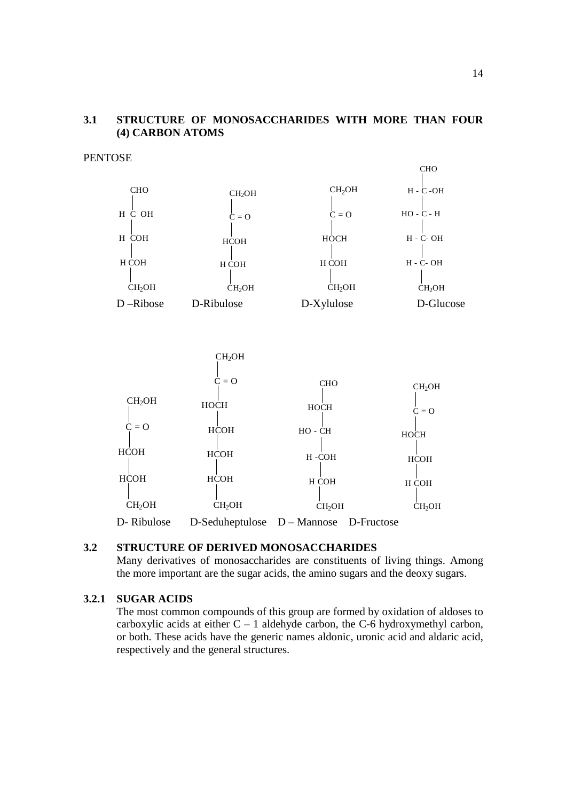# **3.1 STRUCTURE OF MONOSACCHARIDES WITH MORE THAN FOUR (4) CARBON ATOMS**

#### **PENTOSE**





## **3.2 STRUCTURE OF DERIVED MONOSACCHARIDES**

Many derivatives of monosaccharides are constituents of living things. Among the more important are the sugar acids, the amino sugars and the deoxy sugars.

# **3.2.1 SUGAR ACIDS**

The most common compounds of this group are formed by oxidation of aldoses to carboxylic acids at either  $C - 1$  aldehyde carbon, the C-6 hydroxymethyl carbon, or both. These acids have the generic names aldonic, uronic acid and aldaric acid, respectively and the general structures.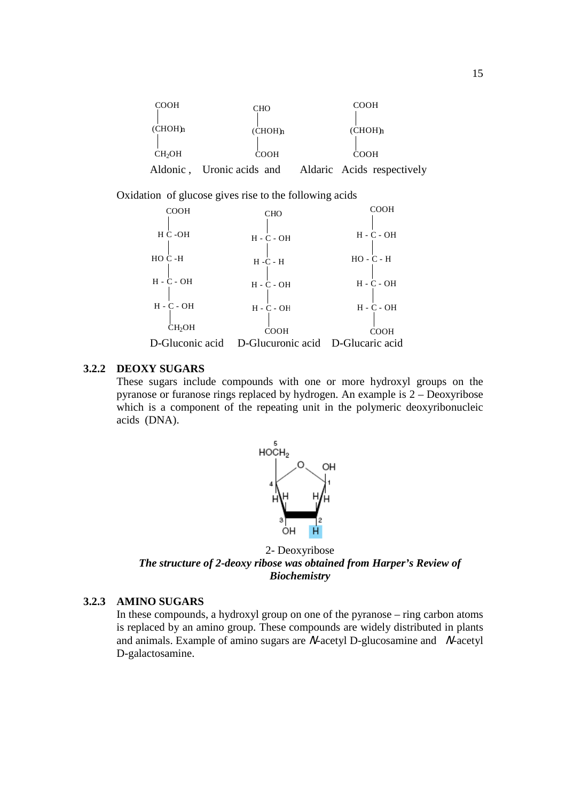

Oxidation of glucose gives rise to the following acids



## **3.2.2 DEOXY SUGARS**

These sugars include compounds with one or more hydroxyl groups on the pyranose or furanose rings replaced by hydrogen. An example is 2 – Deoxyribose which is a component of the repeating unit in the polymeric deoxyribonucleic acids (DNA).



2- Deoxyribose *The structure of 2-deoxy ribose was obtained from Harper's Review of Biochemistry* 

# **3.2.3 AMINO SUGARS**

In these compounds, a hydroxyl group on one of the pyranose – ring carbon atoms is replaced by an amino group. These compounds are widely distributed in plants and animals. Example of amino sugars are  $N$ -acetyl D-glucosamine and  $N$ -acetyl D-galactosamine.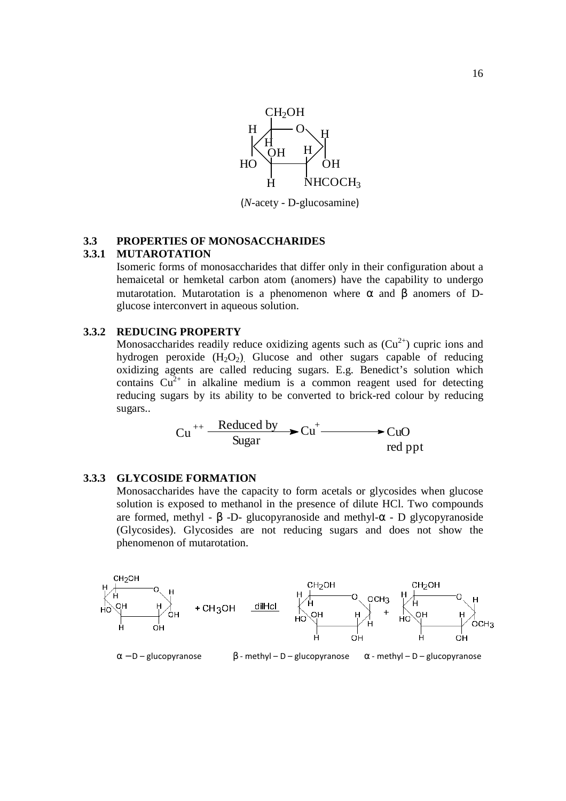

16

(*N*-acety - D-glucosamine)

# **3.3 PROPERTIES OF MONOSACCHARIDES**

#### **3.3.1 MUTAROTATION**

Isomeric forms of monosaccharides that differ only in their configuration about a hemaicetal or hemketal carbon atom (anomers) have the capability to undergo mutarotation. Mutarotation is a phenomenon where  $\alpha$  and  $\beta$  anomers of Dglucose interconvert in aqueous solution.

#### **3.3.2 REDUCING PROPERTY**

Monosaccharides readily reduce oxidizing agents such as  $(Cu^{2+})$  cupric ions and hydrogen peroxide  $(H_2O_2)$ . Glucose and other sugars capable of reducing oxidizing agents are called reducing sugars. E.g. Benedict's solution which contains  $Cu^{2+}$  in alkaline medium is a common reagent used for detecting reducing sugars by its ability to be converted to brick-red colour by reducing sugars..

$$
Cu++ \xrightarrow{\text{Reduced by}} Cu+ \xrightarrow{\qquad} CuO
$$
  
Red *up*

#### **3.3.3 GLYCOSIDE FORMATION**

Monosaccharides have the capacity to form acetals or glycosides when glucose solution is exposed to methanol in the presence of dilute HCl. Two compounds are formed, methyl - β -D- glucopyranoside and methyl- $\alpha$  - D glycopyranoside (Glycosides). Glycosides are not reducing sugars and does not show the phenomenon of mutarotation.

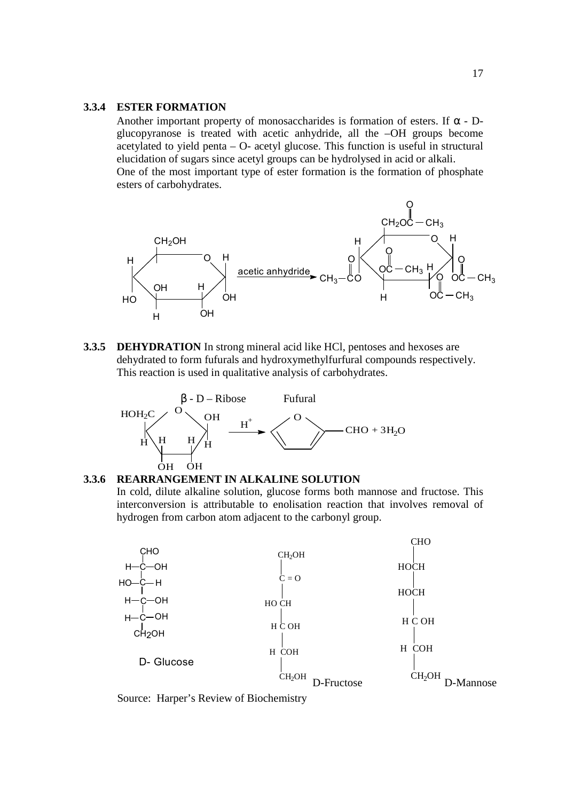#### **3.3.4 ESTER FORMATION**

Another important property of monosaccharides is formation of esters. If  $\alpha$  - Dglucopyranose is treated with acetic anhydride, all the –OH groups become acetylated to yield penta – O- acetyl glucose. This function is useful in structural elucidation of sugars since acetyl groups can be hydrolysed in acid or alkali. One of the most important type of ester formation is the formation of phosphate esters of carbohydrates.



**3.3.5 DEHYDRATION** In strong mineral acid like HCl, pentoses and hexoses are dehydrated to form fufurals and hydroxymethylfurfural compounds respectively. This reaction is used in qualitative analysis of carbohydrates.



#### **3.3.6 REARRANGEMENT IN ALKALINE SOLUTION**

In cold, dilute alkaline solution, glucose forms both mannose and fructose. This interconversion is attributable to enolisation reaction that involves removal of hydrogen from carbon atom adjacent to the carbonyl group.



Source: Harper's Review of Biochemistry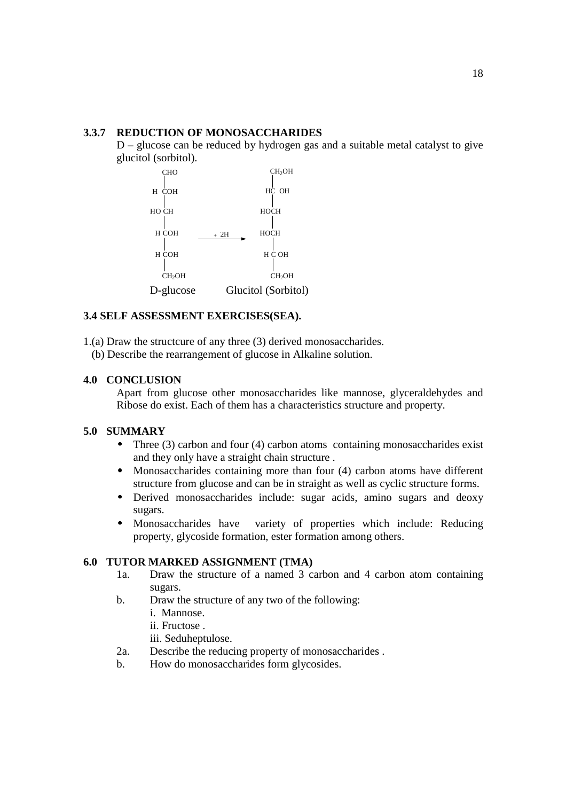# **3.3.7 REDUCTION OF MONOSACCHARIDES**

D – glucose can be reduced by hydrogen gas and a suitable metal catalyst to give glucitol (sorbitol).



# **3.4 SELF ASSESSMENT EXERCISES(SEA).**

1.(a) Draw the structcure of any three (3) derived monosaccharides.

(b) Describe the rearrangement of glucose in Alkaline solution.

# **4.0 CONCLUSION**

Apart from glucose other monosaccharides like mannose, glyceraldehydes and Ribose do exist. Each of them has a characteristics structure and property.

# **5.0 SUMMARY**

- Three  $(3)$  carbon and four  $(4)$  carbon atoms containing monosaccharides exist and they only have a straight chain structure .
- Monosaccharides containing more than four (4) carbon atoms have different structure from glucose and can be in straight as well as cyclic structure forms.
- Derived monosaccharides include: sugar acids, amino sugars and deoxy sugars.
- Monosaccharides have variety of properties which include: Reducing property, glycoside formation, ester formation among others.

#### **6.0 TUTOR MARKED ASSIGNMENT (TMA)**

- 1a. Draw the structure of a named 3 carbon and 4 carbon atom containing sugars.
- b. Draw the structure of any two of the following:
	- i. Mannose.
	- ii. Fructose .
	- iii. Seduheptulose.
- 2a. Describe the reducing property of monosaccharides .
- b. How do monosaccharides form glycosides.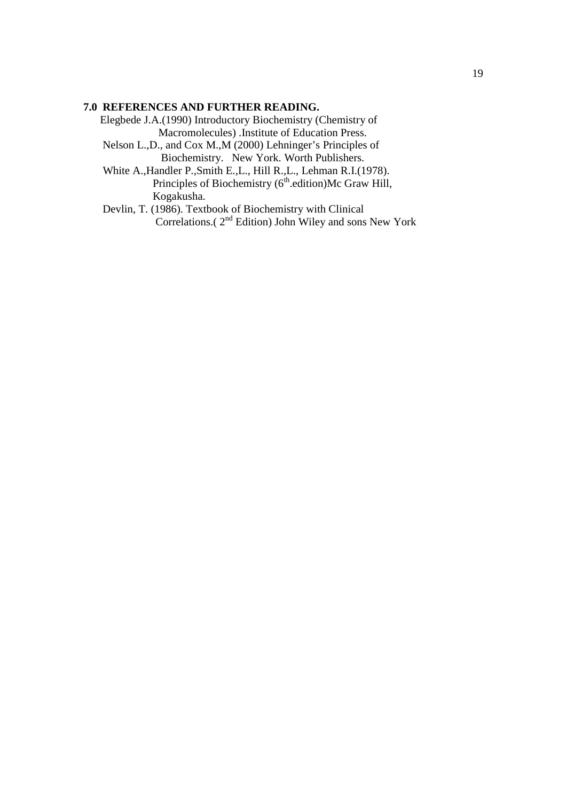## **7.0 REFERENCES AND FURTHER READING.**

Elegbede J.A.(1990) Introductory Biochemistry (Chemistry of Macromolecules) .Institute of Education Press.

 Nelson L.,D., and Cox M.,M (2000) Lehninger's Principles of Biochemistry. New York. Worth Publishers.

 White A.,Handler P.,Smith E.,L., Hill R.,L., Lehman R.I.(1978). Principles of Biochemistry ( $6<sup>th</sup>$ .edition)Mc Graw Hill, Kogakusha.

 Devlin, T. (1986). Textbook of Biochemistry with Clinical Correlations.( $2<sup>nd</sup>$  Edition) John Wiley and sons New York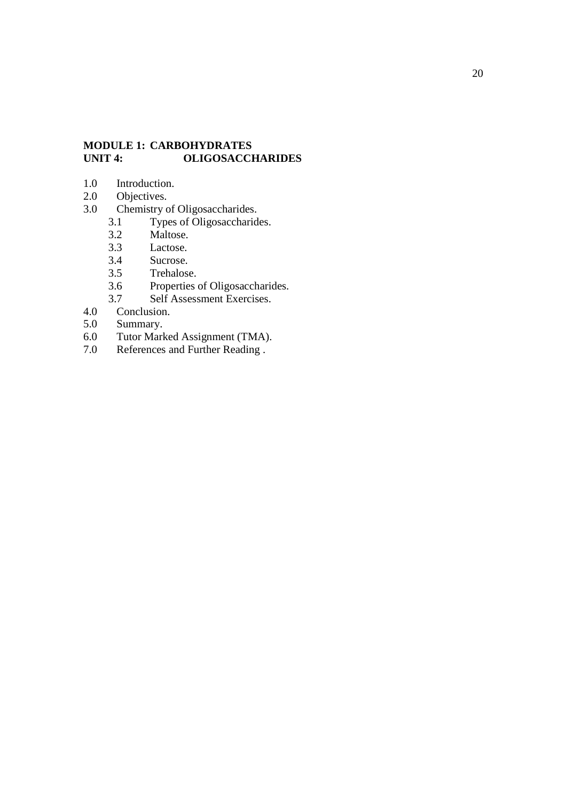# **MODULE 1: CARBOHYDRATES UNIT 4: OLIGOSACCHARIDES**

- 1.0 Introduction.<br>2.0 Objectives.
- 2.0 Objectives.<br>3.0 Chemistry c
- Chemistry of Oligosaccharides.
	- 3.1 Types of Oligosaccharides.<br>3.2 Maltose.
	- 3.2 Maltose.<br>3.3 Lactose.
	- Lactose.
	- 3.4 Sucrose.
	- 3.5 Trehalose.
	- 3.6 Properties of Oligosaccharides.<br>3.7 Self Assessment Exercises.
- 3.7 Self Assessment Exercises.<br>4.0 Conclusion.
- Conclusion.
- 5.0 Summary.
- 6.0 Tutor Marked Assignment (TMA).<br>7.0 References and Further Reading.
- References and Further Reading .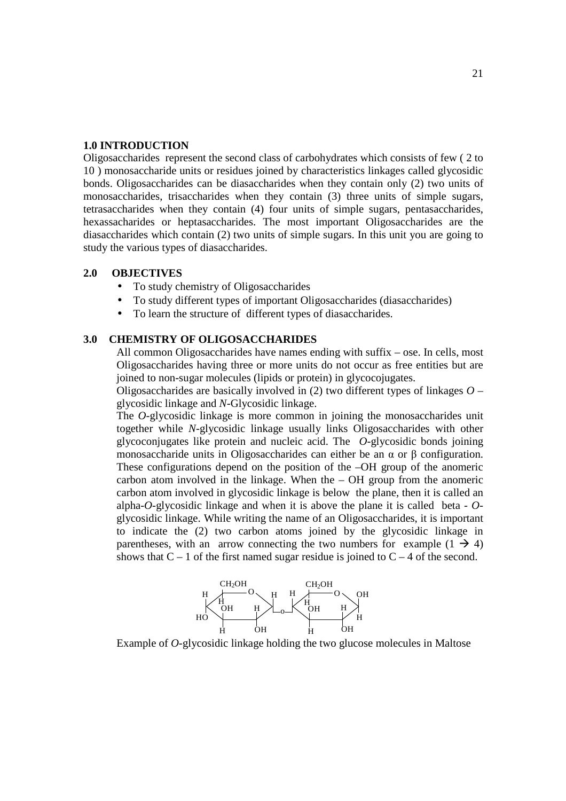#### **1.0 INTRODUCTION**

Oligosaccharides represent the second class of carbohydrates which consists of few ( 2 to 10 ) monosaccharide units or residues joined by characteristics linkages called glycosidic bonds. Oligosaccharides can be diasaccharides when they contain only (2) two units of monosaccharides, trisaccharides when they contain (3) three units of simple sugars, tetrasaccharides when they contain (4) four units of simple sugars, pentasaccharides, hexassacharides or heptasaccharides. The most important Oligosaccharides are the diasaccharides which contain (2) two units of simple sugars. In this unit you are going to study the various types of diasaccharides.

#### **2.0 OBJECTIVES**

- To study chemistry of Oligosaccharides
- To study different types of important Oligosaccharides (diasaccharides)
- To learn the structure of different types of diasaccharides.

## **3.0 CHEMISTRY OF OLIGOSACCHARIDES**

All common Oligosaccharides have names ending with suffix – ose. In cells, most Oligosaccharides having three or more units do not occur as free entities but are joined to non-sugar molecules (lipids or protein) in glycocojugates.

Oligosaccharides are basically involved in (2) two different types of linkages *O* – glycosidic linkage and *N-*Glycosidic linkage.

The *O*-glycosidic linkage is more common in joining the monosaccharides unit together while *N*-glycosidic linkage usually links Oligosaccharides with other glycoconjugates like protein and nucleic acid. The *O*-glycosidic bonds joining monosaccharide units in Oligosaccharides can either be an  $\alpha$  or  $\beta$  configuration. These configurations depend on the position of the –OH group of the anomeric carbon atom involved in the linkage. When the  $-$  OH group from the anomeric carbon atom involved in glycosidic linkage is below the plane, then it is called an alpha-*O*-glycosidic linkage and when it is above the plane it is called beta - *O*glycosidic linkage. While writing the name of an Oligosaccharides, it is important to indicate the (2) two carbon atoms joined by the glycosidic linkage in parentheses, with an arrow connecting the two numbers for example  $(1 \rightarrow 4)$ shows that  $C - 1$  of the first named sugar residue is joined to  $C - 4$  of the second.



Example of *O-*glycosidic linkage holding the two glucose molecules in Maltose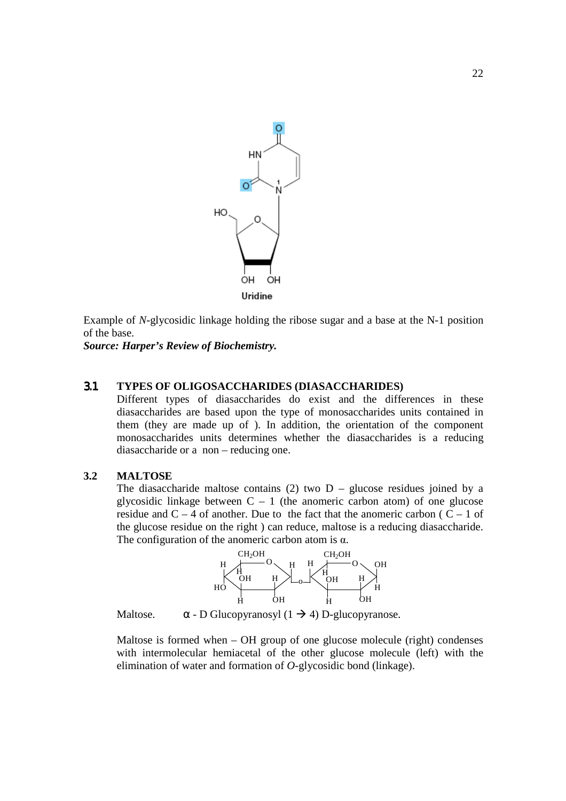

Example of *N*-glycosidic linkage holding the ribose sugar and a base at the N-1 position of the base.

*Source: Harper's Review of Biochemistry.*

#### 3.1 **TYPES OF OLIGOSACCHARIDES (DIASACCHARIDES)**

Different types of diasaccharides do exist and the differences in these diasaccharides are based upon the type of monosaccharides units contained in diasaccharides are based upon the type of monosaccharides units contained in them (they are made up of ). In addition, the orientation of the component monosaccharides units determines whether the diasaccharides is a reducing diasaccharide or a non – reducing one. diasaccharides are based upon the type of monosaccharides units contained in<br>them (they are made up of ). In addition, the orientation of the component<br>monosaccharides units determines whether the diasaccharides is a redu

#### **3.2 MALTOSE**

The diasaccharide maltose contains  $(2)$  two  $D -$  glucose residues joined by a residue and  $C - 4$  of another. Due to the fact that the anomeric carbon ( $C - 1$  of the glucose residue on the right) can reduce, maltose is a reducing diasaccharide. The configuration of the anomeric carbon atom is  $\alpha$ .



Maltose.  $\alpha$  - D Glucopyranosyl (1  $\rightarrow$  4) D-glucopyranose.

Maltose is formed when – OH group of one glucose molecule (right) condenses with intermolecular hemiacetal of the other glucose molecule (left) with the elimination of water and formation of *O*-glycosidic bond (linkage).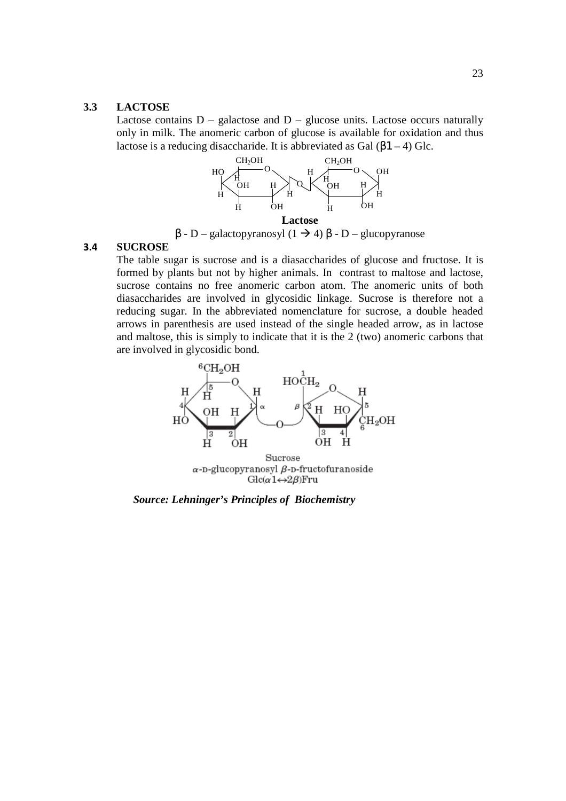#### **3.3 LACTOSE**

Lactose contains  $D -$  galactose and  $D -$  glucose units. Lactose occurs naturally only in milk. The anomeric carbon of glucose is available for oxidation and thus lactose is a reducing disaccharide. It is abbreviated as Gal  $(\beta1 - 4)$  Glc.



β - D – galactopyranosyl (1 4) β - D – glucopyranose

## **3.4 SUCROSE**

The table sugar is sucrose and is a diasaccharides of glucose and fructose. It is formed by plants but not by higher animals. In contrast to maltose and lactose, sucrose contains no free anomeric carbon atom. The anomeric units of both diasaccharides are involved in glycosidic linkage. Sucrose is therefore not a reducing sugar. In the abbreviated nomenclature for sucrose, a double headed arrows in parenthesis are used instead of the single headed arrow, as in lactose and maltose, this is simply to indicate that it is the 2 (two) anomeric carbons that are involved in glycosidic bond.



*Source: Lehninger's Principles of Biochemistry*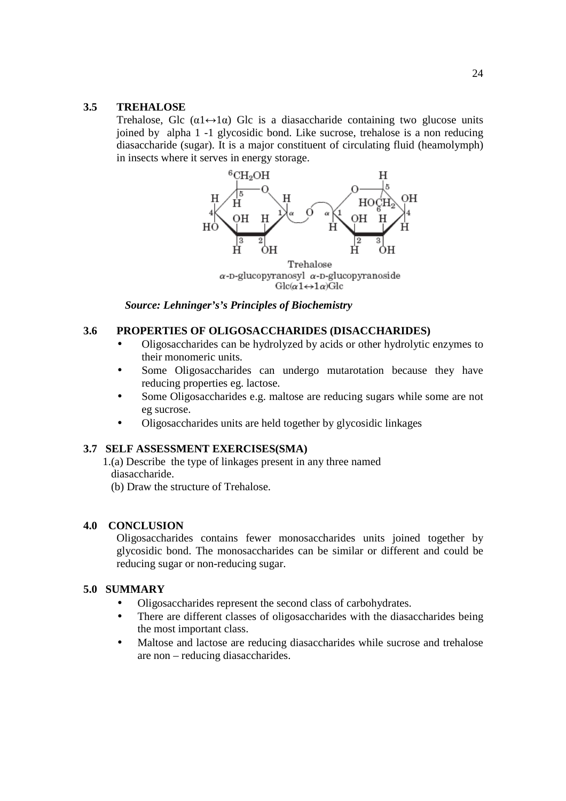# **3.5 TREHALOSE**

Trehalose, Glc  $(\alpha_1 \leftrightarrow \alpha_2)$  Glc is a diasaccharide containing two glucose units joined by alpha 1 -1 glycosidic bond. Like sucrose, trehalose is a non reducing diasaccharide (sugar). It is a major constituent of circulating fluid (heamolymph) in insects where it serves in energy storage.



 $Glc(\alpha 1 \leftrightarrow 1\alpha)$ Glc

*Source: Lehninger's's Principles of Biochemistry* 

# **3.6 PROPERTIES OF OLIGOSACCHARIDES (DISACCHARIDES)**

- Oligosaccharides can be hydrolyzed by acids or other hydrolytic enzymes to their monomeric units.
- Some Oligosaccharides can undergo mutarotation because they have reducing properties eg. lactose.
- Some Oligosaccharides e.g. maltose are reducing sugars while some are not eg sucrose.
- Oligosaccharides units are held together by glycosidic linkages

#### **3.7 SELF ASSESSMENT EXERCISES(SMA)**

1.(a) Describe the type of linkages present in any three named diasaccharide.

(b) Draw the structure of Trehalose.

#### **4.0 CONCLUSION**

Oligosaccharides contains fewer monosaccharides units joined together by glycosidic bond. The monosaccharides can be similar or different and could be reducing sugar or non-reducing sugar.

## **5.0 SUMMARY**

- Oligosaccharides represent the second class of carbohydrates.
- There are different classes of oligosaccharides with the diasaccharides being the most important class.
- Maltose and lactose are reducing diasaccharides while sucrose and trehalose are non – reducing diasaccharides.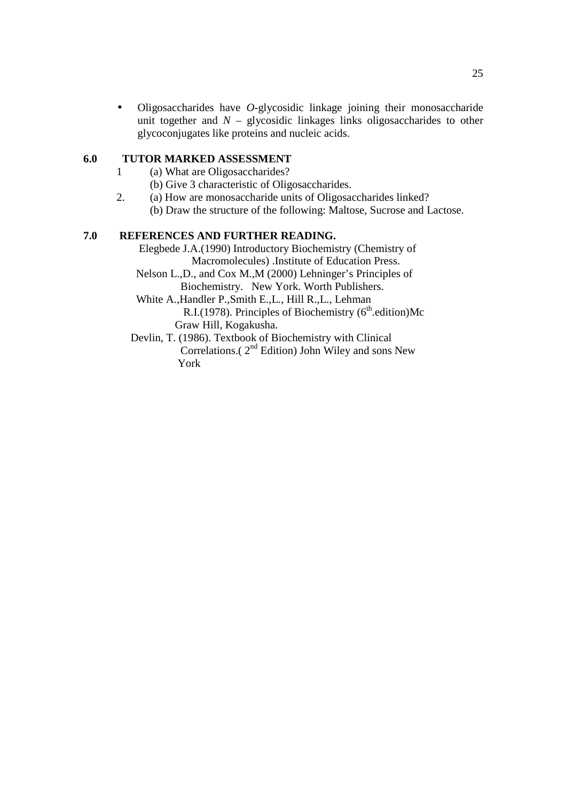• Oligosaccharides have *O*-glycosidic linkage joining their monosaccharide unit together and  $N -$  glycosidic linkages links oligosaccharides to other glycoconjugates like proteins and nucleic acids.

# **6.0 TUTOR MARKED ASSESSMENT**

- 1 (a) What are Oligosaccharides?
	- (b) Give 3 characteristic of Oligosaccharides.
- 2. (a) How are monosaccharide units of Oligosaccharides linked? (b) Draw the structure of the following: Maltose, Sucrose and Lactose.

#### **7.0 REFERENCES AND FURTHER READING.**

 Elegbede J.A.(1990) Introductory Biochemistry (Chemistry of Macromolecules) .Institute of Education Press.

 Nelson L.,D., and Cox M.,M (2000) Lehninger's Principles of Biochemistry. New York. Worth Publishers.

 White A.,Handler P.,Smith E.,L., Hill R.,L., Lehman R.I.(1978). Principles of Biochemistry ( $6<sup>th</sup>$ .edition)Mc Graw Hill, Kogakusha.

 Devlin, T. (1986). Textbook of Biochemistry with Clinical Correlations.( $2<sup>nd</sup>$  Edition) John Wiley and sons New York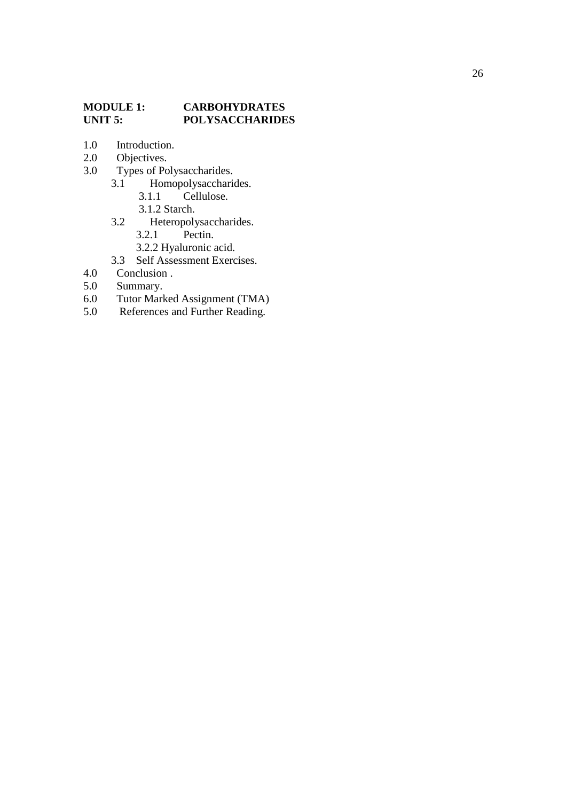# **MODULE 1: CARBOHYDRATES<br>
UNIT 5: POLYSACCHARIDE POLYSACCHARIDES**

- 1.0 Introduction.
- 2.0 Objectives.
- 3.0 Types of Polysaccharides.<br>3.1 Homopolysacchario
	- Homopolysaccharides.<br>3.1.1 Cellulose.
		- Cellulose.
		-
	- 3.1.2 Starch.<br>3.2 Heteropoly Heteropolysaccharides.<br>3.2.1 Pectin.
		- Pectin.
		- 3.2.2 Hyaluronic acid.
	- 3.3 Self Assessment Exercises.
- 4.0 Conclusion .
- 5.0 Summary.<br>6.0 Tutor Mark
- 6.0 Tutor Marked Assignment (TMA)<br>5.0 References and Further Reading.
- References and Further Reading.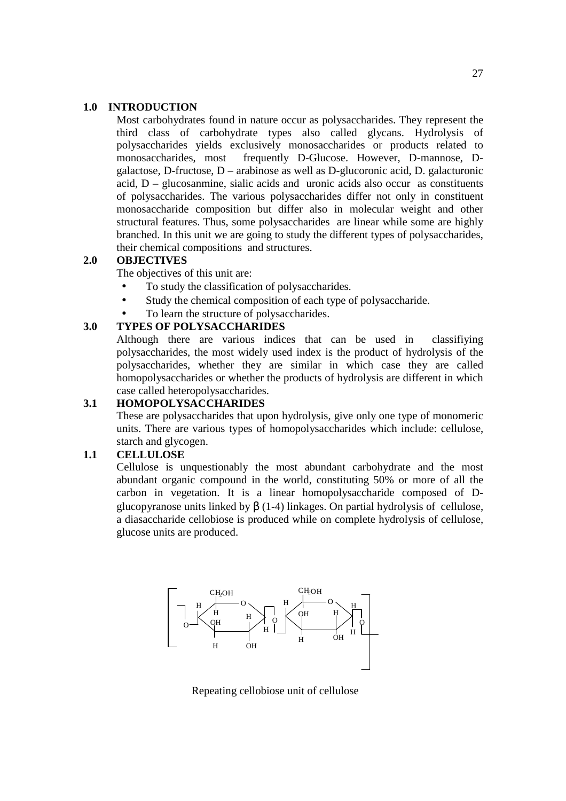#### **1.0 INTRODUCTION**

Most carbohydrates found in nature occur as polysaccharides. They represent the third class of carbohydrate types also called glycans. Hydrolysis of polysaccharides yields exclusively monosaccharides or products related to monosaccharides, most frequently D-Glucose. However, D-mannose, Dgalactose, D-fructose, D – arabinose as well as D-glucoronic acid, D. galacturonic acid,  $D$  – glucosanmine, sialic acids and uronic acids also occur as constituents of polysaccharides. The various polysaccharides differ not only in constituent monosaccharide composition but differ also in molecular weight and other structural features. Thus, some polysaccharides are linear while some are highly branched. In this unit we are going to study the different types of polysaccharides, their chemical compositions and structures.

#### **2.0 OBJECTIVES**

The objectives of this unit are:

- To study the classification of polysaccharides.
- Study the chemical composition of each type of polysaccharide.
- To learn the structure of polysaccharides.

# **3.0 TYPES OF POLYSACCHARIDES**

Although there are various indices that can be used in classifiying polysaccharides, the most widely used index is the product of hydrolysis of the polysaccharides, whether they are similar in which case they are called homopolysaccharides or whether the products of hydrolysis are different in which case called heteropolysaccharides.

#### **3.1 HOMOPOLYSACCHARIDES**

These are polysaccharides that upon hydrolysis, give only one type of monomeric units. There are various types of homopolysaccharides which include: cellulose, starch and glycogen.

# **1.1 CELLULOSE**

Cellulose is unquestionably the most abundant carbohydrate and the most abundant organic compound in the world, constituting 50% or more of all the carbon in vegetation. It is a linear homopolysaccharide composed of Dglucopyranose units linked by β (1-4) linkages. On partial hydrolysis of cellulose, a diasaccharide cellobiose is produced while on complete hydrolysis of cellulose, glucose units are produced.



Repeating cellobiose unit of cellulose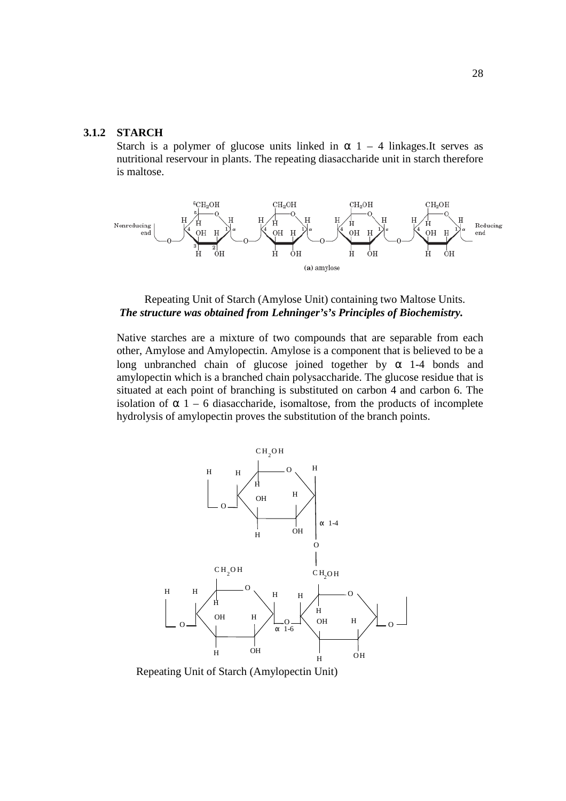# **3.1.2 STARCH**

Starch is a polymer of glucose units linked in  $\alpha$  1 – 4 linkages. It serves as nutritional reservour in plants. The repeating diasaccharide unit in starch therefore is maltose.



#### Repeating Unit of Starch (Amylose Unit) containing two Maltose Units. *The structure was obtained from Lehninger's's Principles of Biochemistry.*

Native starches are a mixture of two compounds that are separable from each other, Amylose and Amylopectin. Amylose is a component that is believed to be a long unbranched chain of glucose joined together by  $\alpha$  1-4 bonds and amylopectin which is a branched chain polysaccharide. The glucose residue that is situated at each point of branching is substituted on carbon 4 and carbon 6. The isolation of  $\alpha$  1 – 6 diasaccharide, isomaltose, from the products of incomplete hydrolysis of amylopectin proves the substitution of the branch points.



Repeating Unit of Starch (Amylopectin Unit)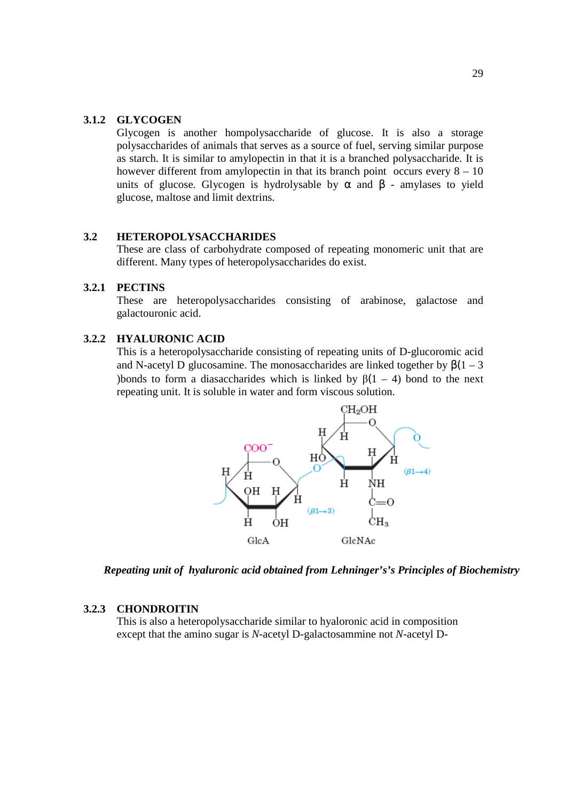# **3.1.2 GLYCOGEN**

Glycogen is another hompolysaccharide of glucose. It is also a storage polysaccharides of animals that serves as a source of fuel, serving similar purpose as starch. It is similar to amylopectin in that it is a branched polysaccharide. It is however different from amylopectin in that its branch point occurs every  $8 - 10$ units of glucose. Glycogen is hydrolysable by  $\alpha$  and  $\beta$  - amylases to yield glucose, maltose and limit dextrins.

## **3.2 HETEROPOLYSACCHARIDES**

These are class of carbohydrate composed of repeating monomeric unit that are different. Many types of heteropolysaccharides do exist.

# **3.2.1 PECTINS**

These are heteropolysaccharides consisting of arabinose, galactose and galactouronic acid.

## **3.2.2 HYALURONIC ACID**

This is a heteropolysaccharide consisting of repeating units of D-glucoromic acid and N-acetyl D glucosamine. The monosaccharides are linked together by  $\beta(1 - 3)$ )bonds to form a diasaccharides which is linked by  $\beta(1 - 4)$  bond to the next repeating unit. It is soluble in water and form viscous solution.



*Repeating unit of hyaluronic acid obtained from Lehninger's's Principles of Biochemistry* 

## **3.2.3 CHONDROITIN**

This is also a heteropolysaccharide similar to hyaloronic acid in composition except that the amino sugar is *N-*acetyl D-galactosammine not *N-*acetyl D-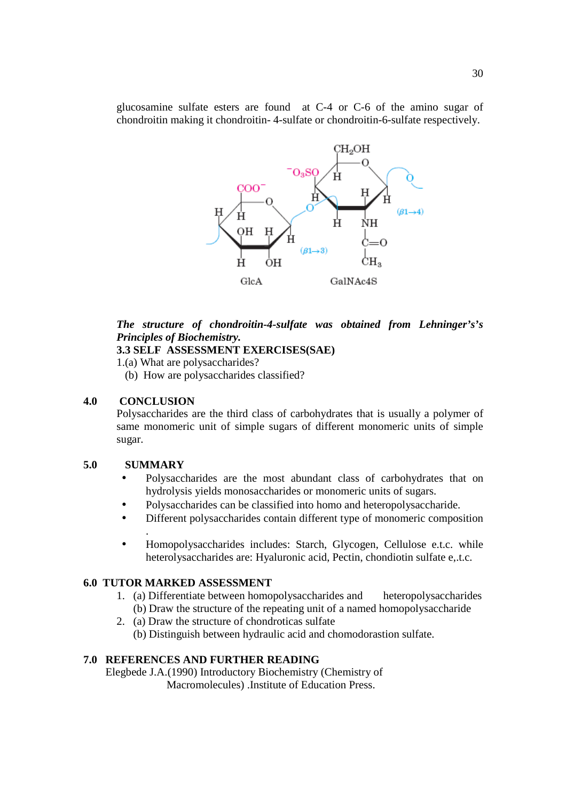glucosamine sulfate esters are found at C-4 or C-6 of the amino sugar of chondroitin making it chondroitin- 4-sulfate or chondroitin-6-sulfate respectively.



# *The structure of chondroitin-4-sulfate was obtained from Lehninger's's Principles of Biochemistry.*

# **3.3 SELF ASSESSMENT EXERCISES(SAE)**

1.(a) What are polysaccharides?

(b) How are polysaccharides classified?

# **4.0 CONCLUSION**

Polysaccharides are the third class of carbohydrates that is usually a polymer of same monomeric unit of simple sugars of different monomeric units of simple sugar.

#### **5.0 SUMMARY**

.

- Polysaccharides are the most abundant class of carbohydrates that on hydrolysis yields monosaccharides or monomeric units of sugars.
- Polysaccharides can be classified into homo and heteropolysaccharide.
- Different polysaccharides contain different type of monomeric composition
- Homopolysaccharides includes: Starch, Glycogen, Cellulose e.t.c. while heterolysaccharides are: Hyaluronic acid, Pectin, chondiotin sulfate e,.t.c.

# **6.0 TUTOR MARKED ASSESSMENT**

- 1. (a) Differentiate between homopolysaccharides and heteropolysaccharides (b) Draw the structure of the repeating unit of a named homopolysaccharide
- 2. (a) Draw the structure of chondroticas sulfate (b) Distinguish between hydraulic acid and chomodorastion sulfate.

#### **7.0 REFERENCES AND FURTHER READING**

 Elegbede J.A.(1990) Introductory Biochemistry (Chemistry of Macromolecules) .Institute of Education Press.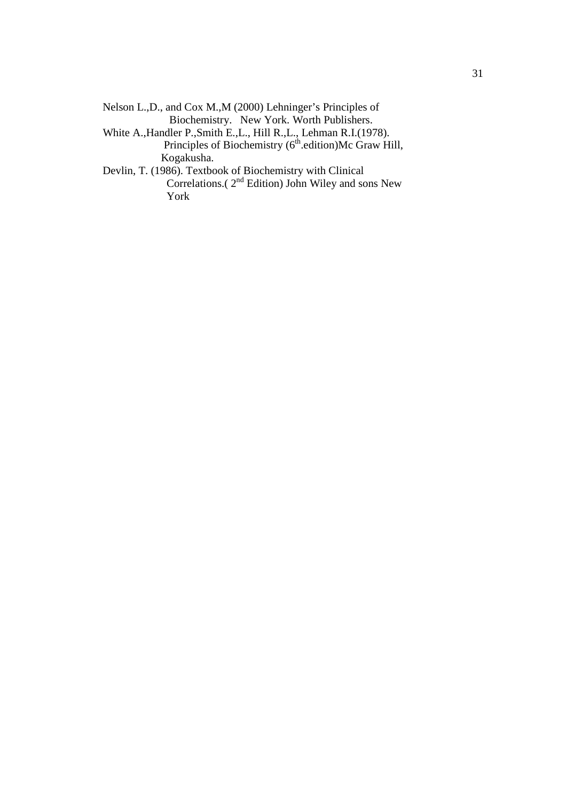| Nelson L.,D., and Cox M., M (2000) Lehninger's Principles of         |
|----------------------------------------------------------------------|
| Biochemistry. New York. Worth Publishers.                            |
| White A., Handler P., Smith E., L., Hill R., L., Lehman R.I. (1978). |
| Principles of Biochemistry (6 <sup>th</sup> .edition)Mc Graw Hill,   |
| Kogakusha.                                                           |
| Devlin, T. (1986). Textbook of Biochemistry with Clinical            |
| Correlations.(2 <sup>nd</sup> Edition) John Wiley and sons New       |
| York                                                                 |
|                                                                      |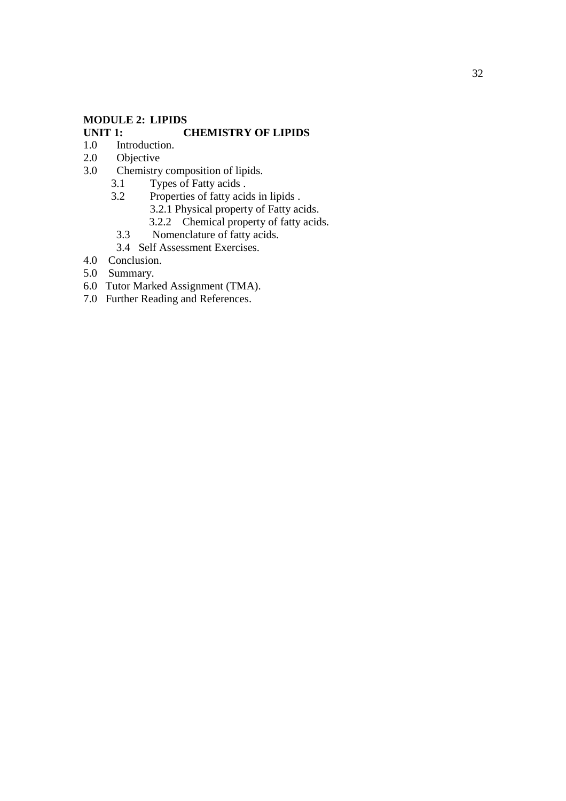# **MODULE 2: LIPIDS**

# **CHEMISTRY OF LIPIDS**

- 1.0 Introduction.
- 2.0 Objective
- 3.0 Chemistry composition of lipids.<br>3.1 Types of Fatty acids.
	- 3.1 Types of Fatty acids .<br>3.2 Properties of fatty acid
	- Properties of fatty acids in lipids . 3.2.1 Physical property of Fatty acids.
		- 3.2.2 Chemical property of fatty acids.
	- 3.3 Nomenclature of fatty acids.
	- 3.4 Self Assessment Exercises.
- 4.0 Conclusion.
- 5.0 Summary.
- 6.0 Tutor Marked Assignment (TMA).
- 7.0 Further Reading and References.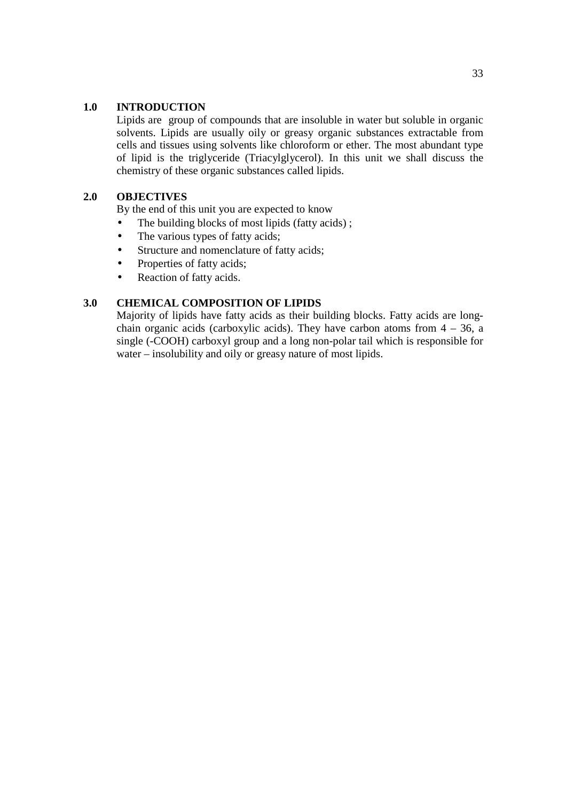## **1.0 INTRODUCTION**

Lipids are group of compounds that are insoluble in water but soluble in organic solvents. Lipids are usually oily or greasy organic substances extractable from cells and tissues using solvents like chloroform or ether. The most abundant type of lipid is the triglyceride (Triacylglycerol). In this unit we shall discuss the chemistry of these organic substances called lipids.

# **2.0 OBJECTIVES**

By the end of this unit you are expected to know

- The building blocks of most lipids (fatty acids);
- The various types of fatty acids;
- Structure and nomenclature of fatty acids;
- Properties of fatty acids;
- Reaction of fatty acids.

## **3.0 CHEMICAL COMPOSITION OF LIPIDS**

Majority of lipids have fatty acids as their building blocks. Fatty acids are longchain organic acids (carboxylic acids). They have carbon atoms from  $4 - 36$ , a single (-COOH) carboxyl group and a long non-polar tail which is responsible for water – insolubility and oily or greasy nature of most lipids.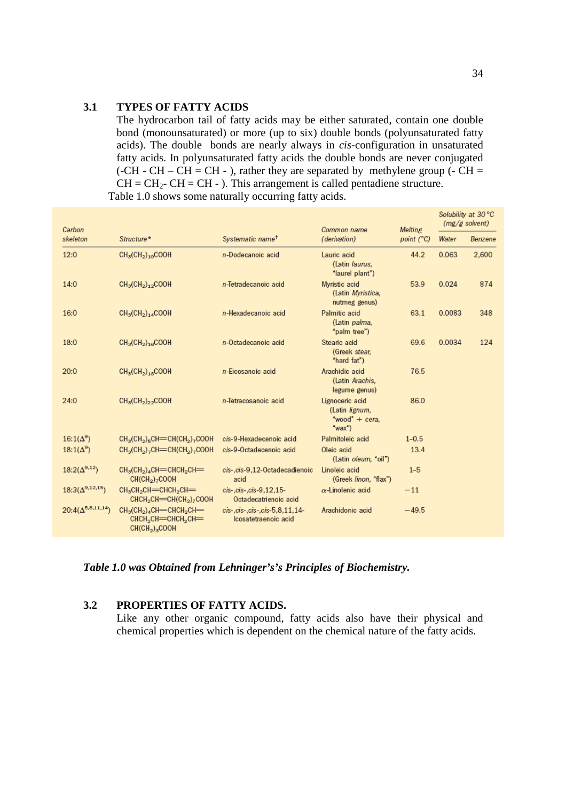#### **3.1 TYPES OF FATTY ACIDS**

The hydrocarbon tail of fatty acids may be either saturated, contain one double bond (monounsaturated) or more (up to six) double bonds (polyunsaturated fatty acids). The double bonds are nearly always in *cis-*configuration in unsaturated fatty acids. In polyunsaturated fatty acids the double bonds are never conjugated (-CH - CH – CH = CH - ), rather they are separated by methylene group (- CH =  $CH = CH<sub>2</sub> - CH = CH -$ ). This arrangement is called pentadiene structure. Table 1.0 shows some naturally occurring fatty acids.

| Carbon                     |                                                                                                                |                                                             | Common name                                                        | Melting             | Solubility at 30 °C<br>$(mg/g$ solvent) |         |
|----------------------------|----------------------------------------------------------------------------------------------------------------|-------------------------------------------------------------|--------------------------------------------------------------------|---------------------|-----------------------------------------|---------|
| skeleton                   | Structure*                                                                                                     | Systematic name <sup>t</sup>                                | (derivation)                                                       | point $(^{\circ}C)$ | Water                                   | Benzene |
| 12:0                       | $CH3(CH2)10COOH$                                                                                               | n-Dodecanoic acid                                           | Lauric acid<br>(Latin laurus,<br>"laurel plant")                   | 44.2                | 0.063                                   | 2,600   |
| 14:0                       | $CH3(CH2)12COOH$                                                                                               | n-Tetradecanoic acid                                        | Myristic acid<br>(Latin Myristica,<br>nutmeg genus)                | 53.9                | 0.024                                   | 874     |
| 16:0                       | $CH3(CH2)14COOH$                                                                                               | n-Hexadecanoic acid                                         | Palmitic acid<br>(Latin palma,<br>"palm tree")                     | 63.1                | 0.0083                                  | 348     |
| 18:0                       | $CH3(CH2)16COOH$                                                                                               | n-Octadecanoic acid                                         | Stearic acid<br>(Greek stear,<br>"hard fat")                       | 69.6                | 0.0034                                  | 124     |
| 20:0                       | $CH3(CH2)18COOH$                                                                                               | n-Eicosanoic acid                                           | Arachidic acid<br>(Latin Arachis,<br>legume genus)                 | 76.5                |                                         |         |
| 24:0                       | $CH3(CH2)22COOH$                                                                                               | n-Tetracosanoic acid                                        | Lignoceric acid<br>(Latin lignum,<br>"wood" $+$ cera.<br>$(wax^*)$ | 86.0                |                                         |         |
| $16:1(\Delta^9)$           | $CH3(CH2)5CH=CH(CH2)7COOH$                                                                                     | cis-9-Hexadecenoic acid                                     | Palmitoleic acid                                                   | $1 - 0.5$           |                                         |         |
| $18:1(\Delta^9)$           | CH <sub>3</sub> (CH <sub>2</sub> ) <sub>7</sub> CH=CH(CH <sub>2</sub> ) <sub>7</sub> COOH                      | cis-9-Octadecenoic acid                                     | Oleic acid<br>(Latin oleum, "oil")                                 | 13.4                |                                         |         |
| $18:2(\Delta^{9,12})$      | $CH3(CH2)4CH=CHCH2CH=$<br>CH(CH <sub>2</sub> ) <sub>7</sub> COOH                                               | cis-, cis-9,12-Octadecadienoic<br>acid                      | Linoleic acid<br>(Greek linon, "flax")                             | $1-5$               |                                         |         |
| $18:3(\Delta^{9,12,15})$   | CH3CH2CH=CHCH2CH=<br>CHCH <sub>2</sub> CH=CH(CH <sub>2</sub> ) <sub>7</sub> COOH                               | cis-, cis-, cis-9, 12, 15-<br>Octadecatrienoic acid         | $\alpha$ -Linolenic acid                                           | $-11$               |                                         |         |
| $20:4(\Delta^{5,8,11,14})$ | $CH3(CH2)4CH=CHCH2CH=$<br>CHCH <sub>2</sub> CH=CHCH <sub>2</sub> CH=<br>CH(CH <sub>2</sub> ) <sub>3</sub> COOH | cis-, cis-, cis-, cis-5, 8, 11, 14-<br>Icosatetraenoic acid | Arachidonic acid                                                   | $-49.5$             |                                         |         |

*Table 1.0 was Obtained from Lehninger's's Principles of Biochemistry.*

## **3.2 PROPERTIES OF FATTY ACIDS.**

Like any other organic compound, fatty acids also have their physical and chemical properties which is dependent on the chemical nature of the fatty acids.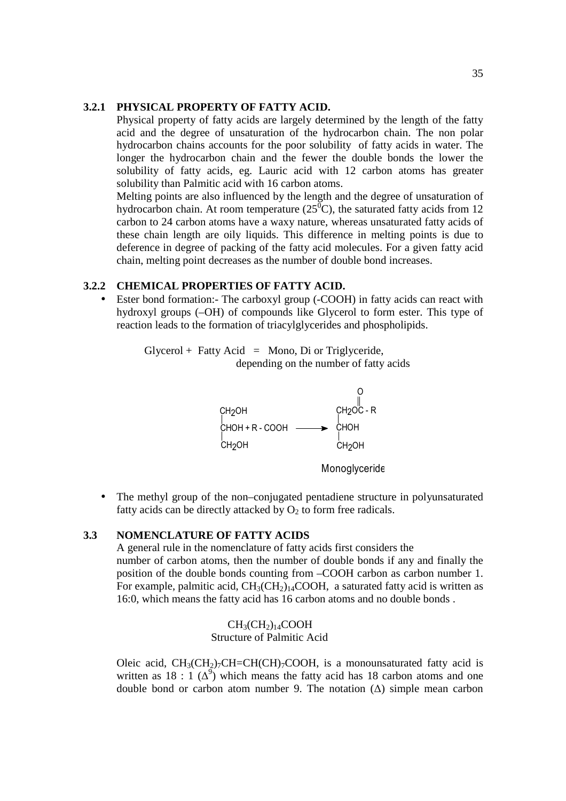### **3.2.1 PHYSICAL PROPERTY OF FATTY ACID.**

Physical property of fatty acids are largely determined by the length of the fatty acid and the degree of unsaturation of the hydrocarbon chain. The non polar hydrocarbon chains accounts for the poor solubility of fatty acids in water. The longer the hydrocarbon chain and the fewer the double bonds the lower the solubility of fatty acids, eg. Lauric acid with 12 carbon atoms has greater solubility than Palmitic acid with 16 carbon atoms.

Melting points are also influenced by the length and the degree of unsaturation of hydrocarbon chain. At room temperature  $(25^{\circ}\text{C})$ , the saturated fatty acids from 12 carbon to 24 carbon atoms have a waxy nature, whereas unsaturated fatty acids of these chain length are oily liquids. This difference in melting points is due to deference in degree of packing of the fatty acid molecules. For a given fatty acid chain, melting point decreases as the number of double bond increases.

# **3.2.2 CHEMICAL PROPERTIES OF FATTY ACID.**

Ester bond formation: The carboxyl group (-COOH) in fatty acids can react with hydroxyl groups (–OH) of compounds like Glycerol to form ester. This type of reaction leads to the formation of triacylglycerides and phospholipids.

> $Glycerol + Fatty Acid = Mono, Di or Triglyceride,$ depending on the number of fatty acids



Monoglyceride

• The methyl group of the non–conjugated pentadiene structure in polyunsaturated fatty acids can be directly attacked by  $O_2$  to form free radicals.

# **3.3 NOMENCLATURE OF FATTY ACIDS**

A general rule in the nomenclature of fatty acids first considers the number of carbon atoms, then the number of double bonds if any and finally the position of the double bonds counting from –COOH carbon as carbon number 1. For example, palmitic acid,  $CH_3CH_2$ <sub>14</sub>COOH, a saturated fatty acid is written as 16:0, which means the fatty acid has 16 carbon atoms and no double bonds .

> $CH<sub>3</sub>(CH<sub>2</sub>)<sub>14</sub>COOH$ Structure of Palmitic Acid

Oleic acid,  $CH_3(CH_2)$ <sub>7</sub>CH=CH(CH)<sub>7</sub>COOH, is a monounsaturated fatty acid is written as 18 : 1  $(\Delta^9)$  which means the fatty acid has 18 carbon atoms and one double bond or carbon atom number 9. The notation  $(\Delta)$  simple mean carbon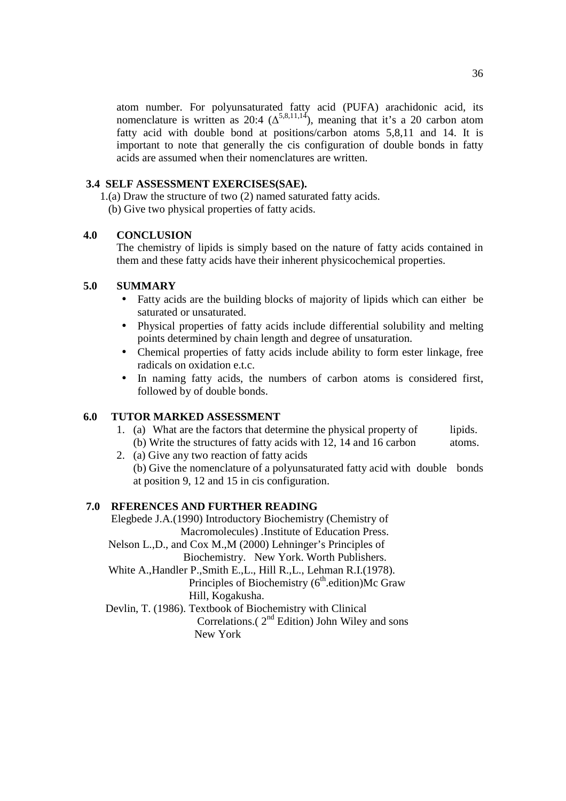atom number. For polyunsaturated fatty acid (PUFA) arachidonic acid, its nomenclature is written as 20:4 ( $\Delta^{5,8,11,14}$ ), meaning that it's a 20 carbon atom fatty acid with double bond at positions/carbon atoms 5,8,11 and 14. It is important to note that generally the cis configuration of double bonds in fatty acids are assumed when their nomenclatures are written.

# **3.4 SELF ASSESSMENT EXERCISES(SAE).**

1.(a) Draw the structure of two (2) named saturated fatty acids.

(b) Give two physical properties of fatty acids.

# **4.0 CONCLUSION**

The chemistry of lipids is simply based on the nature of fatty acids contained in them and these fatty acids have their inherent physicochemical properties.

# **5.0 SUMMARY**

- Fatty acids are the building blocks of majority of lipids which can either be saturated or unsaturated.
- Physical properties of fatty acids include differential solubility and melting points determined by chain length and degree of unsaturation.
- Chemical properties of fatty acids include ability to form ester linkage, free radicals on oxidation e.t.c.
- In naming fatty acids, the numbers of carbon atoms is considered first, followed by of double bonds.

#### **6.0 TUTOR MARKED ASSESSMENT**

- 1. (a) What are the factors that determine the physical property of lipids. (b) Write the structures of fatty acids with 12, 14 and 16 carbon atoms.
- 2. (a) Give any two reaction of fatty acids (b) Give the nomenclature of a polyunsaturated fatty acid with double bonds at position 9, 12 and 15 in cis configuration.

# **7.0 RFERENCES AND FURTHER READING**

 Elegbede J.A.(1990) Introductory Biochemistry (Chemistry of Macromolecules) .Institute of Education Press. Nelson L.,D., and Cox M.,M (2000) Lehninger's Principles of Biochemistry. New York. Worth Publishers. White A.,Handler P.,Smith E.,L., Hill R.,L., Lehman R.I.(1978). Principles of Biochemistry  $(6<sup>th</sup>$  edition)Mc Graw Hill, Kogakusha. Devlin, T. (1986). Textbook of Biochemistry with Clinical Correlations. $(2<sup>nd</sup> Edition)$  John Wiley and sons New York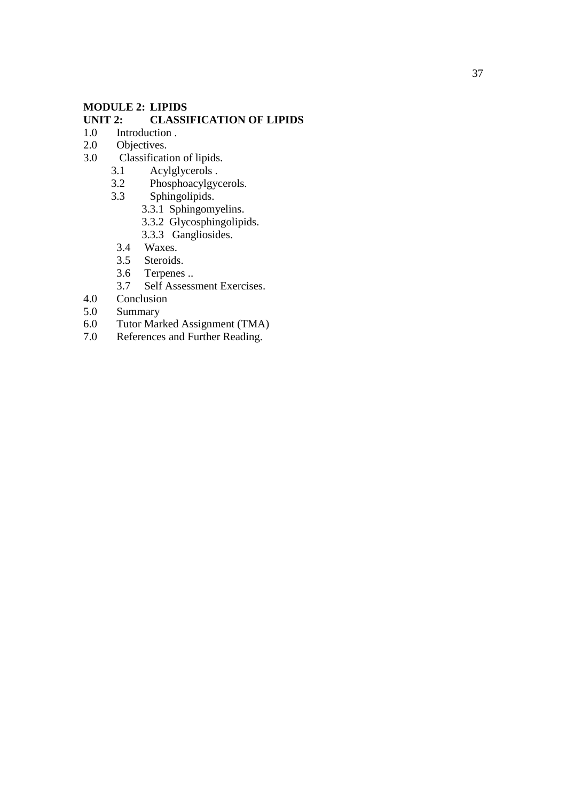#### **MODULE 2: LIPIDS**

# **UNIT 2: CLASSIFICATION OF LIPIDS**<br>1.0 Introduction .

- Introduction .
- 2.0 Objectives.
- 3.0 Classification of lipids.
	- 3.1 Acylglycerols .<br>3.2 Phosphoacylgy
	- 3.2 Phosphoacylgycerols.<br>3.3 Sphingolipids.
	- Sphingolipids.
		- 3.3.1 Sphingomyelins.
		- 3.3.2 Glycosphingolipids.
		- 3.3.3 Gangliosides.<br>3.4 Waxes.
		- Waxes.
		- 3.5 Steroids.
		- 3.6 Terpenes ..
- 3.7 Self Assessment Exercises.<br>4.0 Conclusion
- 4.0 Conclusion<br>5.0 Summary
- Summary
- 6.0 Tutor Marked Assignment (TMA)
- 7.0 References and Further Reading.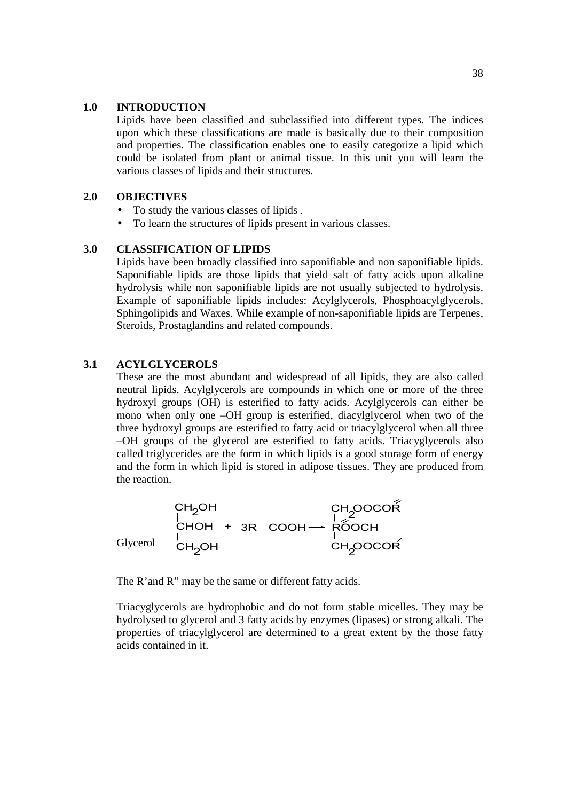#### **1.0 INTRODUCTION**

Lipids have been classified and subclassified into different types. The indices upon which these classifications are made is basically due to their composition and properties. The classification enables one to easily categorize a lipid which could be isolated from plant or animal tissue. In this unit you will learn the various classes of lipids and their structures.

#### **2.0 OBJECTIVES**

- To study the various classes of lipids .
- To learn the structures of lipids present in various classes.

#### **3.0 CLASSIFICATION OF LIPIDS**

Lipids have been broadly classified into saponifiable and non saponifiable lipids. Saponifiable lipids are those lipids that yield salt of fatty acids upon alkaline hydrolysis while non saponifiable lipids are not usually subjected to hydrolysis. Example of saponifiable lipids includes: Acylglycerols, Phosphoacylglycerols, Sphingolipids and Waxes. While example of non-saponifiable lipids are Terpenes, Steroids, Prostaglandins and related compounds.

#### **3.1 ACYLGLYCEROLS**

These are the most abundant and widespread of all lipids, they are also called neutral lipids. Acylglycerols are compounds in which one or more of the three hydroxyl groups (OH) is esterified to fatty acids. Acylglycerols can either be mono when only one –OH group is esterified, diacylglycerol when two of the three hydroxyl groups are esterified to fatty acid or triacylglycerol when all three –OH groups of the glycerol are esterified to fatty acids. Triacyglycerols also called triglycerides are the form in which lipids is a good storage form of energy and the form in which lipid is stored in adipose tissues. They are produced from the reaction.

C <sup>H</sup> <sup>2</sup>O H C H O H C <sup>H</sup> <sup>2</sup>O H + 3 R C O O H R O O C H C H 2O O C O R C H 2O O C O R Glycerol

The R'and R" may be the same or different fatty acids.

Triacyglycerols are hydrophobic and do not form stable micelles. They may be hydrolysed to glycerol and 3 fatty acids by enzymes (lipases) or strong alkali. The properties of triacylglycerol are determined to a great extent by the those fatty acids contained in it.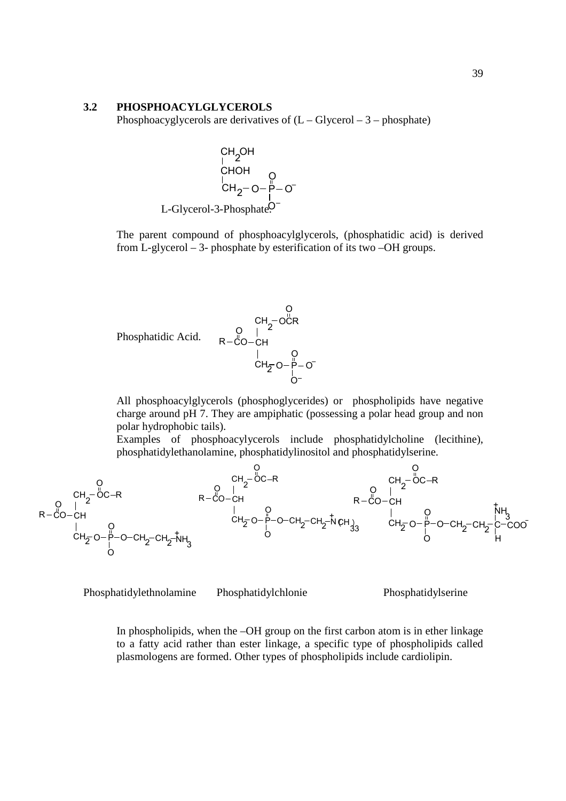#### **3.2 PHOSPHOACYLGLYCEROLS**

Phosphoacyglycerols are derivatives of  $(L - Glycerol - 3 - phosphate)$ 

CH<sub>2</sub>OH  
\nCHOH  
\nCHOH  
\nCH<sub>2</sub>–O–
$$
\rho
$$
–O  
\nL-Glycerol-3-Phosphate.<sup>O</sup>

The parent compound of phosphoacylglycerols, (phosphatidic acid) is derived from L-glycerol – 3- phosphate by esterification of its two –OH groups.

Phosphatidic Acid.

\n
$$
R - \overset{\text{O}}{C} - CH
$$
\n
$$
R - \overset{\text{O}}{C} - CH
$$
\n
$$
CH_{\overline{2}} - O - \overset{\text{O}}{P} - O
$$
\n
$$
CH_{\overline{2}} - O - \overset{\text{O}}{P} - O
$$

All phosphoacylglycerols (phosphoglycerides) or phospholipids have negative charge around pH 7. They are ampiphatic (possessing a polar head group and non polar hydrophobic tails).

Examples of phosphoacylycerols include phosphatidylcholine (lecithine), phosphatidylethanolamine, phosphatidylinositol and phosphatidylserine.



Phosphatidylethnolamine Phosphatidylchlonie Phosphatidylserine

In phospholipids, when the –OH group on the first carbon atom is in ether linkage to a fatty acid rather than ester linkage, a specific type of phospholipids called plasmologens are formed. Other types of phospholipids include cardiolipin.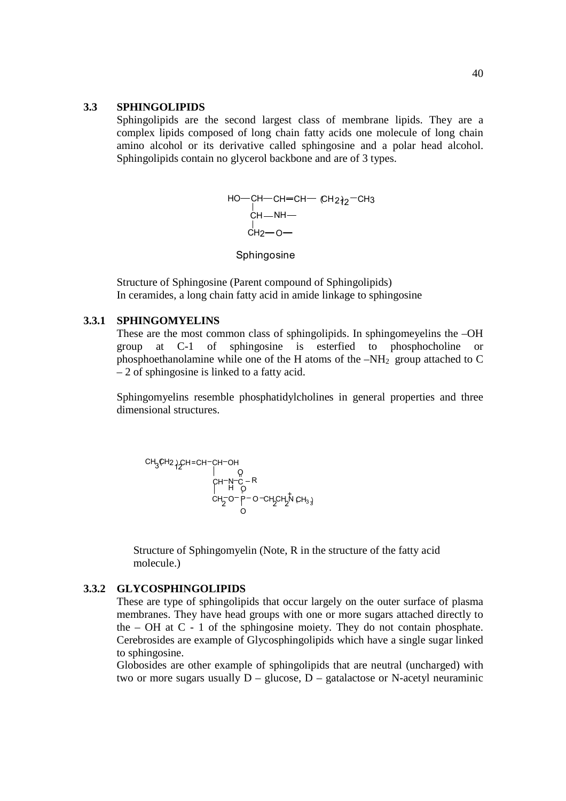#### **3.3 SPHINGOLIPIDS**

Sphingolipids are the second largest class of membrane lipids. They are a complex lipids composed of long chain fatty acids one molecule of long chain amino alcohol or its derivative called sphingosine and a polar head alcohol. Sphingolipids contain no glycerol backbone and are of 3 types.

$$
HO - CH - CH = CH - CH2^{2} - CH3
$$
  
\nCH - NH -  
\nCH<sub>2</sub> - O -

Sphingosine

Structure of Sphingosine (Parent compound of Sphingolipids) In ceramides, a long chain fatty acid in amide linkage to sphingosine

#### **3.3.1 SPHINGOMYELINS**

These are the most common class of sphingolipids. In sphingomeyelins the –OH group at C-1 of sphingosine is esterfied to phosphocholine or phosphoethanolamine while one of the H atoms of the  $-NH<sub>2</sub>$  group attached to C – 2 of sphingosine is linked to a fatty acid.

Sphingomyelins resemble phosphatidylcholines in general properties and three dimensional structures.

CH<sub>3</sub>CH<sub>2</sub> 
$$
{}_{1}^{}
$$
CH=CH=CH=CH=OH

\n

| CH <sub>3</sub> CH <sub>2</sub> ${}_{1}^{}$ CH=CH=CH=CH=OH |             |
|------------------------------------------------------------|-------------|
| CH <sub>2</sub> O                                          | {}_{1}^{} C |
| CH <sub>2</sub> O                                          | {}_{0}^{}   |
| CH <sub>2</sub> O                                          | {}_{0}^{}   |

Structure of Sphingomyelin (Note, R in the structure of the fatty acid molecule.)

#### **3.3.2 GLYCOSPHINGOLIPIDS**

These are type of sphingolipids that occur largely on the outer surface of plasma membranes. They have head groups with one or more sugars attached directly to the  $-$  OH at C  $-$  1 of the sphingosine moiety. They do not contain phosphate. Cerebrosides are example of Glycosphingolipids which have a single sugar linked to sphingosine.

Globosides are other example of sphingolipids that are neutral (uncharged) with two or more sugars usually  $D -$  glucose,  $D -$  gatalactose or N-acetyl neuraminic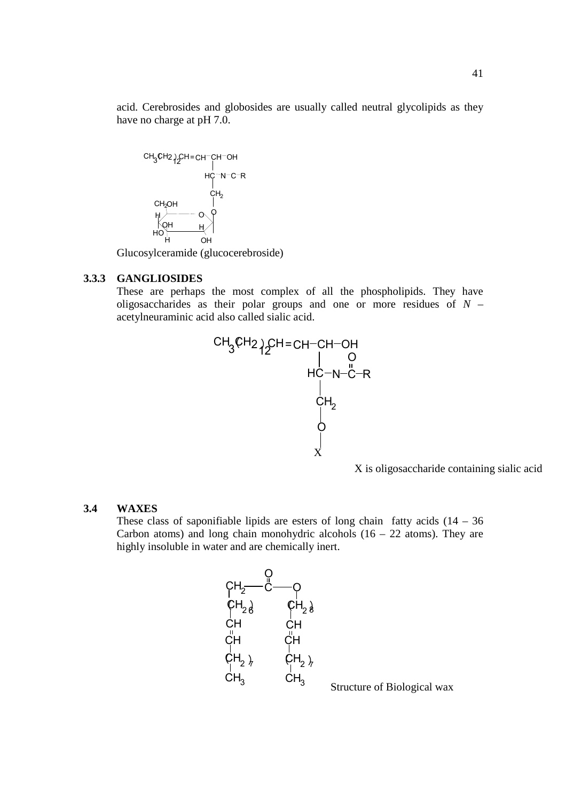acid. Cerebrosides and globosides are usually called neutral glycolipids as they have no charge at pH 7.0.



Glucosylceramide (glucocerebroside)

#### **3.3.3 GANGLIOSIDES**

These are perhaps the most complex of all the phospholipids. They have oligosaccharides as their polar groups and one or more residues of *N* – acetylneuraminic acid also called sialic acid.



X is oligosaccharide containing sialic acid

41

#### **3.4 WAXES**

These class of saponifiable lipids are esters of long chain fatty acids  $(14 - 36)$ Carbon atoms) and long chain monohydric alcohols  $(16 - 22 \text{ atoms})$ . They are highly insoluble in water and are chemically inert.



Structure of Biological wax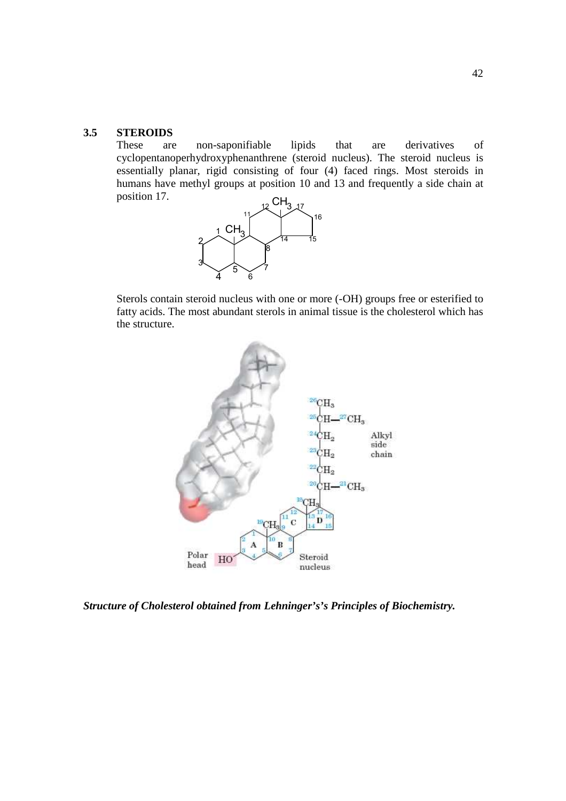#### **3.5 STEROIDS**

These are non-saponifiable lipids that are derivatives of cyclopentanoperhydroxyphenanthrene (steroid nucleus). The steroid nucleus is essentially planar, rigid consisting of four (4) faced rings. Most steroids in humans have methyl groups at position 10 and 13 and frequently a side chain at position 17.



Sterols contain steroid nucleus with one or more (-OH) groups free or esterified to fatty acids. The most abundant sterols in animal tissue is the cholesterol which has the structure.



*Structure of Cholesterol obtained from Lehninger's's Principles of Biochemistry.*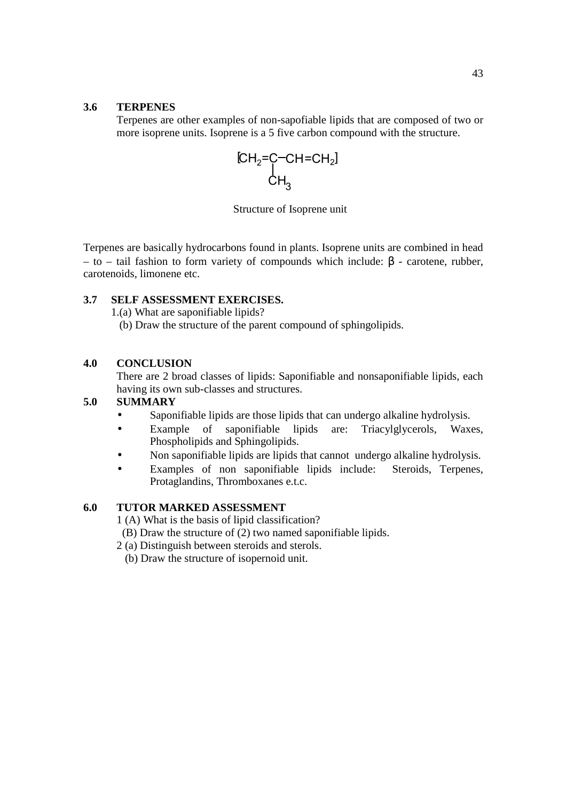#### **3.6 TERPENES**

Terpenes are other examples of non-sapofiable lipids that are composed of two or more isoprene units. Isoprene is a 5 five carbon compound with the structure.



Structure of Isoprene unit

Terpenes are basically hydrocarbons found in plants. Isoprene units are combined in head – to – tail fashion to form variety of compounds which include: β - carotene, rubber, carotenoids, limonene etc.

#### **3.7 SELF ASSESSMENT EXERCISES.**

1.(a) What are saponifiable lipids?

(b) Draw the structure of the parent compound of sphingolipids.

#### **4.0 CONCLUSION**

There are 2 broad classes of lipids: Saponifiable and nonsaponifiable lipids, each having its own sub-classes and structures.

#### **5.0 SUMMARY**

- Saponifiable lipids are those lipids that can undergo alkaline hydrolysis.
- Example of saponifiable lipids are: Triacylglycerols, Waxes, Phospholipids and Sphingolipids.
- Non saponifiable lipids are lipids that cannot undergo alkaline hydrolysis.
- Examples of non saponifiable lipids include: Steroids, Terpenes, Protaglandins, Thromboxanes e.t.c.

#### **6.0 TUTOR MARKED ASSESSMENT**

1 (A) What is the basis of lipid classification?

- (B) Draw the structure of (2) two named saponifiable lipids.
- 2 (a) Distinguish between steroids and sterols.
	- (b) Draw the structure of isopernoid unit.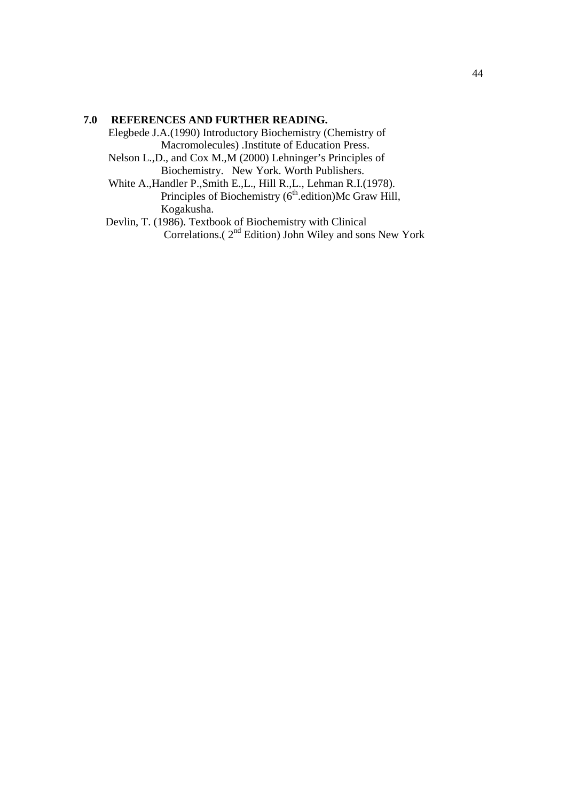#### **7.0 REFERENCES AND FURTHER READING.**

Elegbede J.A.(1990) Introductory Biochemistry (Chemistry of Macromolecules) .Institute of Education Press.

 Nelson L.,D., and Cox M.,M (2000) Lehninger's Principles of Biochemistry. New York. Worth Publishers.

 White A.,Handler P.,Smith E.,L., Hill R.,L., Lehman R.I.(1978). Principles of Biochemistry  $(6<sup>th</sup>$ .edition)Mc Graw Hill, Kogakusha.

 Devlin, T. (1986). Textbook of Biochemistry with Clinical Correlations.( 2nd Edition) John Wiley and sons New York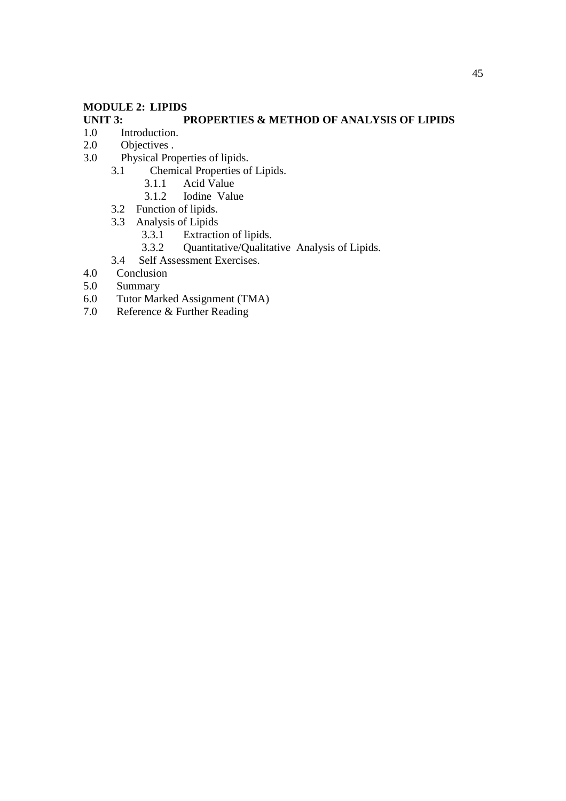#### **MODULE 2: LIPIDS**

#### **UNIT 3:** PROPERTIES & METHOD OF ANALYSIS OF LIPIDS 1.0 Introduction. Introduction.

- 2.0 Objectives .
- 3.0 Physical Properties of lipids.
	- 3.1 Chemical Properties of Lipids.<br>3.1.1 Acid Value
		- 3.1.1 Acid Value<br>3.1.2 Iodine Value
		- Iodine Value
	- 3.2 Function of lipids.
	- 3.3 Analysis of Lipids<br>3.3.1 Extraction
		- 3.3.1 Extraction of lipids.<br>3.3.2 Ouantitative/Oualita
		- 3.3.2 Quantitative/Qualitative Analysis of Lipids.
	- 3.4 Self Assessment Exercises.
- 4.0 Conclusion
- 5.0 Summary<br>6.0 Tutor Mar
- 6.0 Tutor Marked Assignment (TMA)<br>7.0 Reference & Further Reading
- Reference & Further Reading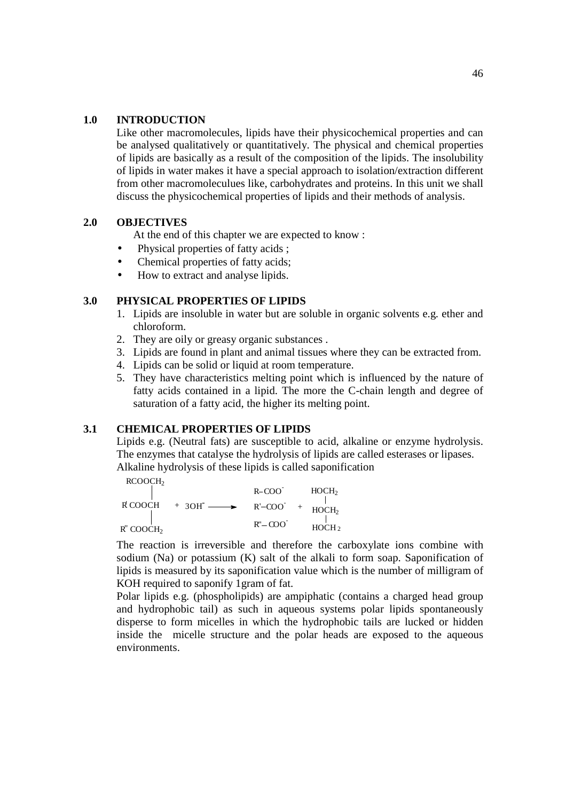#### **1.0 INTRODUCTION**

Like other macromolecules, lipids have their physicochemical properties and can be analysed qualitatively or quantitatively. The physical and chemical properties of lipids are basically as a result of the composition of the lipids. The insolubility of lipids in water makes it have a special approach to isolation/extraction different from other macromoleculues like, carbohydrates and proteins. In this unit we shall discuss the physicochemical properties of lipids and their methods of analysis.

#### **2.0 OBJECTIVES**

At the end of this chapter we are expected to know :

- Physical properties of fatty acids ;
- Chemical properties of fatty acids;
- How to extract and analyse lipids.

#### **3.0 PHYSICAL PROPERTIES OF LIPIDS**

- 1. Lipids are insoluble in water but are soluble in organic solvents e.g. ether and chloroform.
- 2. They are oily or greasy organic substances .
- 3. Lipids are found in plant and animal tissues where they can be extracted from.
- 4. Lipids can be solid or liquid at room temperature.
- 5. They have characteristics melting point which is influenced by the nature of fatty acids contained in a lipid. The more the C-chain length and degree of saturation of a fatty acid, the higher its melting point.

#### **3.1 CHEMICAL PROPERTIES OF LIPIDS**

Lipids e.g. (Neutral fats) are susceptible to acid, alkaline or enzyme hydrolysis. The enzymes that catalyse the hydrolysis of lipids are called esterases or lipases. Alkaline hydrolysis of these lipids is called saponification

RCOOCH<sub>2</sub>

|                                   | $R-COO$         | HOCH <sub>2</sub> |
|-----------------------------------|-----------------|-------------------|
| R COOCH<br>$+3OH \longrightarrow$ | $R'-COO$        | HOCH <sub>2</sub> |
| R" COOCH2                         | $R'' - COO^{-}$ | HOCH <sub>2</sub> |

The reaction is irreversible and therefore the carboxylate ions combine with sodium (Na) or potassium (K) salt of the alkali to form soap. Saponification of lipids is measured by its saponification value which is the number of milligram of KOH required to saponify 1gram of fat.

Polar lipids e.g. (phospholipids) are ampiphatic (contains a charged head group and hydrophobic tail) as such in aqueous systems polar lipids spontaneously disperse to form micelles in which the hydrophobic tails are lucked or hidden inside the micelle structure and the polar heads are exposed to the aqueous environments.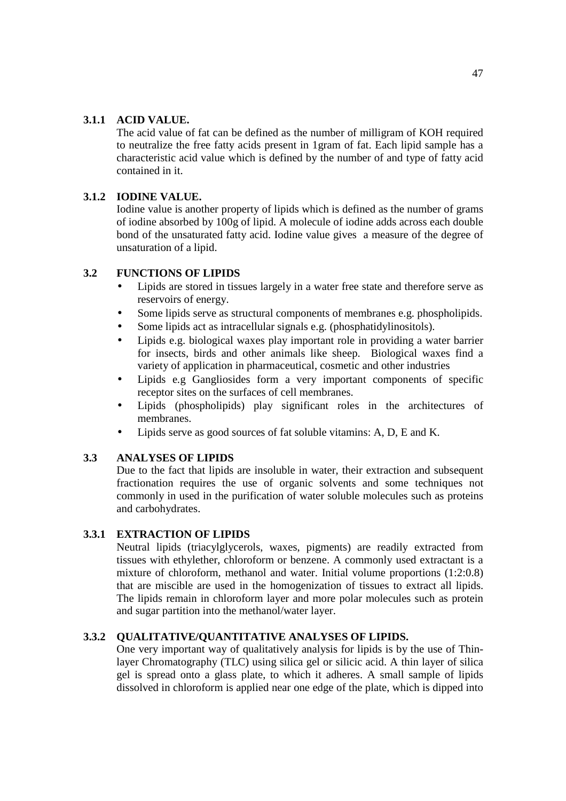#### **3.1.1 ACID VALUE.**

The acid value of fat can be defined as the number of milligram of KOH required to neutralize the free fatty acids present in 1gram of fat. Each lipid sample has a characteristic acid value which is defined by the number of and type of fatty acid contained in it.

#### **3.1.2 IODINE VALUE.**

Iodine value is another property of lipids which is defined as the number of grams of iodine absorbed by 100g of lipid. A molecule of iodine adds across each double bond of the unsaturated fatty acid. Iodine value gives a measure of the degree of unsaturation of a lipid.

#### **3.2 FUNCTIONS OF LIPIDS**

- Lipids are stored in tissues largely in a water free state and therefore serve as reservoirs of energy.
- Some lipids serve as structural components of membranes e.g. phospholipids.
- Some lipids act as intracellular signals e.g. (phosphatidylinositols).
- Lipids e.g. biological waxes play important role in providing a water barrier for insects, birds and other animals like sheep. Biological waxes find a variety of application in pharmaceutical, cosmetic and other industries
- Lipids e.g Gangliosides form a very important components of specific receptor sites on the surfaces of cell membranes.
- Lipids (phospholipids) play significant roles in the architectures of membranes.
- Lipids serve as good sources of fat soluble vitamins: A, D, E and K.

#### **3.3 ANALYSES OF LIPIDS**

Due to the fact that lipids are insoluble in water, their extraction and subsequent fractionation requires the use of organic solvents and some techniques not commonly in used in the purification of water soluble molecules such as proteins and carbohydrates.

#### **3.3.1 EXTRACTION OF LIPIDS**

Neutral lipids (triacylglycerols, waxes, pigments) are readily extracted from tissues with ethylether, chloroform or benzene. A commonly used extractant is a mixture of chloroform, methanol and water. Initial volume proportions (1:2:0.8) that are miscible are used in the homogenization of tissues to extract all lipids. The lipids remain in chloroform layer and more polar molecules such as protein and sugar partition into the methanol/water layer.

#### **3.3.2 QUALITATIVE/QUANTITATIVE ANALYSES OF LIPIDS.**

One very important way of qualitatively analysis for lipids is by the use of Thinlayer Chromatography (TLC) using silica gel or silicic acid. A thin layer of silica gel is spread onto a glass plate, to which it adheres. A small sample of lipids dissolved in chloroform is applied near one edge of the plate, which is dipped into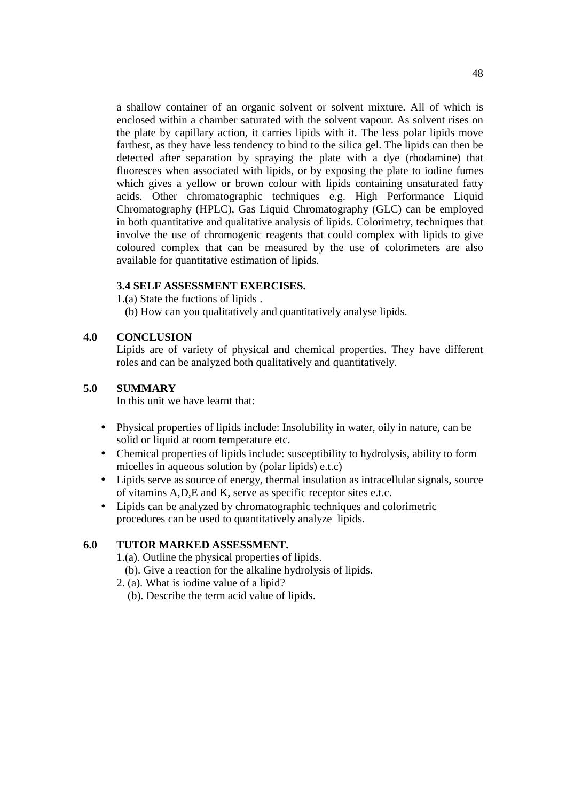a shallow container of an organic solvent or solvent mixture. All of which is enclosed within a chamber saturated with the solvent vapour. As solvent rises on the plate by capillary action, it carries lipids with it. The less polar lipids move farthest, as they have less tendency to bind to the silica gel. The lipids can then be detected after separation by spraying the plate with a dye (rhodamine) that fluoresces when associated with lipids, or by exposing the plate to iodine fumes which gives a yellow or brown colour with lipids containing unsaturated fatty acids. Other chromatographic techniques e.g. High Performance Liquid Chromatography (HPLC), Gas Liquid Chromatography (GLC) can be employed in both quantitative and qualitative analysis of lipids. Colorimetry, techniques that involve the use of chromogenic reagents that could complex with lipids to give coloured complex that can be measured by the use of colorimeters are also available for quantitative estimation of lipids.

#### **3.4 SELF ASSESSMENT EXERCISES.**

1.(a) State the fuctions of lipids .

(b) How can you qualitatively and quantitatively analyse lipids.

#### **4.0 CONCLUSION**

Lipids are of variety of physical and chemical properties. They have different roles and can be analyzed both qualitatively and quantitatively.

#### **5.0 SUMMARY**

In this unit we have learnt that:

- Physical properties of lipids include: Insolubility in water, oily in nature, can be solid or liquid at room temperature etc.
- Chemical properties of lipids include: susceptibility to hydrolysis, ability to form micelles in aqueous solution by (polar lipids) e.t.c)
- Lipids serve as source of energy, thermal insulation as intracellular signals, source of vitamins A,D,E and K, serve as specific receptor sites e.t.c.
- Lipids can be analyzed by chromatographic techniques and colorimetric procedures can be used to quantitatively analyze lipids.

#### **6.0 TUTOR MARKED ASSESSMENT.**

1.(a). Outline the physical properties of lipids.

- (b). Give a reaction for the alkaline hydrolysis of lipids.
- 2. (a). What is iodine value of a lipid?
	- (b). Describe the term acid value of lipids.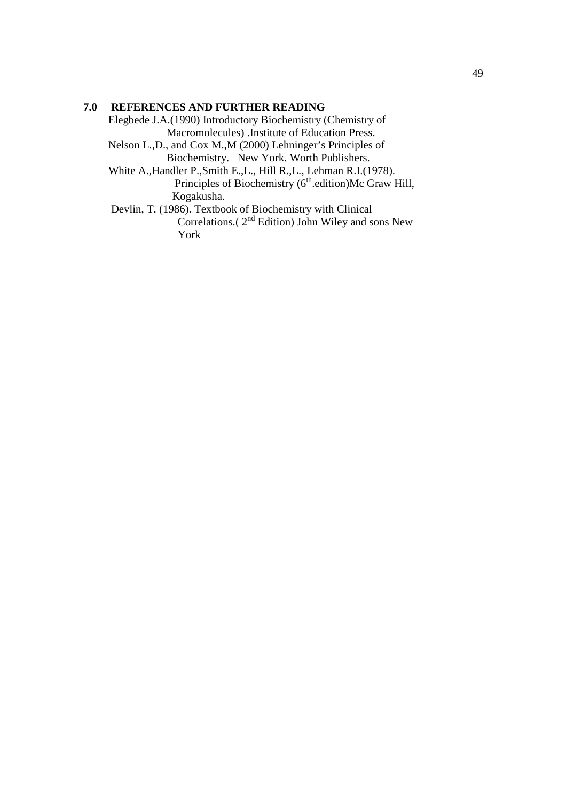#### **7.0 REFERENCES AND FURTHER READING**

Elegbede J.A.(1990) Introductory Biochemistry (Chemistry of Macromolecules) .Institute of Education Press.

 Nelson L.,D., and Cox M.,M (2000) Lehninger's Principles of Biochemistry. New York. Worth Publishers.

 White A.,Handler P.,Smith E.,L., Hill R.,L., Lehman R.I.(1978). Principles of Biochemistry  $(6<sup>th</sup>$ .edition)Mc Graw Hill, Kogakusha.

 Devlin, T. (1986). Textbook of Biochemistry with Clinical Correlations.( $2<sup>nd</sup>$  Edition) John Wiley and sons New York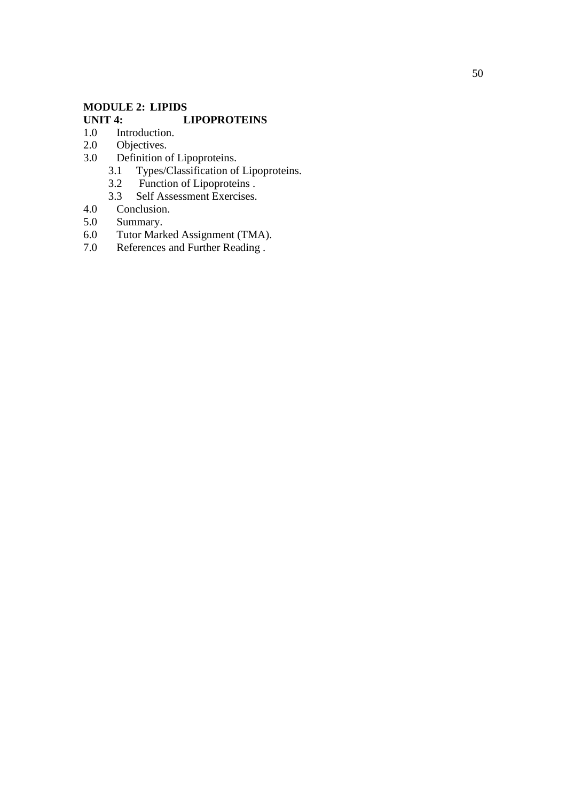# **MODULE 2: LIPIDS UNIT 4:** LIPOPROTEINS 1.0 Introduction.

- 1.0 Introduction.<br>2.0 Objectives.
- Objectives.
- 3.0 Definition of Lipoproteins.
- 3.1 Types/Classification of Lipoproteins.
- 3.2 Function of Lipoproteins .
- 3.3 Self Assessment Exercises.<br>4.0 Conclusion.
- 4.0 Conclusion.<br>5.0 Summary.
- 5.0 Summary.<br>6.0 Tutor Mark
- 6.0 Tutor Marked Assignment (TMA).
- 7.0 References and Further Reading .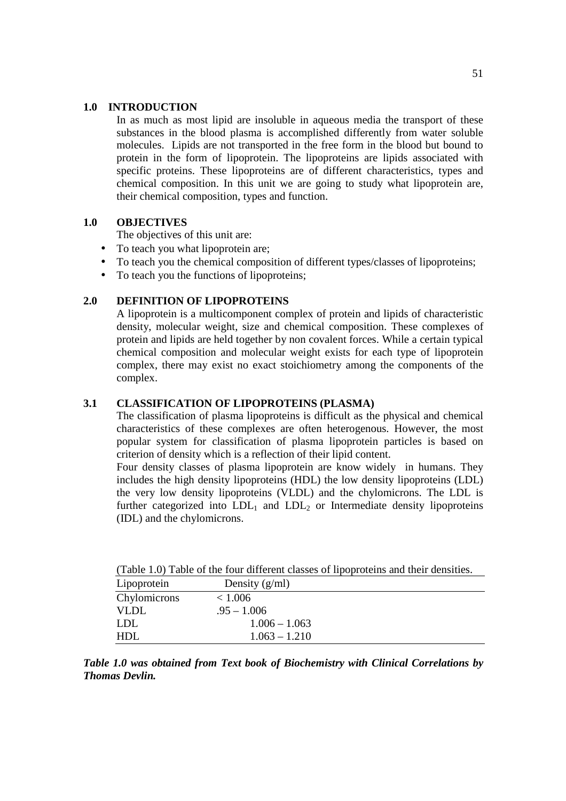#### **1.0 INTRODUCTION**

In as much as most lipid are insoluble in aqueous media the transport of these substances in the blood plasma is accomplished differently from water soluble molecules. Lipids are not transported in the free form in the blood but bound to protein in the form of lipoprotein. The lipoproteins are lipids associated with specific proteins. These lipoproteins are of different characteristics, types and chemical composition. In this unit we are going to study what lipoprotein are, their chemical composition, types and function.

#### **1.0 OBJECTIVES**

The objectives of this unit are:

- To teach you what lipoprotein are;
- To teach you the chemical composition of different types/classes of lipoproteins;
- To teach you the functions of lipoproteins;

#### **2.0 DEFINITION OF LIPOPROTEINS**

A lipoprotein is a multicomponent complex of protein and lipids of characteristic density, molecular weight, size and chemical composition. These complexes of protein and lipids are held together by non covalent forces. While a certain typical chemical composition and molecular weight exists for each type of lipoprotein complex, there may exist no exact stoichiometry among the components of the complex.

#### **3.1 CLASSIFICATION OF LIPOPROTEINS (PLASMA)**

The classification of plasma lipoproteins is difficult as the physical and chemical characteristics of these complexes are often heterogenous. However, the most popular system for classification of plasma lipoprotein particles is based on criterion of density which is a reflection of their lipid content.

Four density classes of plasma lipoprotein are know widely in humans. They includes the high density lipoproteins (HDL) the low density lipoproteins (LDL) the very low density lipoproteins (VLDL) and the chylomicrons. The LDL is further categorized into  $LDL_1$  and  $LDL_2$  or Intermediate density lipoproteins (IDL) and the chylomicrons.

|              | Twere 1107 Twere of the four university enables of hpoproteins and their densities. |
|--------------|-------------------------------------------------------------------------------------|
| Lipoprotein  | Density $(g/ml)$                                                                    |
| Chylomicrons | < 1.006                                                                             |
| <b>VLDL</b>  | $.95 - 1.006$                                                                       |
| LDL          | $1.006 - 1.063$                                                                     |
| HDL          | $1.063 - 1.210$                                                                     |

(Table 1.0) Table of the four different classes of lipoproteins and their densities.

*Table 1.0 was obtained from Text book of Biochemistry with Clinical Correlations by Thomas Devlin.*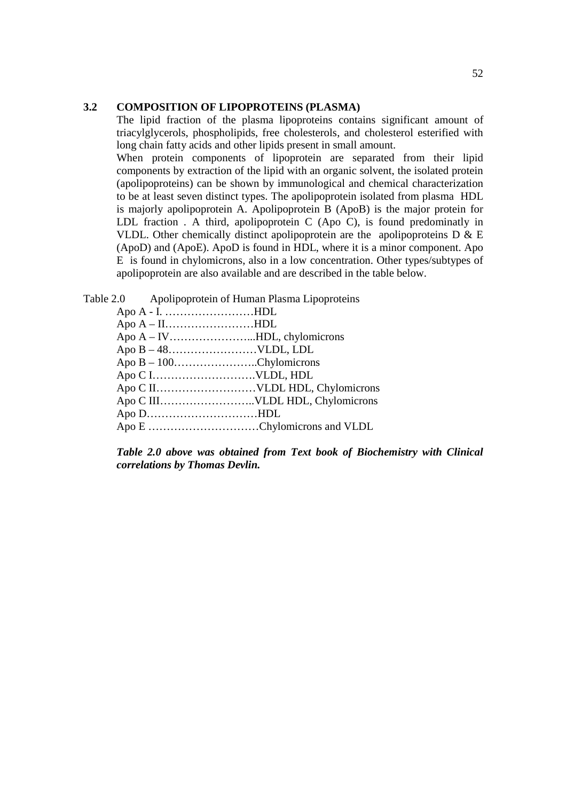#### **3.2 COMPOSITION OF LIPOPROTEINS (PLASMA)**

The lipid fraction of the plasma lipoproteins contains significant amount of triacylglycerols, phospholipids, free cholesterols, and cholesterol esterified with long chain fatty acids and other lipids present in small amount.

When protein components of lipoprotein are separated from their lipid components by extraction of the lipid with an organic solvent, the isolated protein (apolipoproteins) can be shown by immunological and chemical characterization to be at least seven distinct types. The apolipoprotein isolated from plasma HDL is majorly apolipoprotein A. Apolipoprotein B (ApoB) is the major protein for LDL fraction . A third, apolipoprotein C (Apo C), is found predominatly in VLDL. Other chemically distinct apolipoprotein are the apolipoproteins  $D \& E$ (ApoD) and (ApoE). ApoD is found in HDL, where it is a minor component. Apo E is found in chylomicrons, also in a low concentration. Other types/subtypes of apolipoprotein are also available and are described in the table below.

Table 2.0 Apolipoprotein of Human Plasma Lipoproteins

| Apo $A - I$ HDL             |  |
|-----------------------------|--|
| Apo $A - II$ HDL            |  |
|                             |  |
|                             |  |
| Apo $B - 100$ Chylomicrons  |  |
|                             |  |
|                             |  |
|                             |  |
| Apo $D$ HDL                 |  |
| Apo E Chylomicrons and VLDL |  |
|                             |  |

*Table 2.0 above was obtained from Text book of Biochemistry with Clinical correlations by Thomas Devlin.*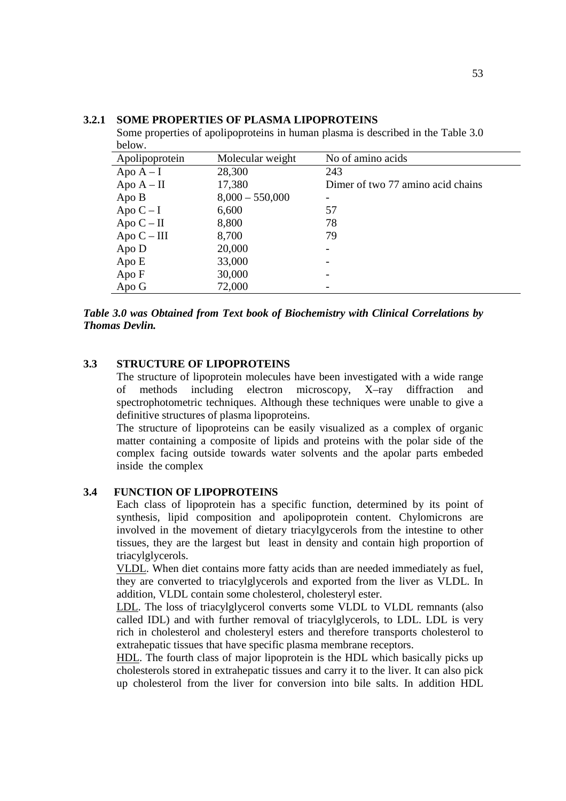| DUDW.          |                   |                                   |
|----------------|-------------------|-----------------------------------|
| Apolipoprotein | Molecular weight  | No of amino acids                 |
| Apo $A-I$      | 28,300            | 243                               |
| Apo $A - II$   | 17,380            | Dimer of two 77 amino acid chains |
| Apo B          | $8,000 - 550,000$ |                                   |
| Apo $C-I$      | 6,600             | 57                                |
| Apo $C - II$   | 8,800             | 78                                |
| Apo $C - III$  | 8,700             | 79                                |
| Apo D          | 20,000            |                                   |
| Apo E          | 33,000            |                                   |
| Apo F          | 30,000            |                                   |
| Apo G          | 72,000            |                                   |

#### **3.2.1 SOME PROPERTIES OF PLASMA LIPOPROTEINS**

Some properties of apolipoproteins in human plasma is described in the Table 3.0 **.**  $**c**$ **.**  $**d**$ **.**  $**e**$ **.**  $**e**$ **.** 

*Table 3.0 was Obtained from Text book of Biochemistry with Clinical Correlations by Thomas Devlin.* 

#### **3.3 STRUCTURE OF LIPOPROTEINS**

The structure of lipoprotein molecules have been investigated with a wide range of methods including electron microscopy, X–ray diffraction and spectrophotometric techniques. Although these techniques were unable to give a definitive structures of plasma lipoproteins.

The structure of lipoproteins can be easily visualized as a complex of organic matter containing a composite of lipids and proteins with the polar side of the complex facing outside towards water solvents and the apolar parts embeded inside the complex

#### **3.4 FUNCTION OF LIPOPROTEINS**

Each class of lipoprotein has a specific function, determined by its point of synthesis, lipid composition and apolipoprotein content. Chylomicrons are involved in the movement of dietary triacylgycerols from the intestine to other tissues, they are the largest but least in density and contain high proportion of triacylglycerols.

VLDL. When diet contains more fatty acids than are needed immediately as fuel, they are converted to triacylglycerols and exported from the liver as VLDL. In addition, VLDL contain some cholesterol, cholesteryl ester.

LDL. The loss of triacylglycerol converts some VLDL to VLDL remnants (also called IDL) and with further removal of triacylglycerols, to LDL. LDL is very rich in cholesterol and cholesteryl esters and therefore transports cholesterol to extrahepatic tissues that have specific plasma membrane receptors.

HDL. The fourth class of major lipoprotein is the HDL which basically picks up cholesterols stored in extrahepatic tissues and carry it to the liver. It can also pick up cholesterol from the liver for conversion into bile salts. In addition HDL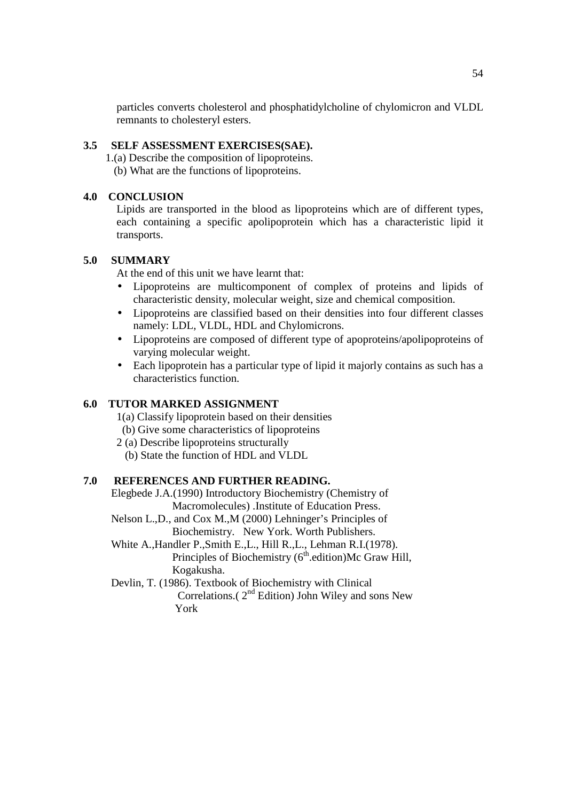particles converts cholesterol and phosphatidylcholine of chylomicron and VLDL remnants to cholesteryl esters.

#### **3.5 SELF ASSESSMENT EXERCISES(SAE).**

- 1.(a) Describe the composition of lipoproteins.
	- (b) What are the functions of lipoproteins.

#### **4.0 CONCLUSION**

Lipids are transported in the blood as lipoproteins which are of different types, each containing a specific apolipoprotein which has a characteristic lipid it transports.

#### **5.0 SUMMARY**

At the end of this unit we have learnt that:

- Lipoproteins are multicomponent of complex of proteins and lipids of characteristic density, molecular weight, size and chemical composition.
- Lipoproteins are classified based on their densities into four different classes namely: LDL, VLDL, HDL and Chylomicrons.
- Lipoproteins are composed of different type of apoproteins/apolipoproteins of varying molecular weight.
- Each lipoprotein has a particular type of lipid it majorly contains as such has a characteristics function.

#### **6.0 TUTOR MARKED ASSIGNMENT**

1(a) Classify lipoprotein based on their densities

- (b) Give some characteristics of lipoproteins
- 2 (a) Describe lipoproteins structurally
	- (b) State the function of HDL and VLDL

#### **7.0 REFERENCES AND FURTHER READING.**

Elegbede J.A.(1990) Introductory Biochemistry (Chemistry of Macromolecules) .Institute of Education Press.

 Nelson L.,D., and Cox M.,M (2000) Lehninger's Principles of Biochemistry. New York. Worth Publishers.

 White A.,Handler P.,Smith E.,L., Hill R.,L., Lehman R.I.(1978). Principles of Biochemistry  $(6<sup>th</sup>$  edition)Mc Graw Hill, Kogakusha.

Devlin, T. (1986). Textbook of Biochemistry with Clinical

Correlations.( $2<sup>nd</sup>$  Edition) John Wiley and sons New York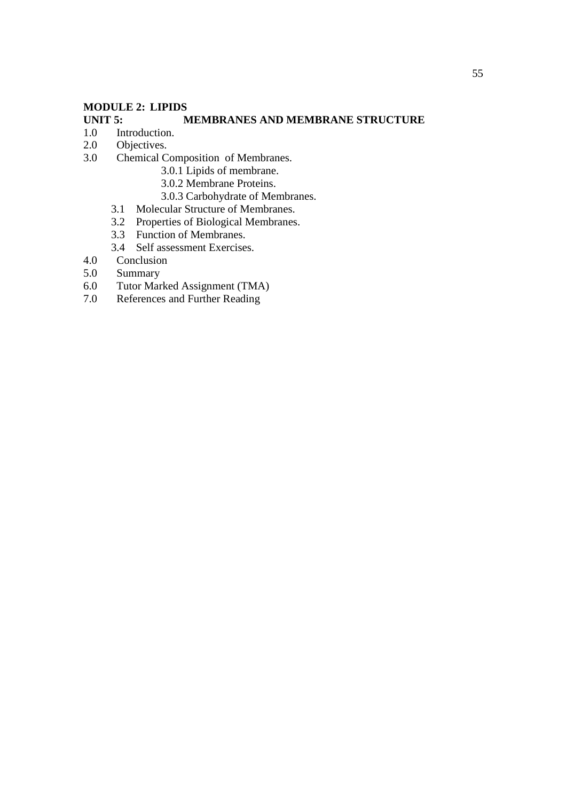#### **MODULE 2: LIPIDS**

#### **UNIT 5:** MEMBRANES AND MEMBRANE STRUCTURE 1.0 Introduction. Introduction.

- 
- 2.0 Objectives.
- 3.0 Chemical Composition of Membranes.
	- 3.0.1 Lipids of membrane.
	- 3.0.2 Membrane Proteins.
	- 3.0.3 Carbohydrate of Membranes.
	- 3.1 Molecular Structure of Membranes.
	- 3.2 Properties of Biological Membranes.
	- 3.3 Function of Membranes.
	- 3.4 Self assessment Exercises.
- 4.0 Conclusion
- 5.0 Summary
- 6.0 Tutor Marked Assignment (TMA)<br>7.0 References and Further Reading
- References and Further Reading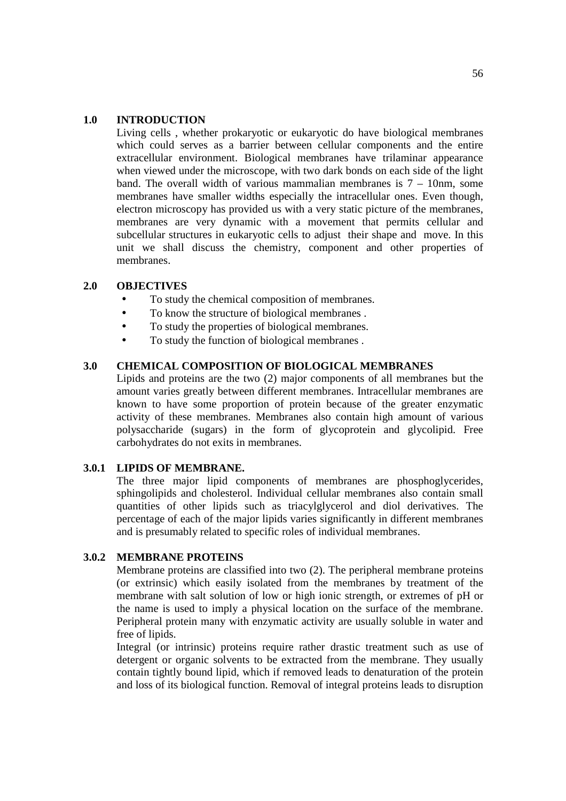#### **1.0 INTRODUCTION**

Living cells , whether prokaryotic or eukaryotic do have biological membranes which could serves as a barrier between cellular components and the entire extracellular environment. Biological membranes have trilaminar appearance when viewed under the microscope, with two dark bonds on each side of the light band. The overall width of various mammalian membranes is  $7 - 10$ nm, some membranes have smaller widths especially the intracellular ones. Even though, electron microscopy has provided us with a very static picture of the membranes, membranes are very dynamic with a movement that permits cellular and subcellular structures in eukaryotic cells to adjust their shape and move. In this unit we shall discuss the chemistry, component and other properties of membranes.

#### **2.0 OBJECTIVES**

- To study the chemical composition of membranes.
- To know the structure of biological membranes.
- To study the properties of biological membranes.
- To study the function of biological membranes .

#### **3.0 CHEMICAL COMPOSITION OF BIOLOGICAL MEMBRANES**

Lipids and proteins are the two (2) major components of all membranes but the amount varies greatly between different membranes. Intracellular membranes are known to have some proportion of protein because of the greater enzymatic activity of these membranes. Membranes also contain high amount of various polysaccharide (sugars) in the form of glycoprotein and glycolipid. Free carbohydrates do not exits in membranes.

#### **3.0.1 LIPIDS OF MEMBRANE.**

The three major lipid components of membranes are phosphoglycerides, sphingolipids and cholesterol. Individual cellular membranes also contain small quantities of other lipids such as triacylglycerol and diol derivatives. The percentage of each of the major lipids varies significantly in different membranes and is presumably related to specific roles of individual membranes.

#### **3.0.2 MEMBRANE PROTEINS**

Membrane proteins are classified into two (2). The peripheral membrane proteins (or extrinsic) which easily isolated from the membranes by treatment of the membrane with salt solution of low or high ionic strength, or extremes of pH or the name is used to imply a physical location on the surface of the membrane. Peripheral protein many with enzymatic activity are usually soluble in water and free of lipids.

Integral (or intrinsic) proteins require rather drastic treatment such as use of detergent or organic solvents to be extracted from the membrane. They usually contain tightly bound lipid, which if removed leads to denaturation of the protein and loss of its biological function. Removal of integral proteins leads to disruption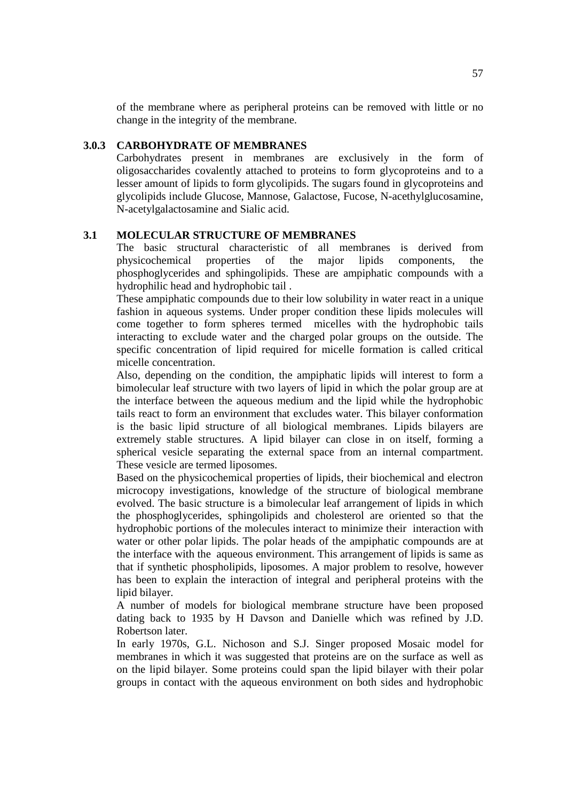of the membrane where as peripheral proteins can be removed with little or no change in the integrity of the membrane.

#### **3.0.3 CARBOHYDRATE OF MEMBRANES**

Carbohydrates present in membranes are exclusively in the form of oligosaccharides covalently attached to proteins to form glycoproteins and to a lesser amount of lipids to form glycolipids. The sugars found in glycoproteins and glycolipids include Glucose, Mannose, Galactose, Fucose, N-acethylglucosamine, N-acetylgalactosamine and Sialic acid.

#### **3.1 MOLECULAR STRUCTURE OF MEMBRANES**

The basic structural characteristic of all membranes is derived from physicochemical properties of the major lipids components, the phosphoglycerides and sphingolipids. These are ampiphatic compounds with a hydrophilic head and hydrophobic tail .

These ampiphatic compounds due to their low solubility in water react in a unique fashion in aqueous systems. Under proper condition these lipids molecules will come together to form spheres termed micelles with the hydrophobic tails interacting to exclude water and the charged polar groups on the outside. The specific concentration of lipid required for micelle formation is called critical micelle concentration.

Also, depending on the condition, the ampiphatic lipids will interest to form a bimolecular leaf structure with two layers of lipid in which the polar group are at the interface between the aqueous medium and the lipid while the hydrophobic tails react to form an environment that excludes water. This bilayer conformation is the basic lipid structure of all biological membranes. Lipids bilayers are extremely stable structures. A lipid bilayer can close in on itself, forming a spherical vesicle separating the external space from an internal compartment. These vesicle are termed liposomes.

Based on the physicochemical properties of lipids, their biochemical and electron microcopy investigations, knowledge of the structure of biological membrane evolved. The basic structure is a bimolecular leaf arrangement of lipids in which the phosphoglycerides, sphingolipids and cholesterol are oriented so that the hydrophobic portions of the molecules interact to minimize their interaction with water or other polar lipids. The polar heads of the ampiphatic compounds are at the interface with the aqueous environment. This arrangement of lipids is same as that if synthetic phospholipids, liposomes. A major problem to resolve, however has been to explain the interaction of integral and peripheral proteins with the lipid bilayer.

A number of models for biological membrane structure have been proposed dating back to 1935 by H Davson and Danielle which was refined by J.D. Robertson later.

In early 1970s, G.L. Nichoson and S.J. Singer proposed Mosaic model for membranes in which it was suggested that proteins are on the surface as well as on the lipid bilayer. Some proteins could span the lipid bilayer with their polar groups in contact with the aqueous environment on both sides and hydrophobic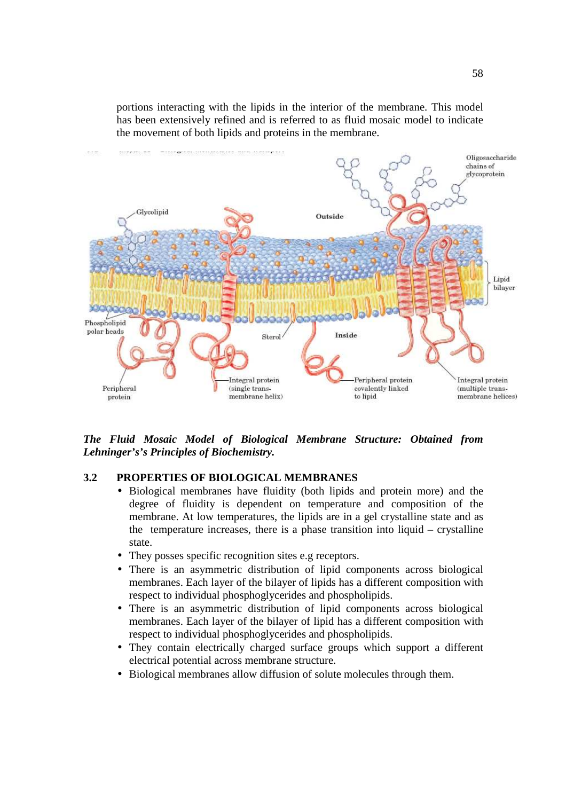portions interacting with the lipids in the interior of the membrane. This model has been extensively refined and is referred to as fluid mosaic model to indicate the movement of both lipids and proteins in the membrane.



*The Fluid Mosaic Model of Biological Membrane Structure: Obtained from Lehninger's's Principles of Biochemistry.*

#### **3.2 PROPERTIES OF BIOLOGICAL MEMBRANES**

- Biological membranes have fluidity (both lipids and protein more) and the degree of fluidity is dependent on temperature and composition of the membrane. At low temperatures, the lipids are in a gel crystalline state and as the temperature increases, there is a phase transition into liquid – crystalline state.
- They posses specific recognition sites e.g receptors.
- There is an asymmetric distribution of lipid components across biological membranes. Each layer of the bilayer of lipids has a different composition with respect to individual phosphoglycerides and phospholipids.
- There is an asymmetric distribution of lipid components across biological membranes. Each layer of the bilayer of lipid has a different composition with respect to individual phosphoglycerides and phospholipids.
- They contain electrically charged surface groups which support a different electrical potential across membrane structure.
- Biological membranes allow diffusion of solute molecules through them.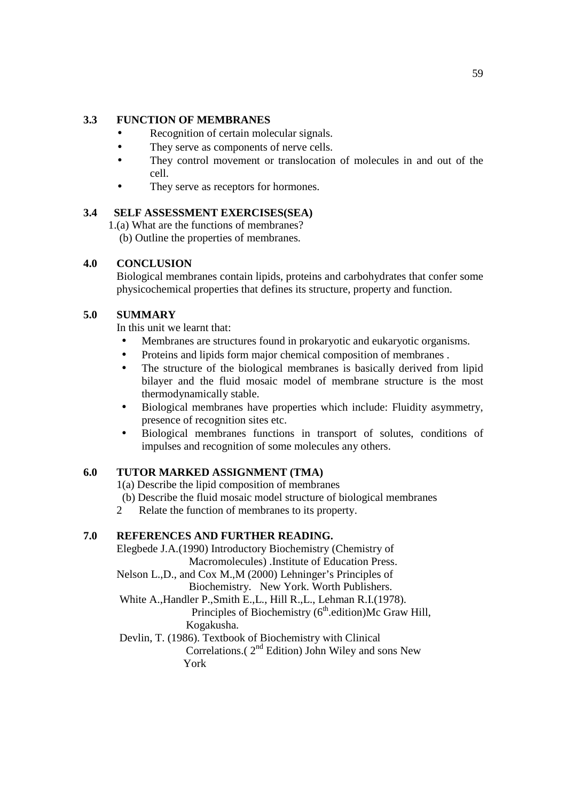#### **3.3 FUNCTION OF MEMBRANES**

- Recognition of certain molecular signals.
- They serve as components of nerve cells.
- They control movement or translocation of molecules in and out of the cell.
- They serve as receptors for hormones.

#### **3.4 SELF ASSESSMENT EXERCISES(SEA)**

1.(a) What are the functions of membranes?

(b) Outline the properties of membranes.

#### **4.0 CONCLUSION**

Biological membranes contain lipids, proteins and carbohydrates that confer some physicochemical properties that defines its structure, property and function.

#### **5.0 SUMMARY**

In this unit we learnt that:

- Membranes are structures found in prokaryotic and eukaryotic organisms.
- Proteins and lipids form major chemical composition of membranes.
- The structure of the biological membranes is basically derived from lipid bilayer and the fluid mosaic model of membrane structure is the most thermodynamically stable.
- Biological membranes have properties which include: Fluidity asymmetry, presence of recognition sites etc.
- Biological membranes functions in transport of solutes, conditions of impulses and recognition of some molecules any others.

### **6.0 TUTOR MARKED ASSIGNMENT (TMA)**

1(a) Describe the lipid composition of membranes

- (b) Describe the fluid mosaic model structure of biological membranes
- 2 Relate the function of membranes to its property.

### **7.0 REFERENCES AND FURTHER READING.**

Elegbede J.A.(1990) Introductory Biochemistry (Chemistry of Macromolecules) .Institute of Education Press. Nelson L.,D., and Cox M.,M (2000) Lehninger's Principles of Biochemistry. New York. Worth Publishers. White A.,Handler P.,Smith E.,L., Hill R.,L., Lehman R.I.(1978). Principles of Biochemistry  $(6<sup>th</sup>$ .edition)Mc Graw Hill, Kogakusha. Devlin, T. (1986). Textbook of Biochemistry with Clinical Correlations.( $2<sup>nd</sup>$  Edition) John Wiley and sons New York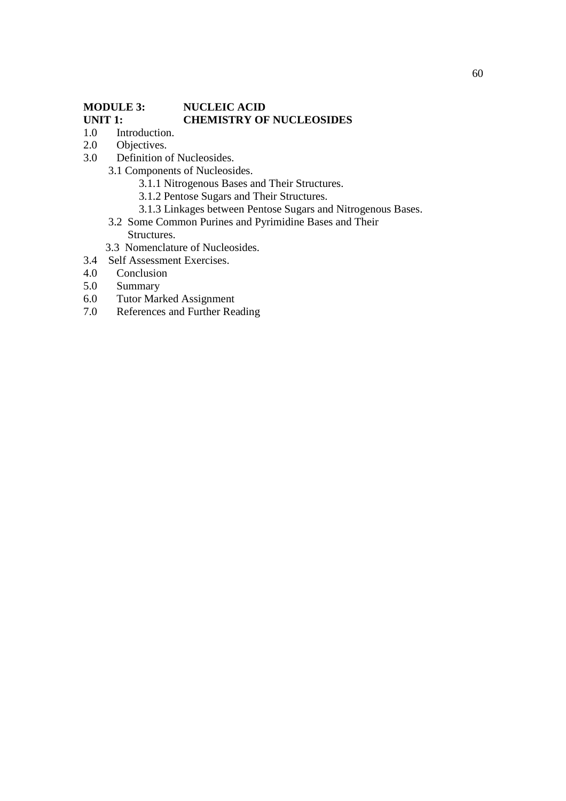# **MODULE 3: NUCLEIC ACID UNIT 1: CHEMISTRY OF NUCLEOSIDES**

- 1.0 Introduction.
- 2.0 Objectives.
- 3.0 Definition of Nucleosides.
	- 3.1 Components of Nucleosides.
		- 3.1.1 Nitrogenous Bases and Their Structures.
		- 3.1.2 Pentose Sugars and Their Structures.
		- 3.1.3 Linkages between Pentose Sugars and Nitrogenous Bases.
	- 3.2 Some Common Purines and Pyrimidine Bases and Their Structures.
	- 3.3 Nomenclature of Nucleosides.
- 3.4 Self Assessment Exercises.
- 4.0 Conclusion
- 5.0 Summary
- 6.0 Tutor Marked Assignment
- 7.0 References and Further Reading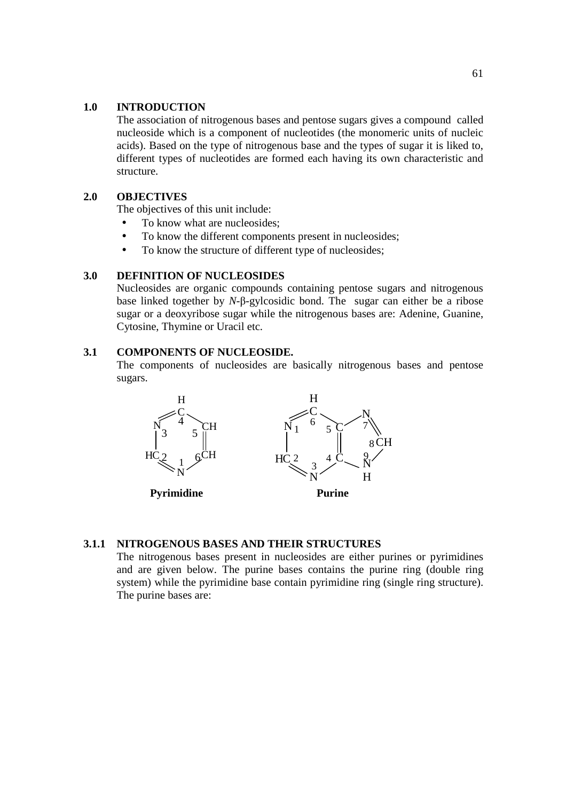#### **1.0 INTRODUCTION**

The association of nitrogenous bases and pentose sugars gives a compound called nucleoside which is a component of nucleotides (the monomeric units of nucleic acids). Based on the type of nitrogenous base and the types of sugar it is liked to, different types of nucleotides are formed each having its own characteristic and structure.

#### **2.0 OBJECTIVES**

The objectives of this unit include:

- To know what are nucleosides;
- To know the different components present in nucleosides;
- To know the structure of different type of nucleosides;

#### **3.0 DEFINITION OF NUCLEOSIDES**

Nucleosides are organic compounds containing pentose sugars and nitrogenous base linked together by *N*-β-gylcosidic bond. The sugar can either be a ribose sugar or a deoxyribose sugar while the nitrogenous bases are: Adenine, Guanine, Cytosine, Thymine or Uracil etc.

#### **3.1 COMPONENTS OF NUCLEOSIDE.**

The components of nucleosides are basically nitrogenous bases and pentose sugars.



#### **3.1.1 NITROGENOUS BASES AND THEIR STRUCTURES**

The nitrogenous bases present in nucleosides are either purines or pyrimidines and are given below. The purine bases contains the purine ring (double ring system) while the pyrimidine base contain pyrimidine ring (single ring structure). The purine bases are: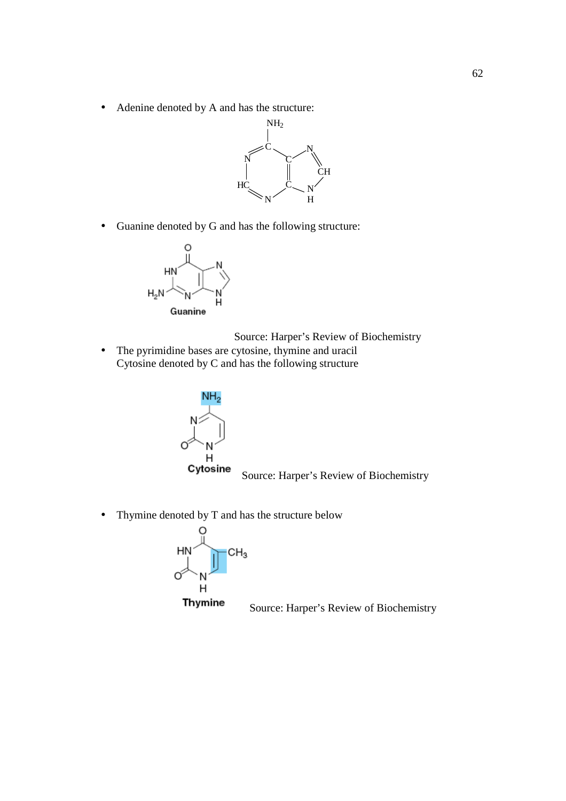• Adenine denoted by A and has the structure:



• Guanine denoted by G and has the following structure:



Source: Harper's Review of Biochemistry

• The pyrimidine bases are cytosine, thymine and uracil Cytosine denoted by C and has the following structure



• Thymine denoted by T and has the structure below



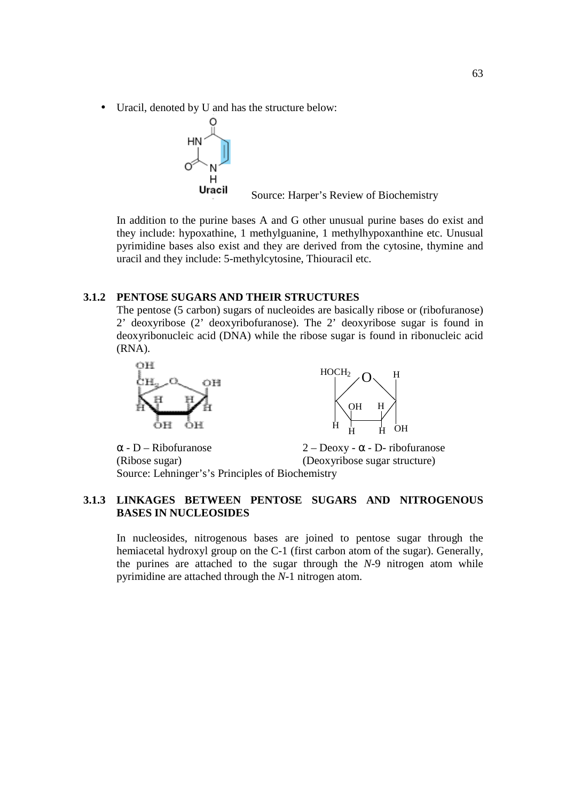• Uracil, denoted by U and has the structure below:



**Uracil** Source: Harper's Review of Biochemistry

In addition to the purine bases A and G other unusual purine bases do exist and they include: hypoxathine, 1 methylguanine, 1 methylhypoxanthine etc. Unusual pyrimidine bases also exist and they are derived from the cytosine, thymine and uracil and they include: 5-methylcytosine, Thiouracil etc.

#### **3.1.2 PENTOSE SUGARS AND THEIR STRUCTURES**

The pentose (5 carbon) sugars of nucleoides are basically ribose or (ribofuranose) 2' deoxyribose (2' deoxyribofuranose). The 2' deoxyribose sugar is found in deoxyribonucleic acid (DNA) while the ribose sugar is found in ribonucleic acid (RNA).





 $\alpha$  - D – Ribofuranose 2 – Deoxy -  $\alpha$  - D- ribofuranose (Ribose sugar) (Deoxyribose sugar structure) Source: Lehninger's's Principles of Biochemistry

#### **3.1.3 LINKAGES BETWEEN PENTOSE SUGARS AND NITROGENOUS BASES IN NUCLEOSIDES**

In nucleosides, nitrogenous bases are joined to pentose sugar through the hemiacetal hydroxyl group on the C-1 (first carbon atom of the sugar). Generally, the purines are attached to the sugar through the *N*-9 nitrogen atom while pyrimidine are attached through the *N*-1 nitrogen atom.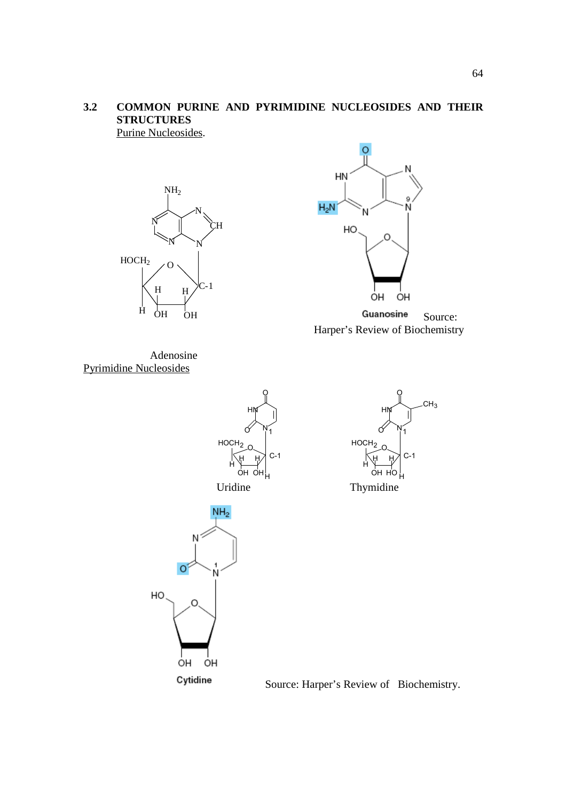# **3.2 COMMON PURINE AND PYRIMIDINE NUCLEOSIDES AND THEIR STRUCTURES**

Purine Nucleosides.





Guanosine Source: Harper's Review of Biochemistry

Adenosine Pyrimidine Nucleosides







Source: Harper's Review of Biochemistry.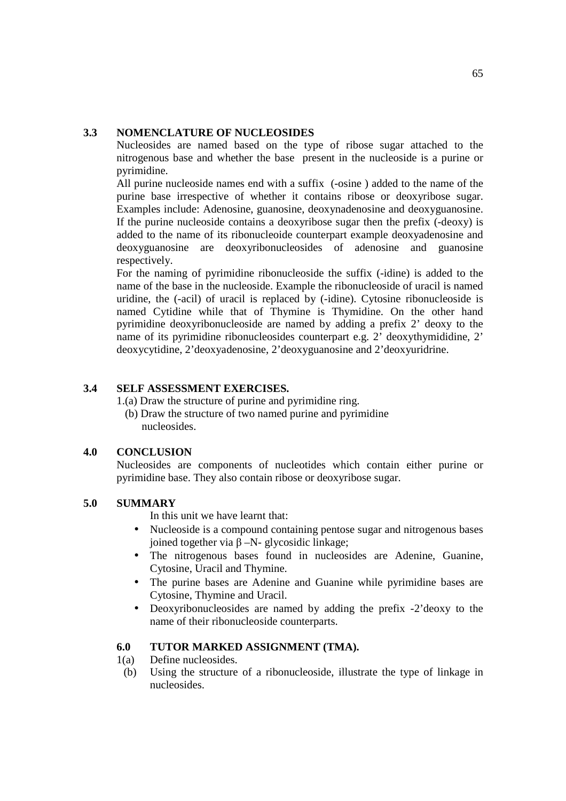#### **3.3 NOMENCLATURE OF NUCLEOSIDES**

Nucleosides are named based on the type of ribose sugar attached to the nitrogenous base and whether the base present in the nucleoside is a purine or pyrimidine.

All purine nucleoside names end with a suffix (-osine ) added to the name of the purine base irrespective of whether it contains ribose or deoxyribose sugar. Examples include: Adenosine, guanosine, deoxynadenosine and deoxyguanosine. If the purine nucleoside contains a deoxyribose sugar then the prefix (-deoxy) is added to the name of its ribonucleoide counterpart example deoxyadenosine and deoxyguanosine are deoxyribonucleosides of adenosine and guanosine respectively.

For the naming of pyrimidine ribonucleoside the suffix (-idine) is added to the name of the base in the nucleoside. Example the ribonucleoside of uracil is named uridine, the (-acil) of uracil is replaced by (-idine). Cytosine ribonucleoside is named Cytidine while that of Thymine is Thymidine. On the other hand pyrimidine deoxyribonucleoside are named by adding a prefix 2' deoxy to the name of its pyrimidine ribonucleosides counterpart e.g. 2' deoxythymididine, 2' deoxycytidine, 2'deoxyadenosine, 2'deoxyguanosine and 2'deoxyuridrine.

#### **3.4 SELF ASSESSMENT EXERCISES.**

1.(a) Draw the structure of purine and pyrimidine ring. (b) Draw the structure of two named purine and pyrimidine

nucleosides.

#### **4.0 CONCLUSION**

Nucleosides are components of nucleotides which contain either purine or pyrimidine base. They also contain ribose or deoxyribose sugar.

#### **5.0 SUMMARY**

In this unit we have learnt that:

- Nucleoside is a compound containing pentose sugar and nitrogenous bases joined together via β –N- glycosidic linkage;
- The nitrogenous bases found in nucleosides are Adenine, Guanine, Cytosine, Uracil and Thymine.
- The purine bases are Adenine and Guanine while pyrimidine bases are Cytosine, Thymine and Uracil.
- Deoxyribonucleosides are named by adding the prefix -2'deoxy to the name of their ribonucleoside counterparts.

#### **6.0 TUTOR MARKED ASSIGNMENT (TMA).**

- 1(a) Define nucleosides.
- (b) Using the structure of a ribonucleoside, illustrate the type of linkage in nucleosides.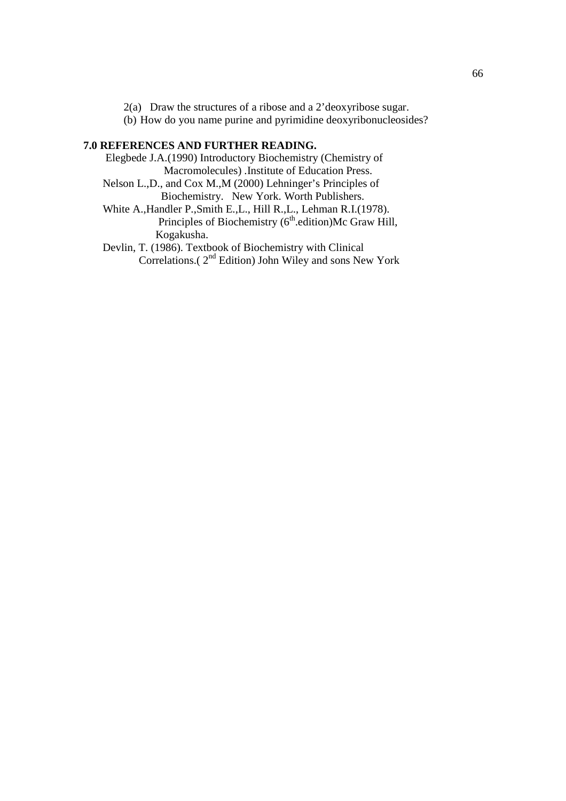2(a) Draw the structures of a ribose and a 2'deoxyribose sugar.

(b) How do you name purine and pyrimidine deoxyribonucleosides?

#### **7.0 REFERENCES AND FURTHER READING.**

 Elegbede J.A.(1990) Introductory Biochemistry (Chemistry of Macromolecules) .Institute of Education Press.

 Nelson L.,D., and Cox M.,M (2000) Lehninger's Principles of Biochemistry. New York. Worth Publishers.

 White A.,Handler P.,Smith E.,L., Hill R.,L., Lehman R.I.(1978). Principles of Biochemistry  $(6<sup>th</sup>$ .edition)Mc Graw Hill, Kogakusha.

 Devlin, T. (1986). Textbook of Biochemistry with Clinical Correlations. $(2<sup>nd</sup> Edition)$  John Wiley and sons New York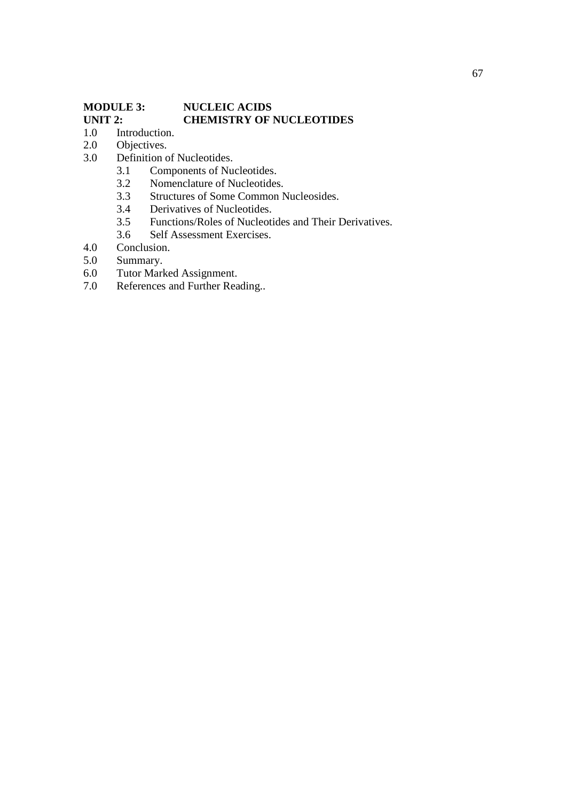# **MODULE 3:** NUCLEIC ACIDS<br>
UNIT 2: CHEMISTRY OF 1 **UNIT 2: CHEMISTRY OF NUCLEOTIDES** 1.0 Introduction.

- Introduction.
- 2.0 Objectives.
- 3.0 Definition of Nucleotides.
	- 3.1 Components of Nucleotides.<br>3.2 Nomenclature of Nucleotides
	- 3.2 Nomenclature of Nucleotides.<br>3.3 Structures of Some Common N
	- 3.3 Structures of Some Common Nucleosides.<br>3.4 Derivatives of Nucleotides.
	- Derivatives of Nucleotides.
	- 3.5 Functions/Roles of Nucleotides and Their Derivatives.<br>3.6 Self Assessment Exercises.
		- Self Assessment Exercises.
- 4.0 Conclusion.
- 5.0 Summary.
- 6.0 Tutor Marked Assignment.
- 7.0 References and Further Reading..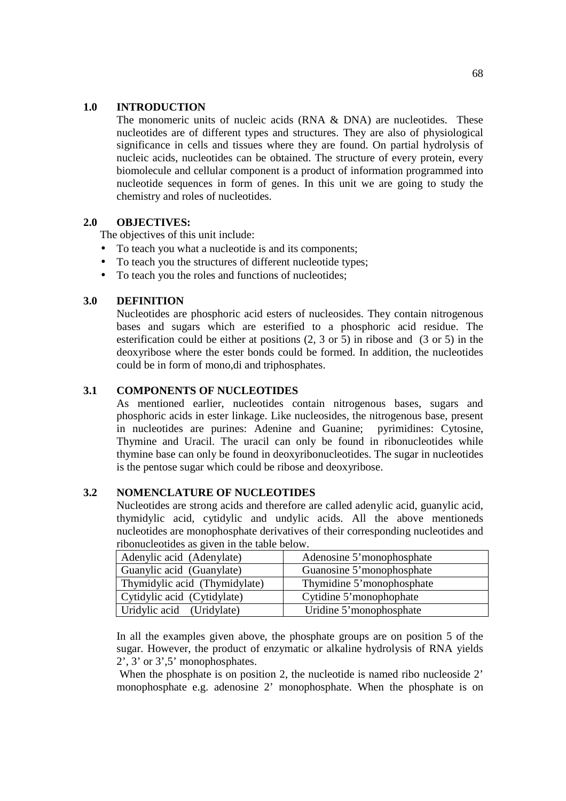#### **1.0 INTRODUCTION**

The monomeric units of nucleic acids (RNA & DNA) are nucleotides. These nucleotides are of different types and structures. They are also of physiological significance in cells and tissues where they are found. On partial hydrolysis of nucleic acids, nucleotides can be obtained. The structure of every protein, every biomolecule and cellular component is a product of information programmed into nucleotide sequences in form of genes. In this unit we are going to study the chemistry and roles of nucleotides.

#### **2.0 OBJECTIVES:**

The objectives of this unit include:

- To teach you what a nucleotide is and its components;
- To teach you the structures of different nucleotide types:
- To teach you the roles and functions of nucleotides;

#### **3.0 DEFINITION**

Nucleotides are phosphoric acid esters of nucleosides. They contain nitrogenous bases and sugars which are esterified to a phosphoric acid residue. The esterification could be either at positions (2, 3 or 5) in ribose and (3 or 5) in the deoxyribose where the ester bonds could be formed. In addition, the nucleotides could be in form of mono,di and triphosphates.

#### **3.1 COMPONENTS OF NUCLEOTIDES**

As mentioned earlier, nucleotides contain nitrogenous bases, sugars and phosphoric acids in ester linkage. Like nucleosides, the nitrogenous base, present in nucleotides are purines: Adenine and Guanine; pyrimidines: Cytosine, Thymine and Uracil. The uracil can only be found in ribonucleotides while thymine base can only be found in deoxyribonucleotides. The sugar in nucleotides is the pentose sugar which could be ribose and deoxyribose.

#### **3.2 NOMENCLATURE OF NUCLEOTIDES**

Nucleotides are strong acids and therefore are called adenylic acid, guanylic acid, thymidylic acid, cytidylic and undylic acids. All the above mentioneds nucleotides are monophosphate derivatives of their corresponding nucleotides and ribonucleotides as given in the table below.

| Adenylic acid (Adenylate)     | Adenosine 5'monophosphate |
|-------------------------------|---------------------------|
| Guanylic acid (Guanylate)     | Guanosine 5'monophosphate |
| Thymidylic acid (Thymidylate) | Thymidine 5'monophosphate |
| Cytidylic acid (Cytidylate)   | Cytidine 5'monophophate   |
| Uridylic acid (Uridylate)     | Uridine 5' monophosphate  |

In all the examples given above, the phosphate groups are on position 5 of the sugar. However, the product of enzymatic or alkaline hydrolysis of RNA yields  $2^{\prime}$ ,  $3^{\prime}$  or  $3^{\prime}$ ,  $5^{\prime}$  monophosphates.

When the phosphate is on position 2, the nucleotide is named ribo nucleoside 2' monophosphate e.g. adenosine 2' monophosphate. When the phosphate is on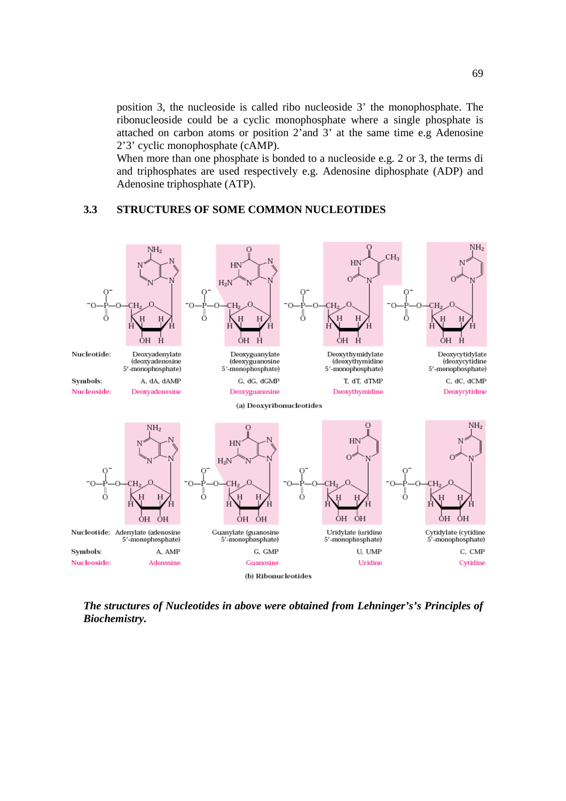position 3, the nucleoside is called ribo nucleoside 3' the monophosphate. The ribonucleoside could be a cyclic monophosphate where a single phosphate is attached on carbon atoms or position 2'and 3' at the same time e.g Adenosine 2'3' cyclic monophosphate (cAMP).

When more than one phosphate is bonded to a nucleoside e.g. 2 or 3, the terms di and triphosphates are used respectively e.g. Adenosine diphosphate (ADP) and Adenosine triphosphate (ATP).

#### **3.3 STRUCTURES OF SOME COMMON NUCLEOTIDES**



*The structures of Nucleotides in above were obtained from Lehninger's's Principles of Biochemistry.*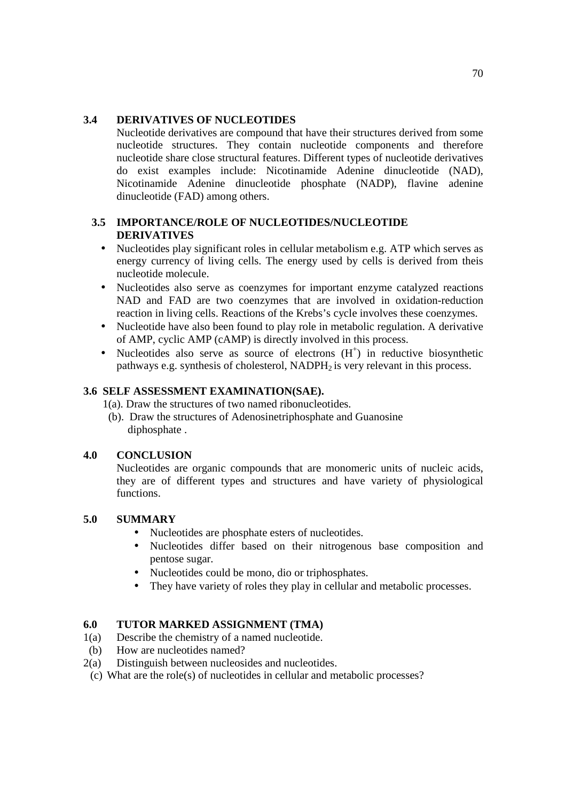#### **3.4 DERIVATIVES OF NUCLEOTIDES**

Nucleotide derivatives are compound that have their structures derived from some nucleotide structures. They contain nucleotide components and therefore nucleotide share close structural features. Different types of nucleotide derivatives do exist examples include: Nicotinamide Adenine dinucleotide (NAD), Nicotinamide Adenine dinucleotide phosphate (NADP), flavine adenine dinucleotide (FAD) among others.

#### **3.5 IMPORTANCE/ROLE OF NUCLEOTIDES/NUCLEOTIDE DERIVATIVES**

- Nucleotides play significant roles in cellular metabolism e.g. ATP which serves as energy currency of living cells. The energy used by cells is derived from theis nucleotide molecule.
- Nucleotides also serve as coenzymes for important enzyme catalyzed reactions NAD and FAD are two coenzymes that are involved in oxidation-reduction reaction in living cells. Reactions of the Krebs's cycle involves these coenzymes.
- Nucleotide have also been found to play role in metabolic regulation. A derivative of AMP, cyclic AMP (cAMP) is directly involved in this process.
- Nucleotides also serve as source of electrons  $(H<sup>+</sup>)$  in reductive biosynthetic pathways e.g. synthesis of cholesterol,  $NADPH<sub>2</sub>$  is very relevant in this process.

#### **3.6 SELF ASSESSMENT EXAMINATION(SAE).**

1(a). Draw the structures of two named ribonucleotides.

 (b). Draw the structures of Adenosinetriphosphate and Guanosine diphosphate .

#### **4.0 CONCLUSION**

Nucleotides are organic compounds that are monomeric units of nucleic acids, they are of different types and structures and have variety of physiological functions.

#### **5.0 SUMMARY**

- Nucleotides are phosphate esters of nucleotides.
- Nucleotides differ based on their nitrogenous base composition and pentose sugar.
- Nucleotides could be mono, dio or triphosphates.
- They have variety of roles they play in cellular and metabolic processes.

#### **6.0 TUTOR MARKED ASSIGNMENT (TMA)**

- 1(a) Describe the chemistry of a named nucleotide.
- (b) How are nucleotides named?
- 2(a) Distinguish between nucleosides and nucleotides.
- (c) What are the role(s) of nucleotides in cellular and metabolic processes?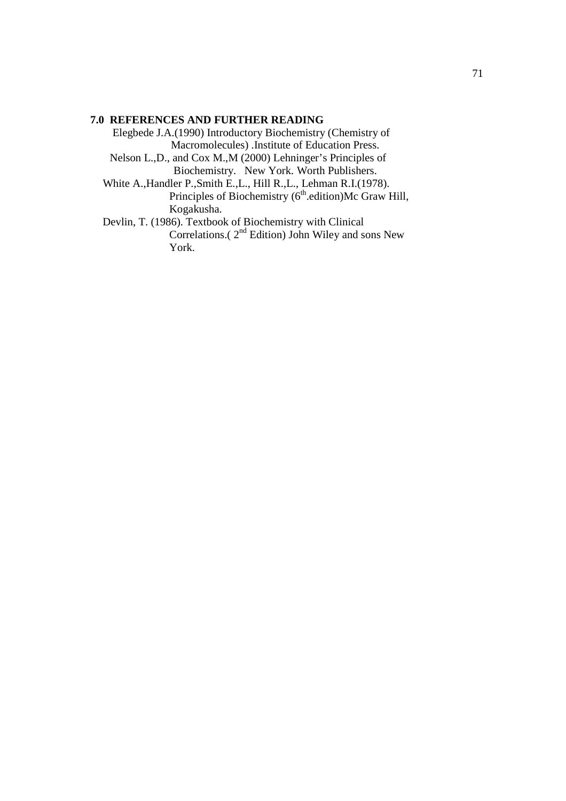#### **7.0 REFERENCES AND FURTHER READING**

 Elegbede J.A.(1990) Introductory Biochemistry (Chemistry of Macromolecules) .Institute of Education Press. Nelson L.,D., and Cox M.,M (2000) Lehninger's Principles of Biochemistry. New York. Worth Publishers.

 White A.,Handler P.,Smith E.,L., Hill R.,L., Lehman R.I.(1978). Principles of Biochemistry  $(6<sup>th</sup>$ .edition)Mc Graw Hill, Kogakusha.

 Devlin, T. (1986). Textbook of Biochemistry with Clinical Correlations.( $2<sup>nd</sup>$  Edition) John Wiley and sons New York.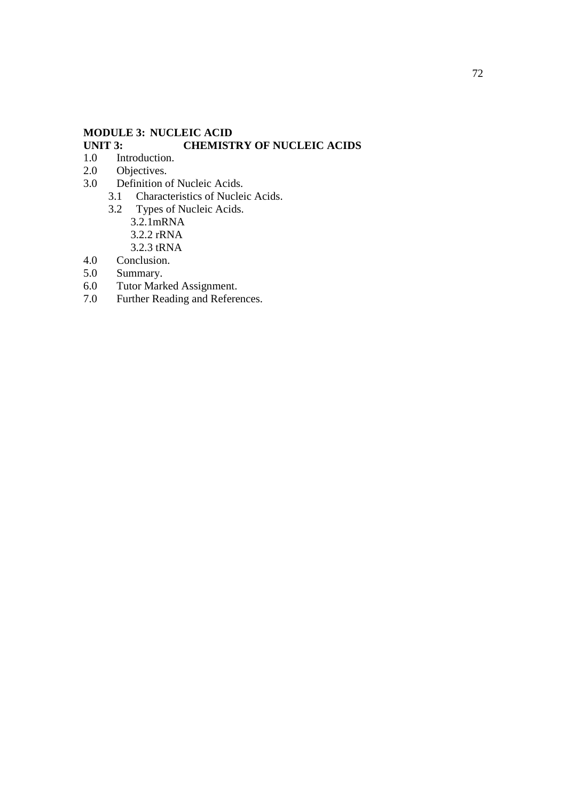## **MODULE 3: NUCLEIC ACID UNIT 3: CHEMISTRY OF NUCLEIC ACIDS**

- 1.0 Introduction.
- 2.0 Objectives.<br>3.0 Definition c
- Definition of Nucleic Acids.<br>3.1 Characteristics of Nuclei
	- 3.1 Characteristics of Nucleic Acids.<br>3.2 Types of Nucleic Acids.
	- Types of Nucleic Acids. 3.2.1mRNA 3.2.2 rRNA 3.2.3 tRNA
- 4.0 Conclusion.
- 5.0 Summary.
- 6.0 Tutor Marked Assignment.<br>7.0 Further Reading and Refere
- Further Reading and References.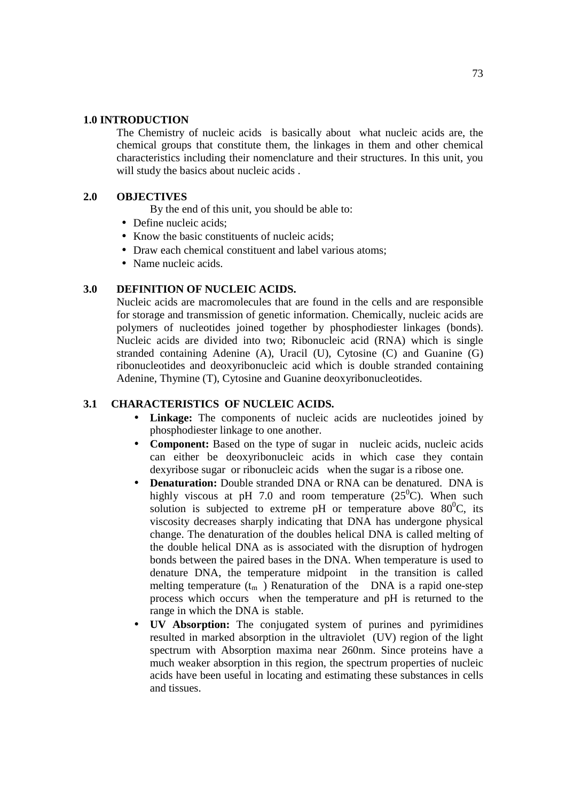#### **1.0 INTRODUCTION**

The Chemistry of nucleic acids is basically about what nucleic acids are, the chemical groups that constitute them, the linkages in them and other chemical characteristics including their nomenclature and their structures. In this unit, you will study the basics about nucleic acids .

#### **2.0 OBJECTIVES**

By the end of this unit, you should be able to:

- Define nucleic acids;
- Know the basic constituents of nucleic acids;
- Draw each chemical constituent and label various atoms;
- Name nucleic acids.

## **3.0 DEFINITION OF NUCLEIC ACIDS.**

Nucleic acids are macromolecules that are found in the cells and are responsible for storage and transmission of genetic information. Chemically, nucleic acids are polymers of nucleotides joined together by phosphodiester linkages (bonds). Nucleic acids are divided into two; Ribonucleic acid (RNA) which is single stranded containing Adenine (A), Uracil (U), Cytosine (C) and Guanine (G) ribonucleotides and deoxyribonucleic acid which is double stranded containing Adenine, Thymine (T), Cytosine and Guanine deoxyribonucleotides.

## **3.1 CHARACTERISTICS OF NUCLEIC ACIDS.**

- **Linkage:** The components of nucleic acids are nucleotides joined by phosphodiester linkage to one another.
- **Component:** Based on the type of sugar in nucleic acids, nucleic acids can either be deoxyribonucleic acids in which case they contain dexyribose sugar or ribonucleic acids when the sugar is a ribose one.
- **Denaturation:** Double stranded DNA or RNA can be denatured. DNA is highly viscous at pH 7.0 and room temperature  $(25^{\circ}C)$ . When such solution is subjected to extreme pH or temperature above  $80^{\circ}$ C, its viscosity decreases sharply indicating that DNA has undergone physical change. The denaturation of the doubles helical DNA is called melting of the double helical DNA as is associated with the disruption of hydrogen bonds between the paired bases in the DNA. When temperature is used to denature DNA, the temperature midpoint in the transition is called melting temperature  $(t_m)$  Renaturation of the DNA is a rapid one-step process which occurs when the temperature and pH is returned to the range in which the DNA is stable.
- **UV Absorption:** The conjugated system of purines and pyrimidines resulted in marked absorption in the ultraviolet (UV) region of the light spectrum with Absorption maxima near 260nm. Since proteins have a much weaker absorption in this region, the spectrum properties of nucleic acids have been useful in locating and estimating these substances in cells and tissues.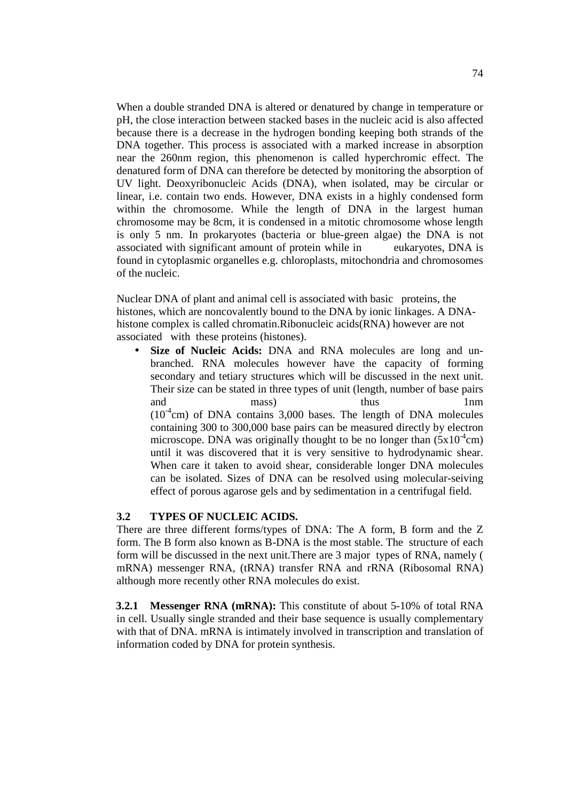When a double stranded DNA is altered or denatured by change in temperature or pH, the close interaction between stacked bases in the nucleic acid is also affected because there is a decrease in the hydrogen bonding keeping both strands of the DNA together. This process is associated with a marked increase in absorption near the 260nm region, this phenomenon is called hyperchromic effect. The denatured form of DNA can therefore be detected by monitoring the absorption of UV light. Deoxyribonucleic Acids (DNA), when isolated, may be circular or linear, i.e. contain two ends. However, DNA exists in a highly condensed form within the chromosome. While the length of DNA in the largest human chromosome may be 8cm, it is condensed in a mitotic chromosome whose length is only 5 nm. In prokaryotes (bacteria or blue-green algae) the DNA is not associated with significant amount of protein while in eukaryotes, DNA is found in cytoplasmic organelles e.g. chloroplasts, mitochondria and chromosomes of the nucleic.

Nuclear DNA of plant and animal cell is associated with basic proteins, the histones, which are noncovalently bound to the DNA by ionic linkages. A DNAhistone complex is called chromatin.Ribonucleic acids(RNA) however are not associated with these proteins (histones).

**Size of Nucleic Acids:** DNA and RNA molecules are long and unbranched. RNA molecules however have the capacity of forming secondary and tetiary structures which will be discussed in the next unit. Their size can be stated in three types of unit (length, number of base pairs and mass) thus 1nm  $(10^{-4}$ cm) of DNA contains 3,000 bases. The length of DNA molecules containing 300 to 300,000 base pairs can be measured directly by electron microscope. DNA was originally thought to be no longer than  $(5x10^4$ cm) until it was discovered that it is very sensitive to hydrodynamic shear. When care it taken to avoid shear, considerable longer DNA molecules can be isolated. Sizes of DNA can be resolved using molecular-seiving effect of porous agarose gels and by sedimentation in a centrifugal field.

#### **3.2 TYPES OF NUCLEIC ACIDS.**

There are three different forms/types of DNA: The A form, B form and the Z form. The B form also known as B-DNA is the most stable. The structure of each form will be discussed in the next unit.There are 3 major types of RNA, namely ( mRNA) messenger RNA, (tRNA) transfer RNA and rRNA (Ribosomal RNA) although more recently other RNA molecules do exist.

**3.2.1 Messenger RNA (mRNA):** This constitute of about 5-10% of total RNA in cell. Usually single stranded and their base sequence is usually complementary with that of DNA. mRNA is intimately involved in transcription and translation of information coded by DNA for protein synthesis.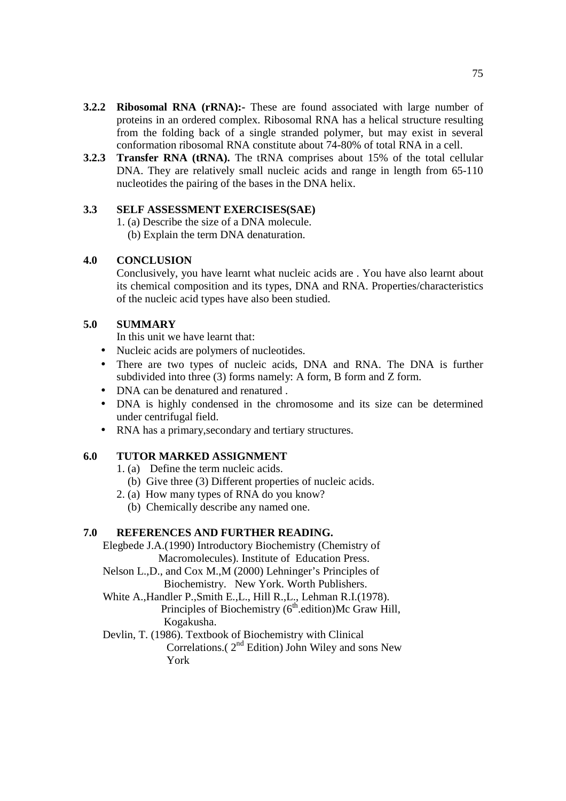- **3.2.2 Ribosomal RNA (rRNA):-** These are found associated with large number of proteins in an ordered complex. Ribosomal RNA has a helical structure resulting from the folding back of a single stranded polymer, but may exist in several conformation ribosomal RNA constitute about 74-80% of total RNA in a cell.
- **3.2.3 Transfer RNA (tRNA).** The tRNA comprises about 15% of the total cellular DNA. They are relatively small nucleic acids and range in length from 65-110 nucleotides the pairing of the bases in the DNA helix.

# **3.3 SELF ASSESSMENT EXERCISES(SAE)**

- 1. (a) Describe the size of a DNA molecule.
	- (b) Explain the term DNA denaturation.

# **4.0 CONCLUSION**

Conclusively, you have learnt what nucleic acids are . You have also learnt about its chemical composition and its types, DNA and RNA. Properties/characteristics of the nucleic acid types have also been studied.

# **5.0 SUMMARY**

In this unit we have learnt that:

- Nucleic acids are polymers of nucleotides.
- There are two types of nucleic acids, DNA and RNA. The DNA is further subdivided into three (3) forms namely: A form, B form and Z form.
- DNA can be denatured and renatured .
- DNA is highly condensed in the chromosome and its size can be determined under centrifugal field.
- RNA has a primary, secondary and tertiary structures.

# **6.0 TUTOR MARKED ASSIGNMENT**

- 1. (a) Define the term nucleic acids.
- (b) Give three (3) Different properties of nucleic acids.
- 2. (a) How many types of RNA do you know?
	- (b) Chemically describe any named one.

# **7.0 REFERENCES AND FURTHER READING.**

 Elegbede J.A.(1990) Introductory Biochemistry (Chemistry of Macromolecules). Institute of Education Press.

- Nelson L.,D., and Cox M.,M (2000) Lehninger's Principles of Biochemistry. New York. Worth Publishers.
- White A.,Handler P.,Smith E.,L., Hill R.,L., Lehman R.I.(1978). Principles of Biochemistry  $(6<sup>th</sup>$  edition)Mc Graw Hill, Kogakusha.
- Devlin, T. (1986). Textbook of Biochemistry with Clinical Correlations. $(2<sup>nd</sup> Edition)$  John Wiley and sons New York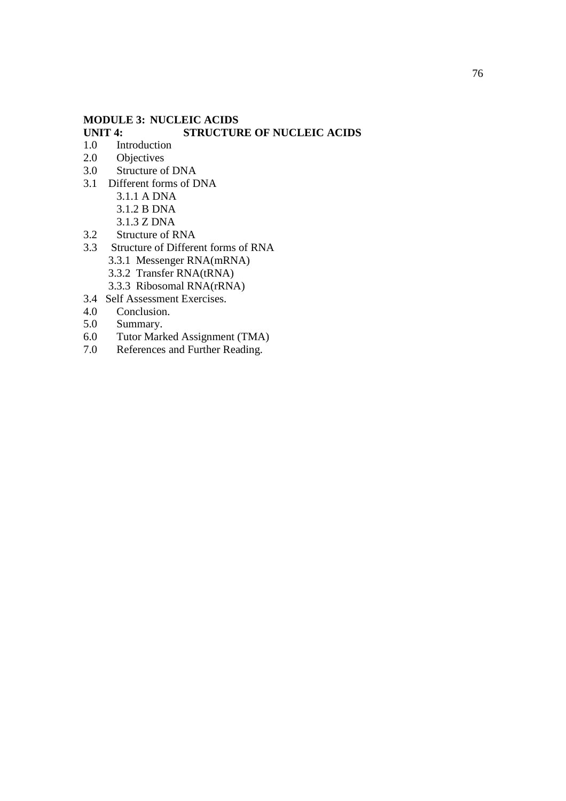# **MODULE 3: NUCLEIC ACIDS**

# **STRUCTURE OF NUCLEIC ACIDS**

- 1.0 Introduction
- 2.0 Objectives
- 3.0 Structure of DNA
- 3.1 Different forms of DNA
	- 3.1.1 A DNA
	- 3.1.2 B DNA
	- 3.1.3 Z DNA
- 3.2 Structure of RNA
- 3.3 Structure of Different forms of RNA 3.3.1 Messenger RNA(mRNA)
	- 3.3.2 Transfer RNA(tRNA)
	- 3.3.3 Ribosomal RNA(rRNA)
- 3.4 Self Assessment Exercises.
- 4.0 Conclusion.
- 5.0 Summary.
- 6.0 Tutor Marked Assignment (TMA)
- 7.0 References and Further Reading.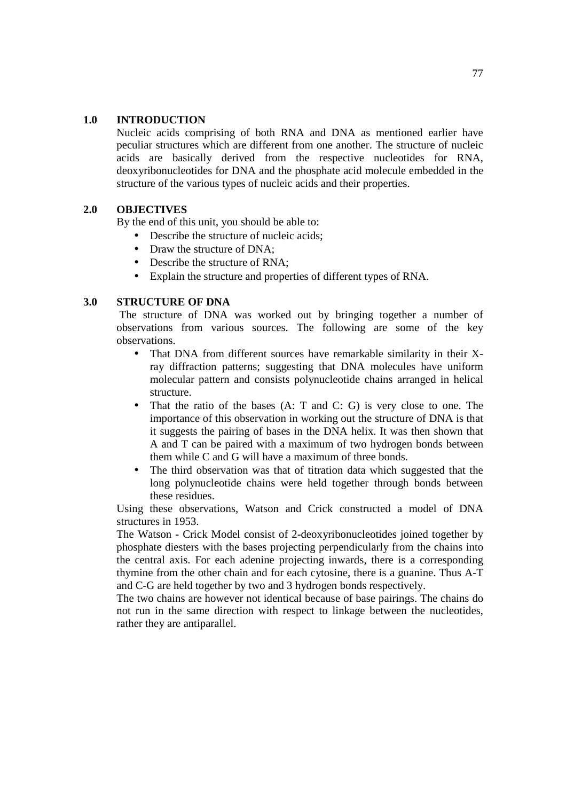## **1.0 INTRODUCTION**

Nucleic acids comprising of both RNA and DNA as mentioned earlier have peculiar structures which are different from one another. The structure of nucleic acids are basically derived from the respective nucleotides for RNA, deoxyribonucleotides for DNA and the phosphate acid molecule embedded in the structure of the various types of nucleic acids and their properties.

# **2.0 OBJECTIVES**

By the end of this unit, you should be able to:

- Describe the structure of nucleic acids;
- Draw the structure of DNA:
- Describe the structure of RNA;
- Explain the structure and properties of different types of RNA.

#### **3.0 STRUCTURE OF DNA**

The structure of DNA was worked out by bringing together a number of observations from various sources. The following are some of the key observations.

- That DNA from different sources have remarkable similarity in their Xray diffraction patterns; suggesting that DNA molecules have uniform molecular pattern and consists polynucleotide chains arranged in helical structure.
- That the ratio of the bases (A: T and C: G) is very close to one. The importance of this observation in working out the structure of DNA is that it suggests the pairing of bases in the DNA helix. It was then shown that A and T can be paired with a maximum of two hydrogen bonds between them while C and G will have a maximum of three bonds.
- The third observation was that of titration data which suggested that the long polynucleotide chains were held together through bonds between these residues.

Using these observations, Watson and Crick constructed a model of DNA structures in 1953.

The Watson - Crick Model consist of 2-deoxyribonucleotides joined together by phosphate diesters with the bases projecting perpendicularly from the chains into the central axis. For each adenine projecting inwards, there is a corresponding thymine from the other chain and for each cytosine, there is a guanine. Thus A-T and C-G are held together by two and 3 hydrogen bonds respectively.

The two chains are however not identical because of base pairings. The chains do not run in the same direction with respect to linkage between the nucleotides, rather they are antiparallel.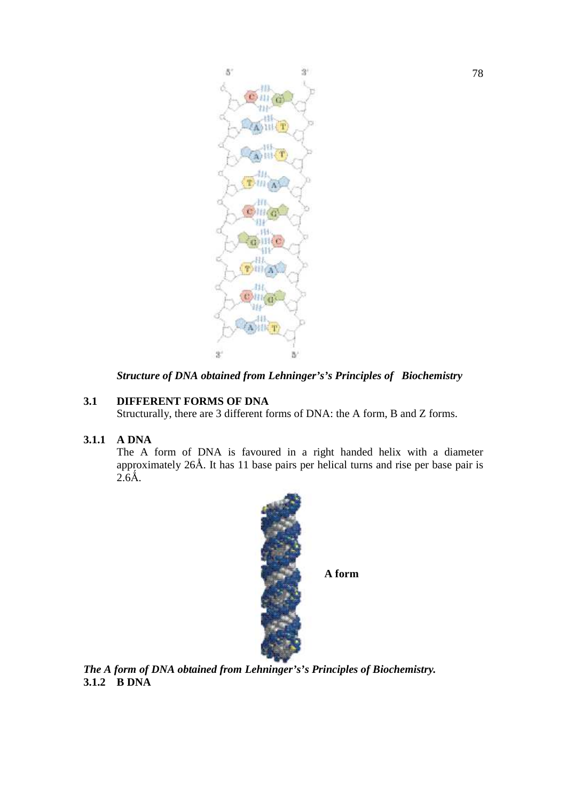

*Structure of DNA obtained from Lehninger's's Principles of Biochemistry* 

# **3.1 DIFFERENT FORMS OF DNA**

Structurally, there are 3 different forms of DNA: the A form, B and Z forms.

# **3.1.1 A DNA**

The A form of DNA is favoured in a right handed helix with a diameter The A form of DNA is favoured in a right handed helix with a diameter approximately  $26\text{\AA}$ . It has 11 base pairs per helical turns and rise per base pair is  $2.6<sup>2</sup>$ .



*The A form of DNA obtained from Lehninger's's Principles of Biochemistry. Biochemistry.***3.1.2 B DNA**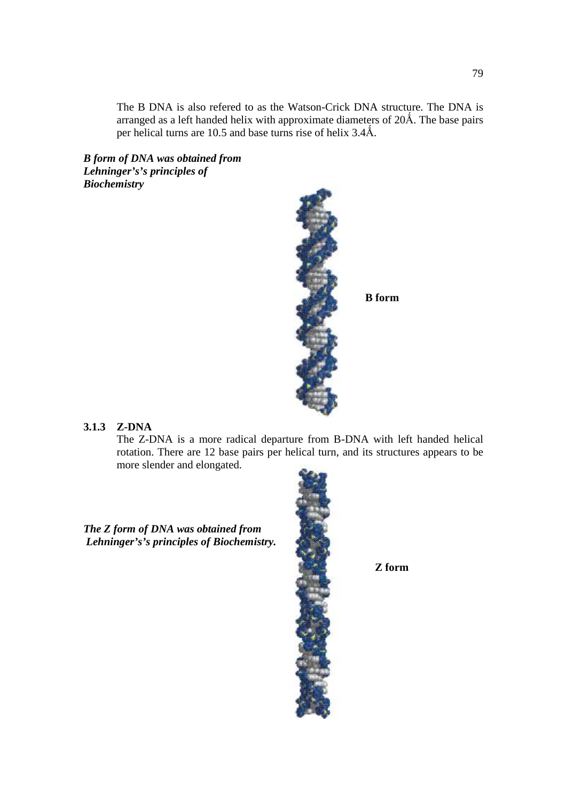The B DNA is also refered to as the Watson-Crick DNA structure. The DNA is arranged as a left handed helix with approximate diameters of  $20\text{\AA}$ . The base pairs per helical turns are 10.5 and base turns rise of helix 3.4Å.

*B form of DNA was obtained from Lehninger's's principles of Biochemistry* 



**B form** 

#### **3.1.3 Z-DNA**

The Z-DNA is a more radical departure from B-DNA with left handed helical rotation. There are 12 base pairs per helical turn, and its structures appears to be more slender and elongated.

*The Z form of DNA was obtained from Lehninger's's principles of Biochemistry.* 



 **Z form**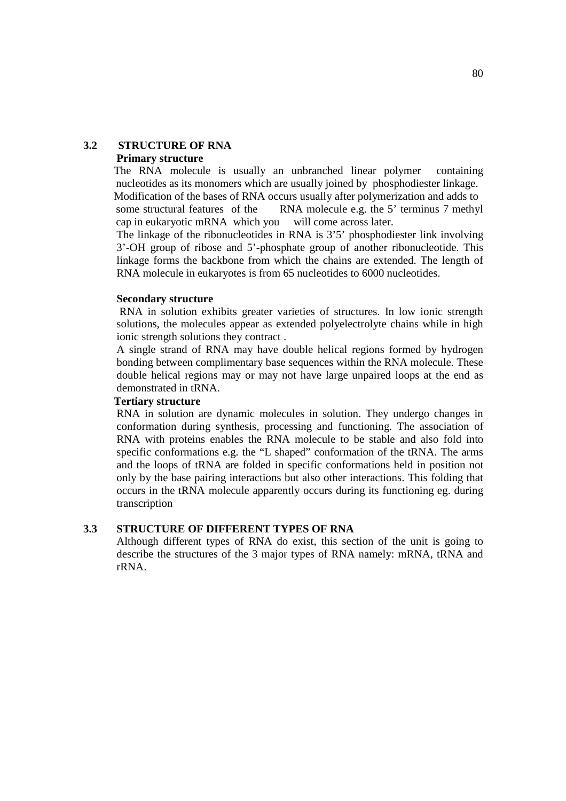#### **3.2 STRUCTURE OF RNA Primary structure**

 The RNA molecule is usually an unbranched linear polymer containing nucleotides as its monomers which are usually joined by phosphodiester linkage. Modification of the bases of RNA occurs usually after polymerization and adds to

some structural features of the RNA molecule e.g. the 5' terminus 7 methyl cap in eukaryotic mRNA which you will come across later.

The linkage of the ribonucleotides in RNA is 3'5' phosphodiester link involving 3'-OH group of ribose and 5'-phosphate group of another ribonucleotide. This linkage forms the backbone from which the chains are extended. The length of RNA molecule in eukaryotes is from 65 nucleotides to 6000 nucleotides.

#### **Secondary structure**

 RNA in solution exhibits greater varieties of structures. In low ionic strength solutions, the molecules appear as extended polyelectrolyte chains while in high ionic strength solutions they contract .

A single strand of RNA may have double helical regions formed by hydrogen bonding between complimentary base sequences within the RNA molecule. These double helical regions may or may not have large unpaired loops at the end as demonstrated in tRNA.

## **Tertiary structure**

RNA in solution are dynamic molecules in solution. They undergo changes in conformation during synthesis, processing and functioning. The association of RNA with proteins enables the RNA molecule to be stable and also fold into specific conformations e.g. the "L shaped" conformation of the tRNA. The arms and the loops of tRNA are folded in specific conformations held in position not only by the base pairing interactions but also other interactions. This folding that occurs in the tRNA molecule apparently occurs during its functioning eg. during transcription

# **3.3 STRUCTURE OF DIFFERENT TYPES OF RNA**

Although different types of RNA do exist, this section of the unit is going to describe the structures of the 3 major types of RNA namely: mRNA, tRNA and rRNA.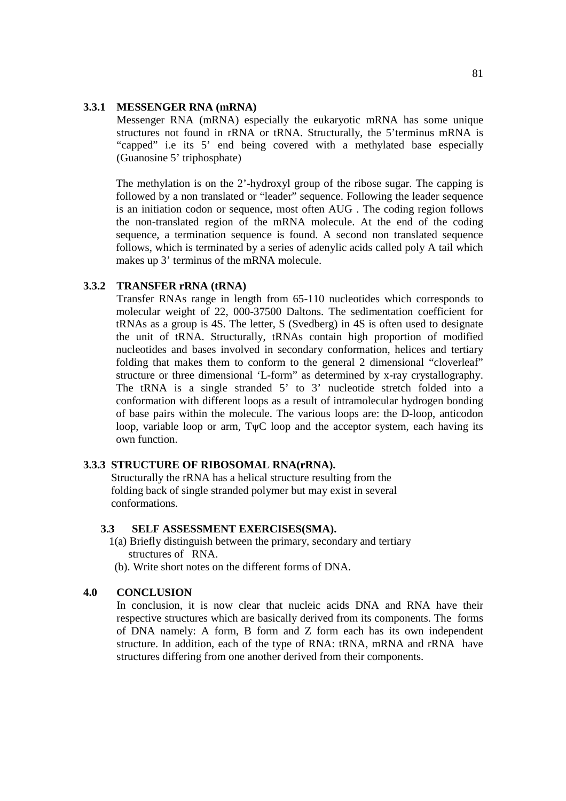#### **3.3.1 MESSENGER RNA (mRNA)**

Messenger RNA (mRNA) especially the eukaryotic mRNA has some unique structures not found in rRNA or tRNA. Structurally, the 5'terminus mRNA is "capped" i.e its 5' end being covered with a methylated base especially (Guanosine 5' triphosphate)

The methylation is on the 2'-hydroxyl group of the ribose sugar. The capping is followed by a non translated or "leader" sequence. Following the leader sequence is an initiation codon or sequence, most often AUG . The coding region follows the non-translated region of the mRNA molecule. At the end of the coding sequence, a termination sequence is found. A second non translated sequence follows, which is terminated by a series of adenylic acids called poly A tail which makes up 3' terminus of the mRNA molecule.

# **3.3.2 TRANSFER rRNA (tRNA)**

Transfer RNAs range in length from 65-110 nucleotides which corresponds to molecular weight of 22, 000-37500 Daltons. The sedimentation coefficient for tRNAs as a group is 4S. The letter, S (Svedberg) in 4S is often used to designate the unit of tRNA. Structurally, tRNAs contain high proportion of modified nucleotides and bases involved in secondary conformation, helices and tertiary folding that makes them to conform to the general 2 dimensional "cloverleaf" structure or three dimensional 'L-form" as determined by x-ray crystallography. The tRNA is a single stranded 5' to 3' nucleotide stretch folded into a conformation with different loops as a result of intramolecular hydrogen bonding of base pairs within the molecule. The various loops are: the D-loop, anticodon loop, variable loop or arm, TψC loop and the acceptor system, each having its own function.

#### **3.3.3 STRUCTURE OF RIBOSOMAL RNA(rRNA).**

Structurally the rRNA has a helical structure resulting from the folding back of single stranded polymer but may exist in several conformations.

#### **3.3 SELF ASSESSMENT EXERCISES(SMA).**

- 1(a) Briefly distinguish between the primary, secondary and tertiary structures of RNA.
- (b). Write short notes on the different forms of DNA.

# **4.0 CONCLUSION**

In conclusion, it is now clear that nucleic acids DNA and RNA have their respective structures which are basically derived from its components. The forms of DNA namely: A form, B form and Z form each has its own independent structure. In addition, each of the type of RNA: tRNA, mRNA and rRNA have structures differing from one another derived from their components.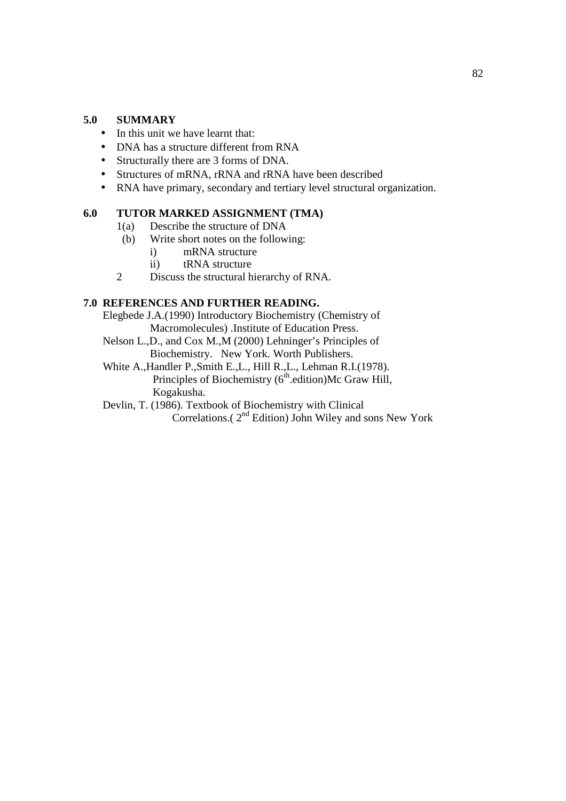# **5.0 SUMMARY**

- In this unit we have learnt that:
- DNA has a structure different from RNA
- Structurally there are 3 forms of DNA.
- Structures of mRNA, rRNA and rRNA have been described
- RNA have primary, secondary and tertiary level structural organization.

# **6.0 TUTOR MARKED ASSIGNMENT (TMA)**

- 1(a) Describe the structure of DNA
- (b) Write short notes on the following:
	- i) mRNA structure
	- ii) tRNA structure
- 2 Discuss the structural hierarchy of RNA.

# **7.0 REFERENCES AND FURTHER READING.**

Elegbede J.A.(1990) Introductory Biochemistry (Chemistry of Macromolecules) .Institute of Education Press.

- Nelson L.,D., and Cox M.,M (2000) Lehninger's Principles of Biochemistry. New York. Worth Publishers.
- White A.,Handler P.,Smith E.,L., Hill R.,L., Lehman R.I.(1978). Principles of Biochemistry  $(6<sup>th</sup>$  edition)Mc Graw Hill, Kogakusha.
- Devlin, T. (1986). Textbook of Biochemistry with Clinical Correlations.( 2nd Edition) John Wiley and sons New York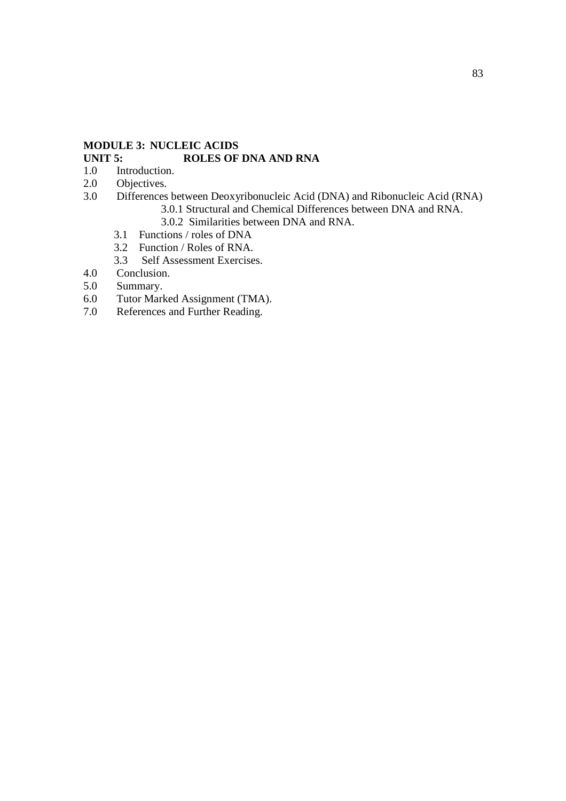# **MODULE 3: NUCLEIC ACIDS**

# **UNIT 5: ROLES OF DNA AND RNA**

- 1.0 Introduction.<br>2.0 Objectives.
- 2.0 Objectives.<br>3.0 Differences
- 3.0 Differences between Deoxyribonucleic Acid (DNA) and Ribonucleic Acid (RNA)
	- 3.0.1 Structural and Chemical Differences between DNA and RNA.
	- 3.0.2 Similarities between DNA and RNA.<br>3.1 Functions / roles of DNA
	- 3.1 Functions / roles of DNA
	- 3.2 Function / Roles of RNA.
	- 3.3 Self Assessment Exercises.
- 4.0 Conclusion.
- 5.0 Summary.
- 6.0 Tutor Marked Assignment (TMA).
- 7.0 References and Further Reading.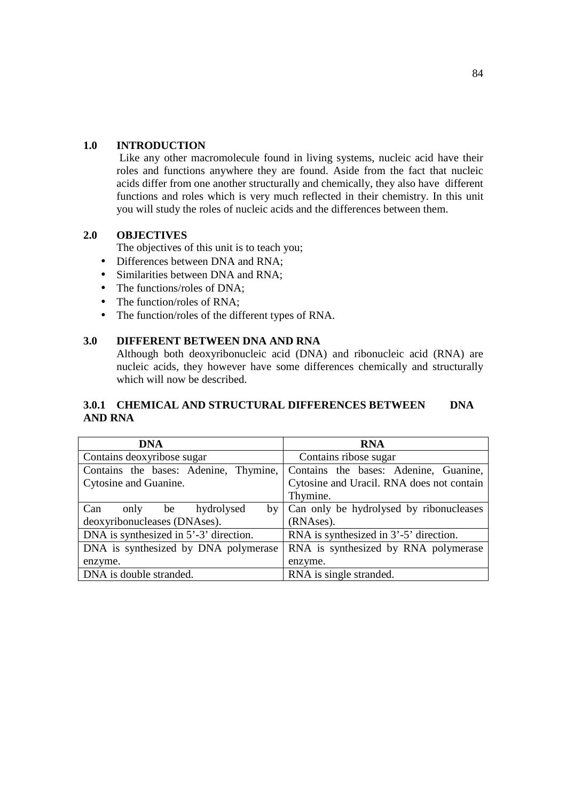# **1.0 INTRODUCTION**

Like any other macromolecule found in living systems, nucleic acid have their roles and functions anywhere they are found. Aside from the fact that nucleic acids differ from one another structurally and chemically, they also have different functions and roles which is very much reflected in their chemistry. In this unit you will study the roles of nucleic acids and the differences between them.

# **2.0 OBJECTIVES**

The objectives of this unit is to teach you;

- Differences between DNA and RNA:
- Similarities between DNA and RNA:
- The functions/roles of DNA:
- The function/roles of RNA:
- The function/roles of the different types of RNA.

# **3.0 DIFFERENT BETWEEN DNA AND RNA**

Although both deoxyribonucleic acid (DNA) and ribonucleic acid (RNA) are nucleic acids, they however have some differences chemically and structurally which will now be described.

# **3.0.1 CHEMICAL AND STRUCTURAL DIFFERENCES BETWEEN DNA AND RNA**

| DNA                                    | <b>RNA</b>                                   |
|----------------------------------------|----------------------------------------------|
| Contains deoxyribose sugar             | Contains ribose sugar                        |
| Contains the bases: Adenine, Thymine,  | Contains the bases: Adenine, Guanine,        |
| Cytosine and Guanine.                  | Cytosine and Uracil. RNA does not contain    |
|                                        | Thymine.                                     |
| Can<br>hydrolysed<br>only be           | by   Can only be hydrolysed by ribonucleases |
| deoxyribonucleases (DNAses).           | (RNAses).                                    |
| DNA is synthesized in 5'-3' direction. | RNA is synthesized in 3'-5' direction.       |
| DNA is synthesized by DNA polymerase   | RNA is synthesized by RNA polymerase         |
| enzyme.                                | enzyme.                                      |
| DNA is double stranded.                | RNA is single stranded.                      |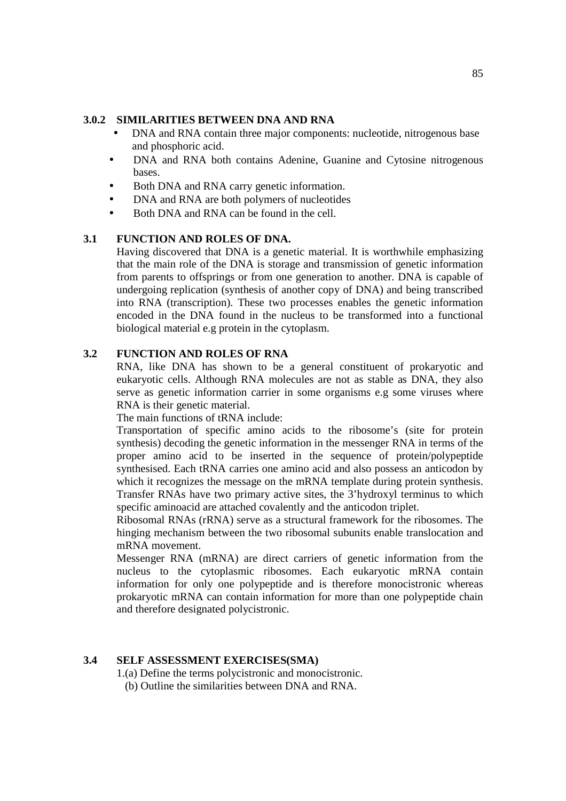## **3.0.2 SIMILARITIES BETWEEN DNA AND RNA**

- DNA and RNA contain three major components: nucleotide, nitrogenous base and phosphoric acid.
- DNA and RNA both contains Adenine, Guanine and Cytosine nitrogenous bases.
- Both DNA and RNA carry genetic information.
- DNA and RNA are both polymers of nucleotides
- Both DNA and RNA can be found in the cell.

# **3.1 FUNCTION AND ROLES OF DNA.**

Having discovered that DNA is a genetic material. It is worthwhile emphasizing that the main role of the DNA is storage and transmission of genetic information from parents to offsprings or from one generation to another. DNA is capable of undergoing replication (synthesis of another copy of DNA) and being transcribed into RNA (transcription). These two processes enables the genetic information encoded in the DNA found in the nucleus to be transformed into a functional biological material e.g protein in the cytoplasm.

# **3.2 FUNCTION AND ROLES OF RNA**

RNA, like DNA has shown to be a general constituent of prokaryotic and eukaryotic cells. Although RNA molecules are not as stable as DNA, they also serve as genetic information carrier in some organisms e.g some viruses where RNA is their genetic material.

The main functions of tRNA include:

Transportation of specific amino acids to the ribosome's (site for protein synthesis) decoding the genetic information in the messenger RNA in terms of the proper amino acid to be inserted in the sequence of protein/polypeptide synthesised. Each tRNA carries one amino acid and also possess an anticodon by which it recognizes the message on the mRNA template during protein synthesis. Transfer RNAs have two primary active sites, the 3'hydroxyl terminus to which specific aminoacid are attached covalently and the anticodon triplet.

Ribosomal RNAs (rRNA) serve as a structural framework for the ribosomes. The hinging mechanism between the two ribosomal subunits enable translocation and mRNA movement.

Messenger RNA (mRNA) are direct carriers of genetic information from the nucleus to the cytoplasmic ribosomes. Each eukaryotic mRNA contain information for only one polypeptide and is therefore monocistronic whereas prokaryotic mRNA can contain information for more than one polypeptide chain and therefore designated polycistronic.

#### **3.4 SELF ASSESSMENT EXERCISES(SMA)**

1.(a) Define the terms polycistronic and monocistronic.

(b) Outline the similarities between DNA and RNA.